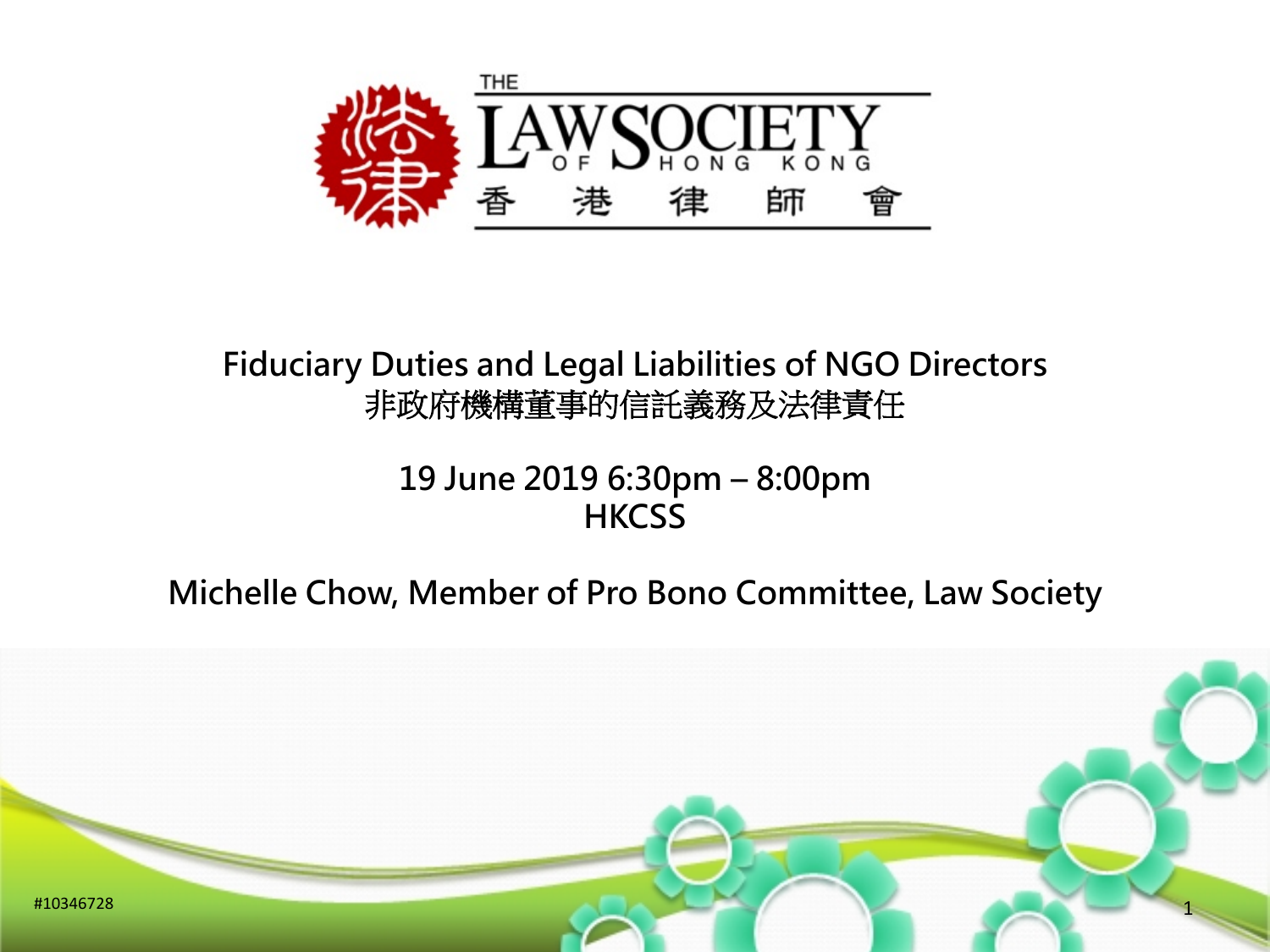

#### **Fiduciary Duties and Legal Liabilities of NGO Directors**  非政府機構董事的信託義務及法律責任

#### **19 June 2019 6:30pm – 8:00pm HKCSS**

#### **Michelle Chow, Member of Pro Bono Committee, Law Society**

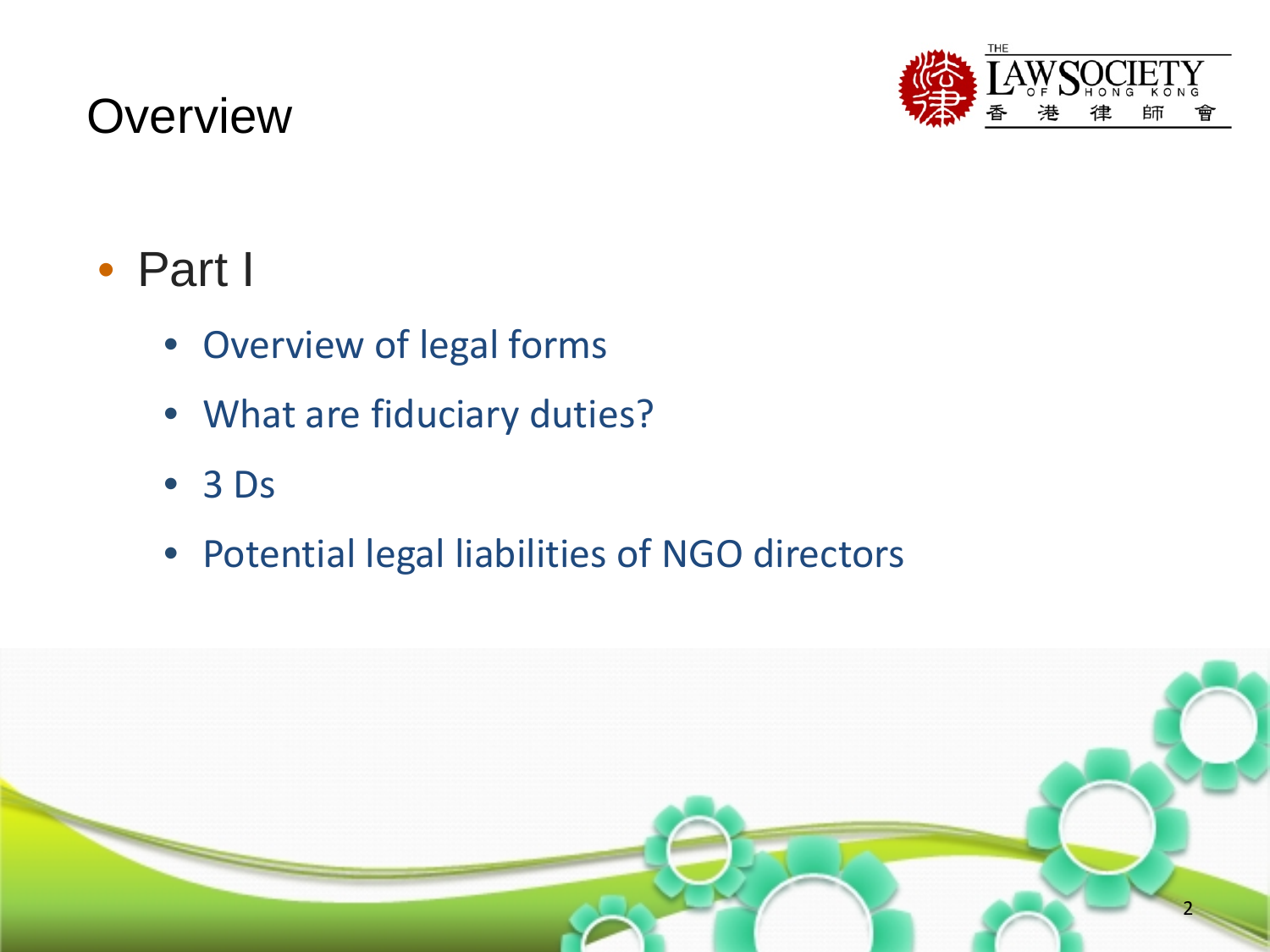# **Overview**



# • Part I

- Overview of legal forms
- What are fiduciary duties?
- 3 Ds
- Potential legal liabilities of NGO directors

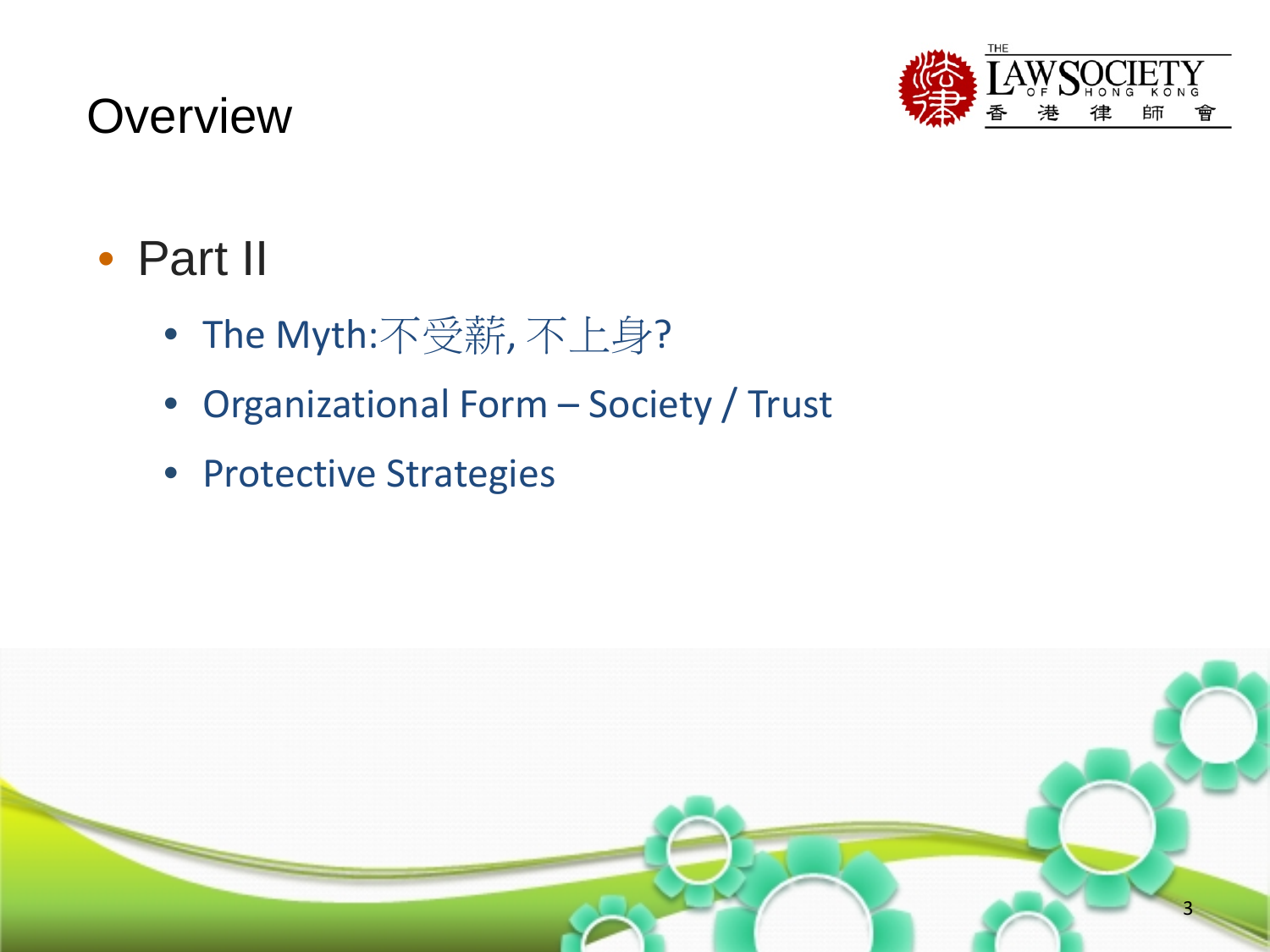# **Overview**



# • Part II

- The Myth:不受薪, 不上身?
- Organizational Form Society / Trust
- Protective Strategies

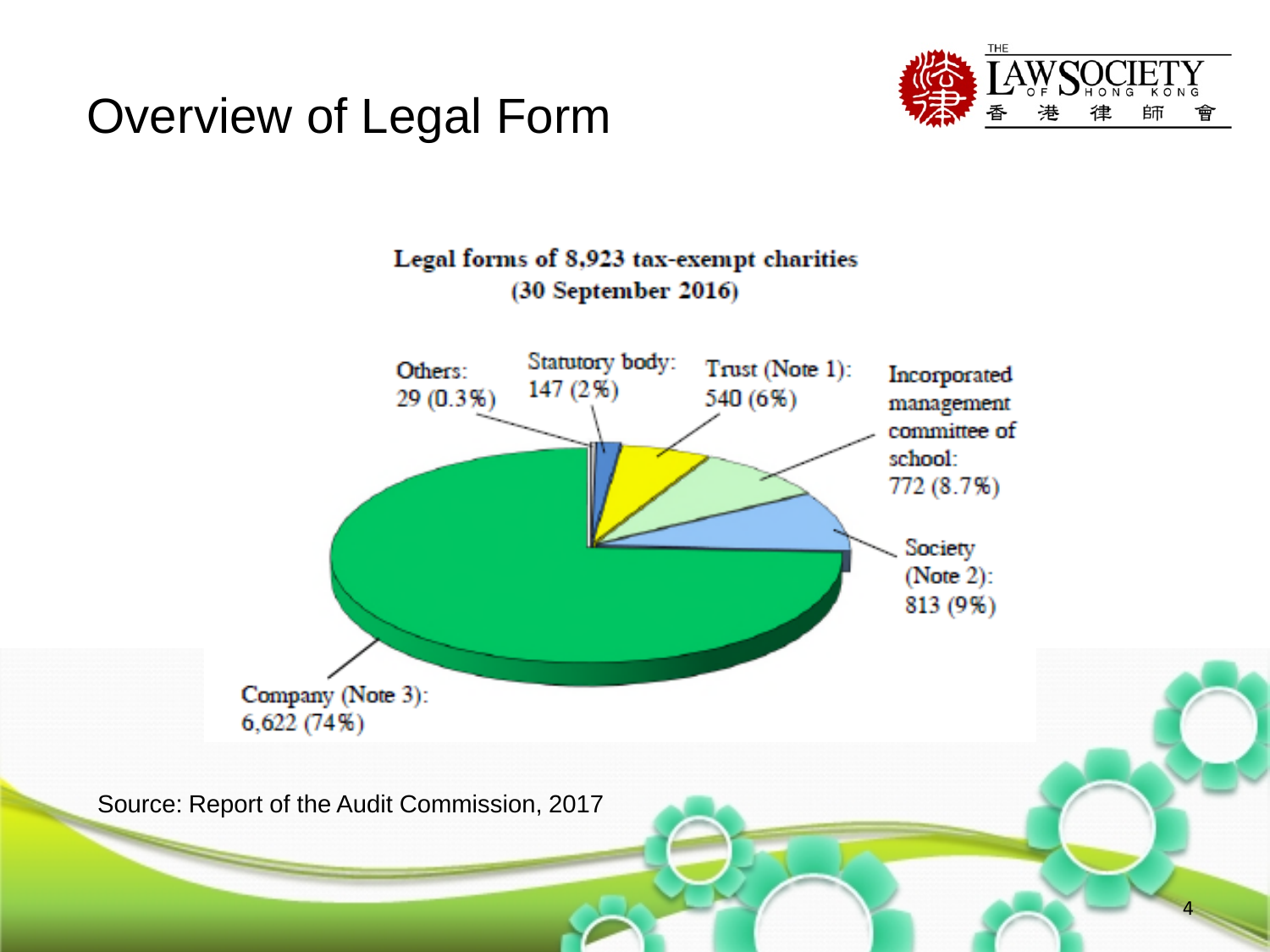# Overview of Legal Form





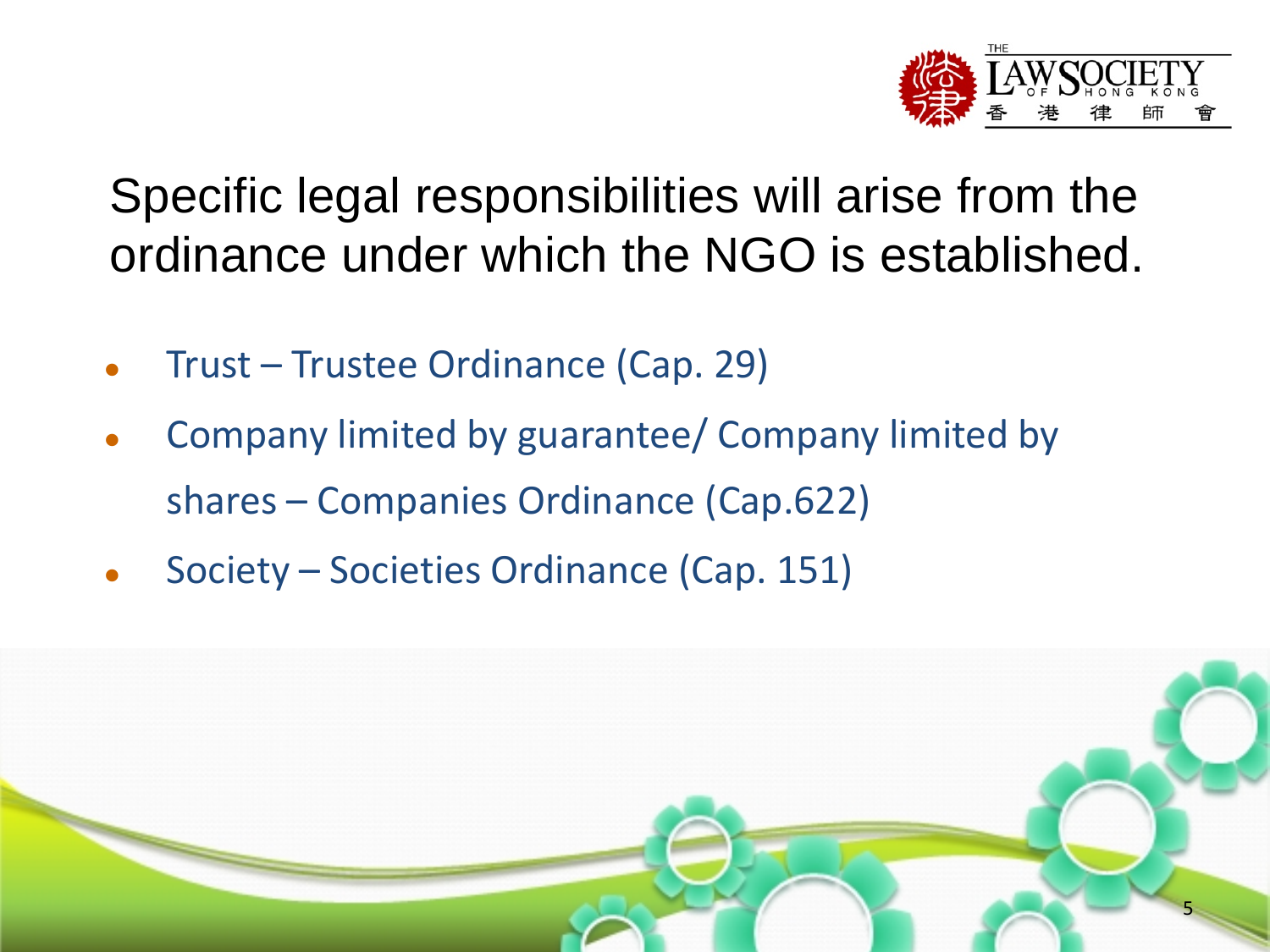

Specific legal responsibilities will arise from the ordinance under which the NGO is established.

- Trust Trustee Ordinance (Cap. 29)
- Company limited by guarantee/ Company limited by shares – Companies Ordinance (Cap.622)
- Society Societies Ordinance (Cap. 151)

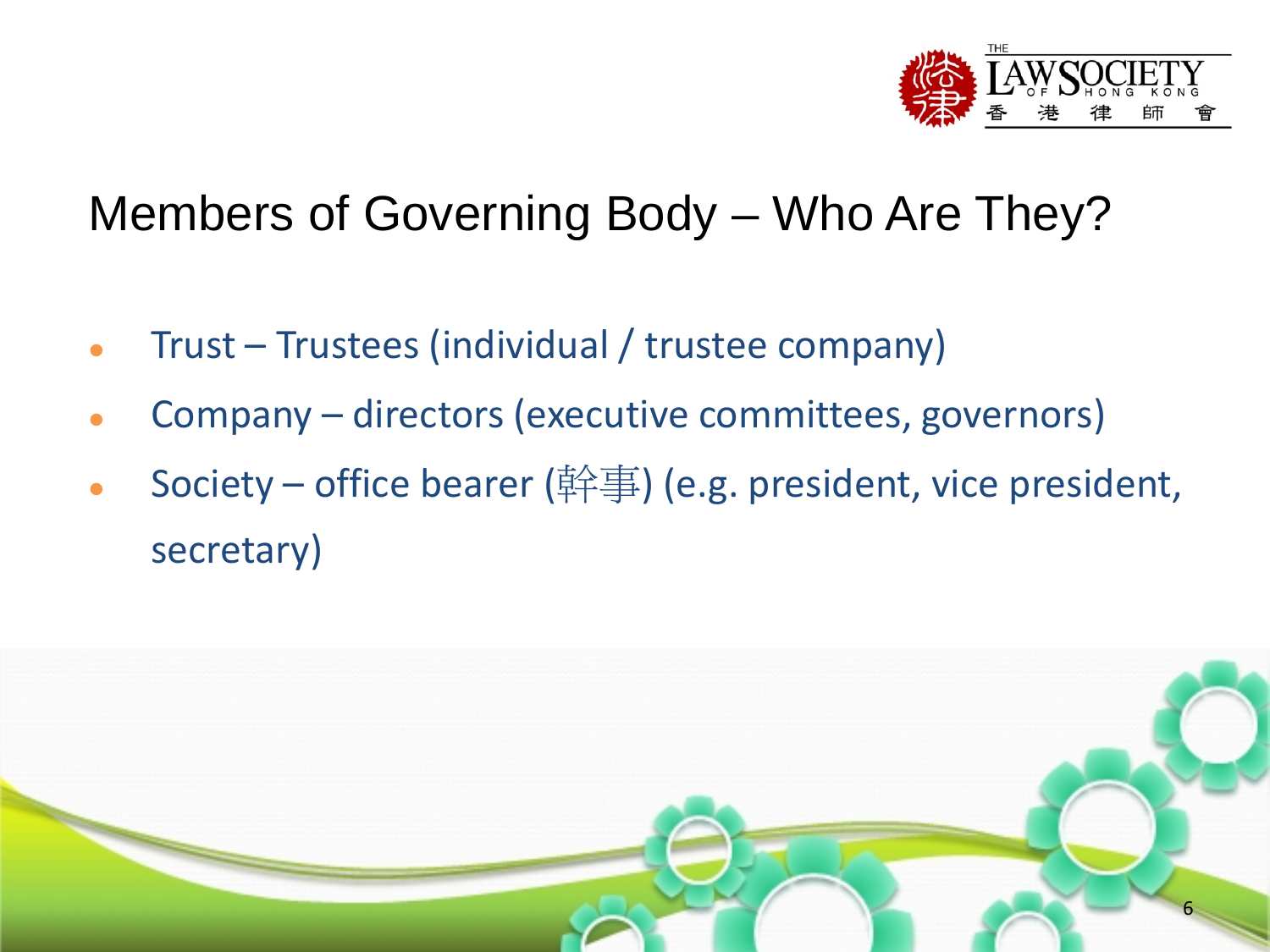

# Members of Governing Body – Who Are They?

- Trust Trustees (individual / trustee company)
- Company directors (executive committees, governors)
- Society office bearer (幹事) (e.g. president, vice president, secretary)

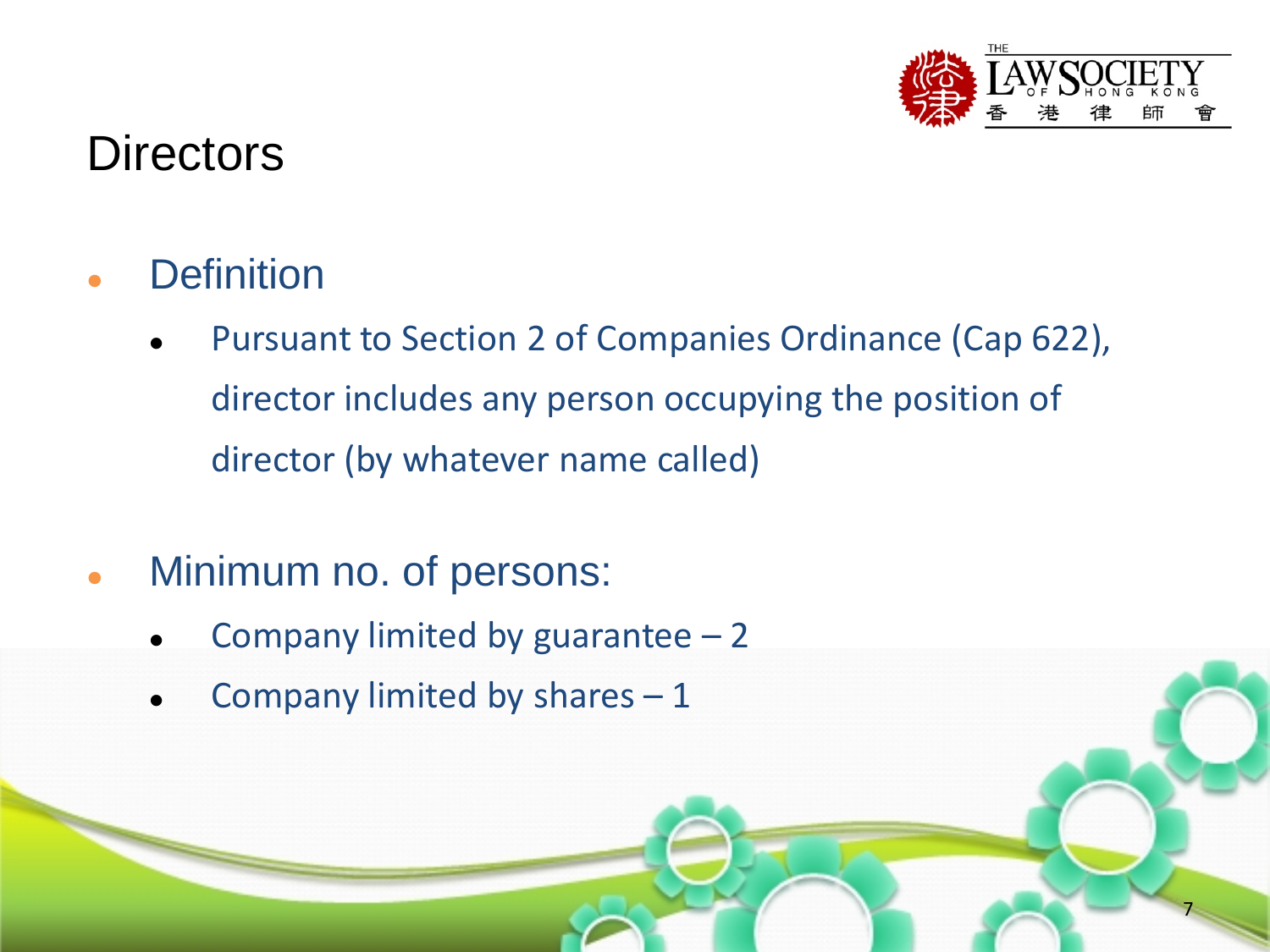

## **Directors**

- **Definition** 
	- Pursuant to Section 2 of Companies Ordinance (Cap 622), director includes any person occupying the position of director (by whatever name called)
- Minimum no. of persons:
	- Company limited by guarantee  $-2$
	- Company limited by shares 1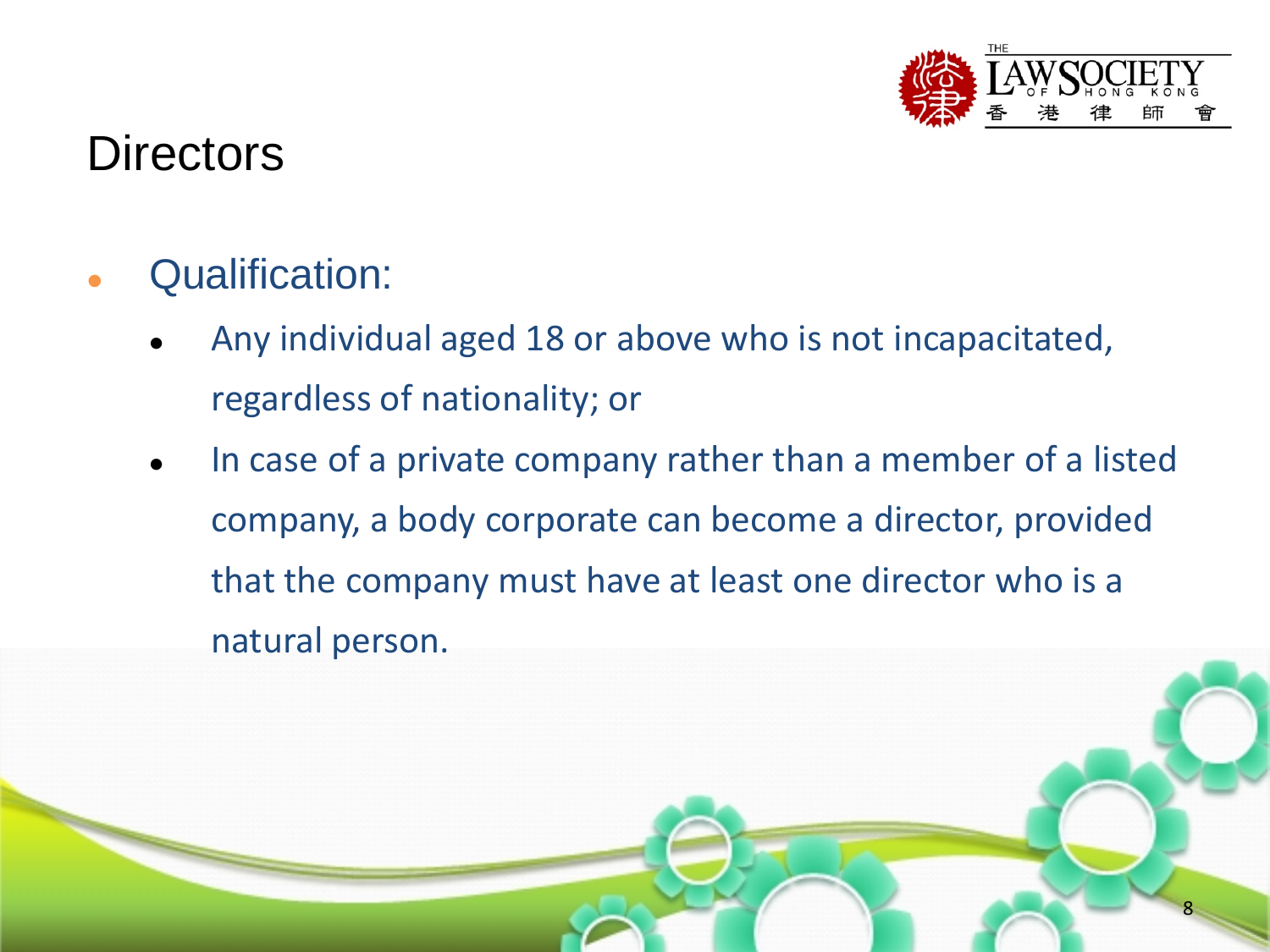

## **Directors**

- Qualification:
	- Any individual aged 18 or above who is not incapacitated, regardless of nationality; or
	- In case of a private company rather than a member of a listed company, a body corporate can become a director, provided that the company must have at least one director who is a natural person.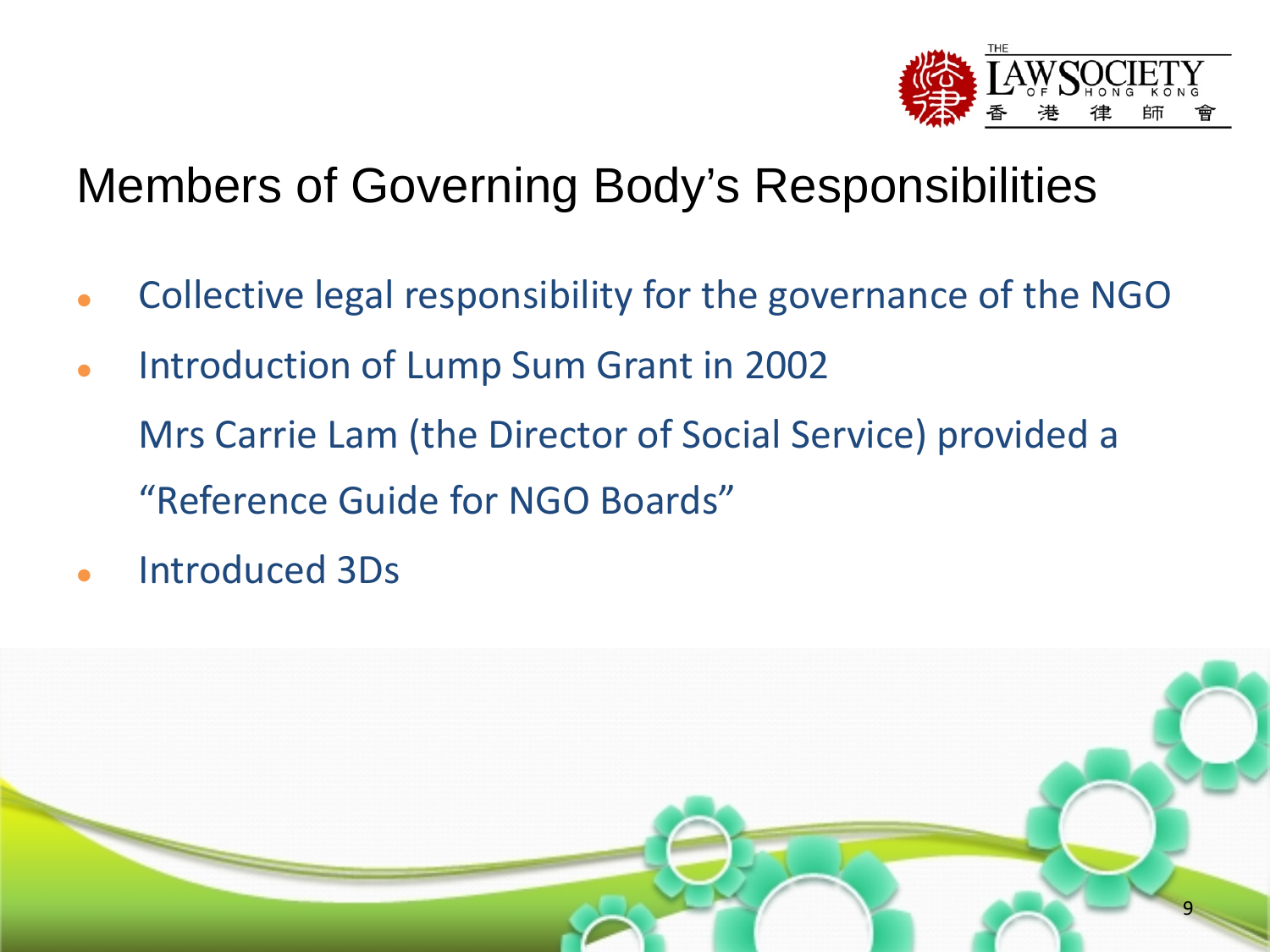

# Members of Governing Body's Responsibilities

- Collective legal responsibility for the governance of the NGO
- Introduction of Lump Sum Grant in 2002 Mrs Carrie Lam (the Director of Social Service) provided a "Reference Guide for NGO Boards"
- Introduced 3Ds

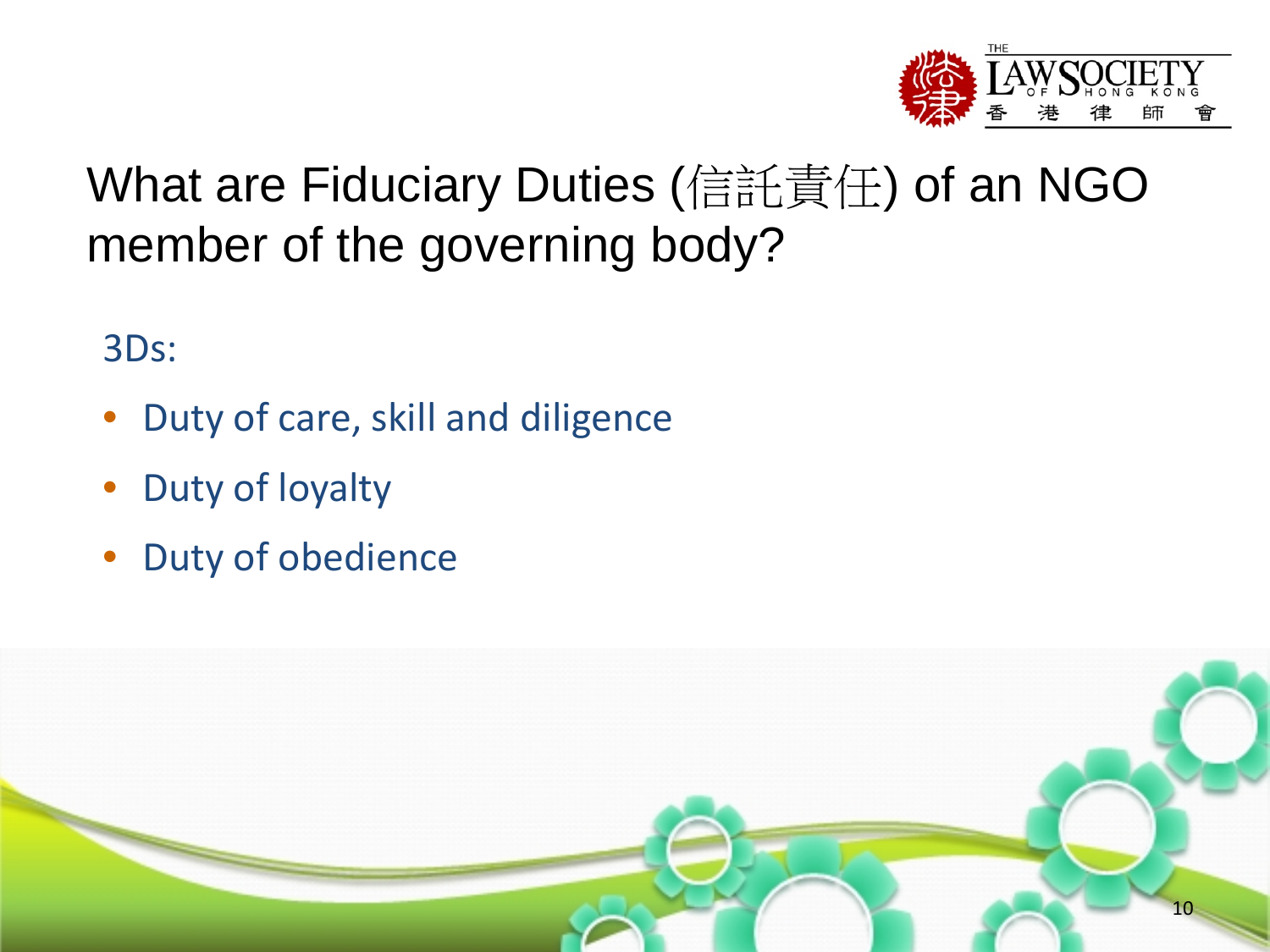

# What are Fiduciary Duties (信託責任) of an NGO member of the governing body?

3Ds:

- Duty of care, skill and diligence
- Duty of loyalty
- Duty of obedience

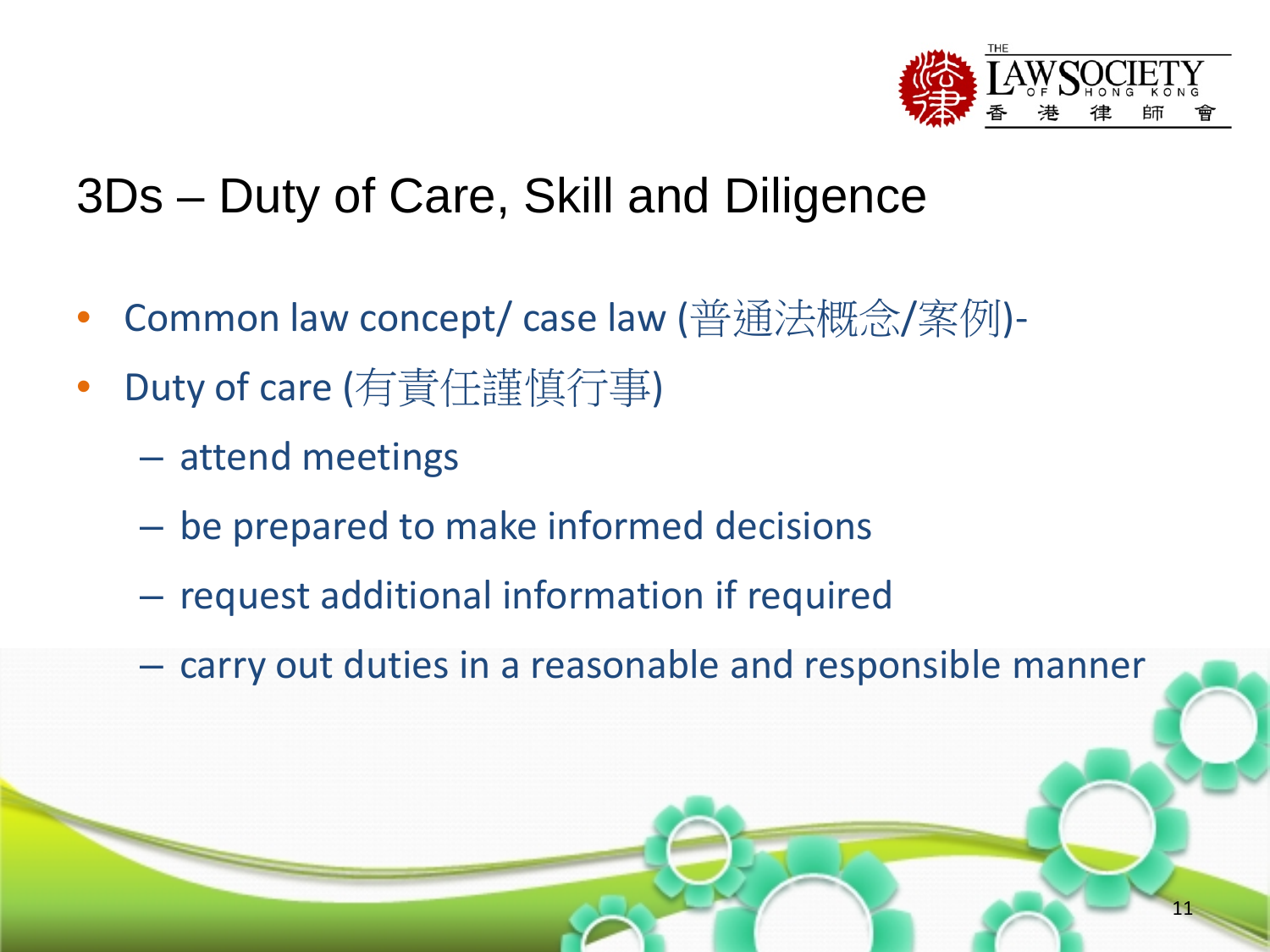

# 3Ds – Duty of Care, Skill and Diligence

- Common law concept/ case law (普通法概念/案例)-
- Duty of care (有責任謹慎行事)
	- attend meetings
	- be prepared to make informed decisions
	- request additional information if required
	- carry out duties in a reasonable and responsible manner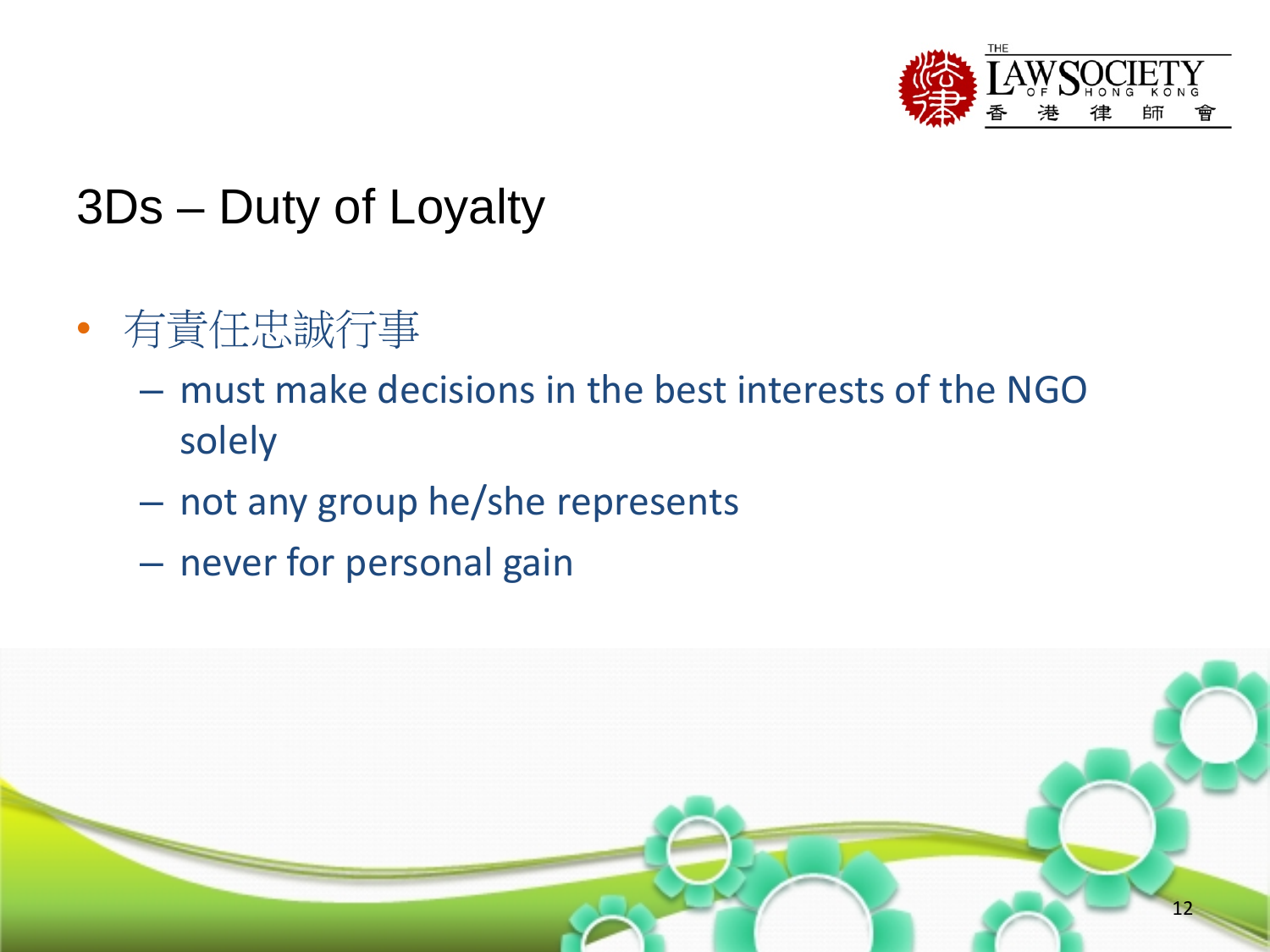

# 3Ds – Duty of Loyalty

- 有責任忠誠行事
	- must make decisions in the best interests of the NGO solely
	- not any group he/she represents
	- never for personal gain

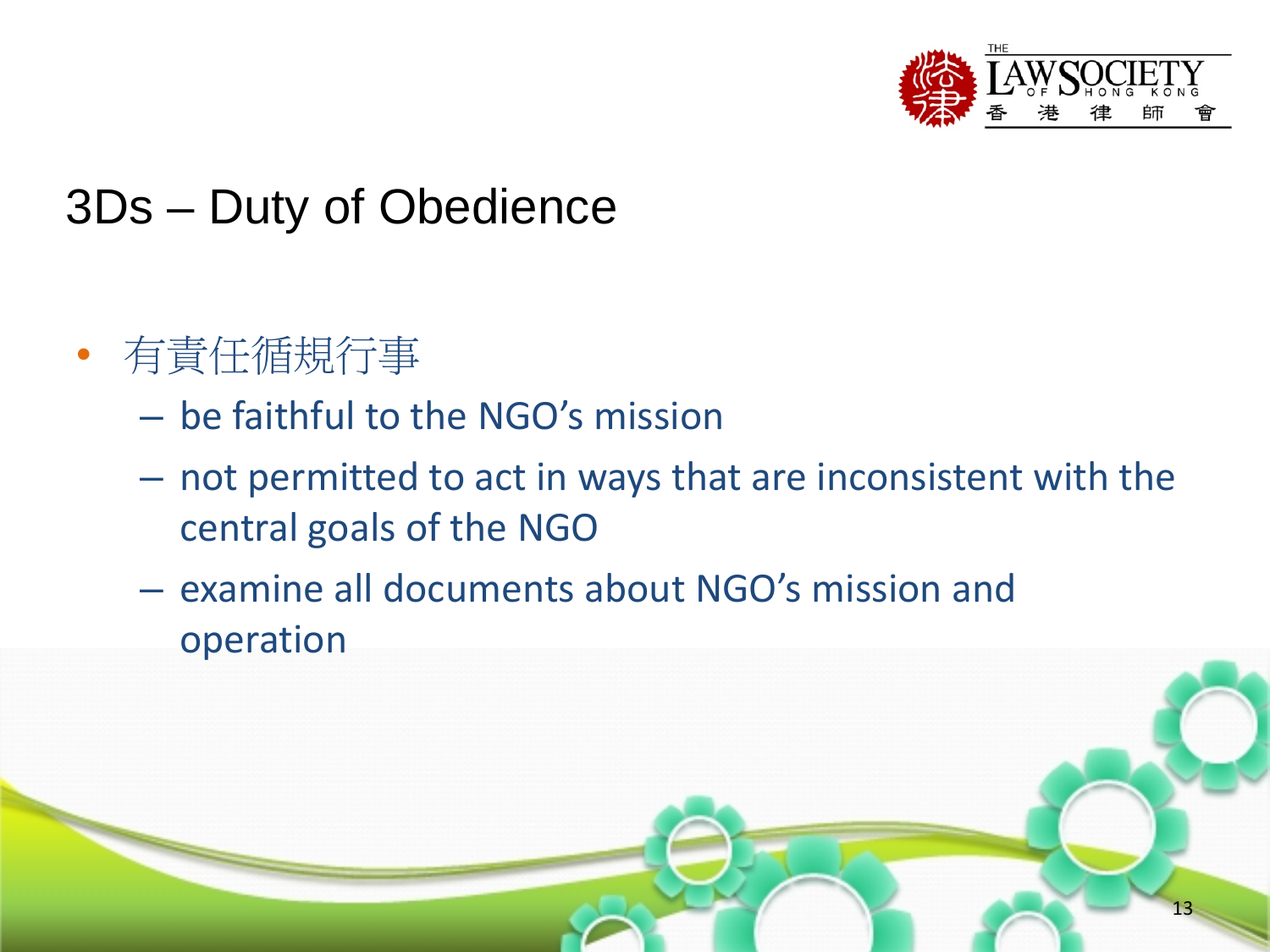

# 3Ds – Duty of Obedience

- 有責任循規行事
	- be faithful to the NGO's mission
	- not permitted to act in ways that are inconsistent with the central goals of the NGO
	- examine all documents about NGO's mission and operation

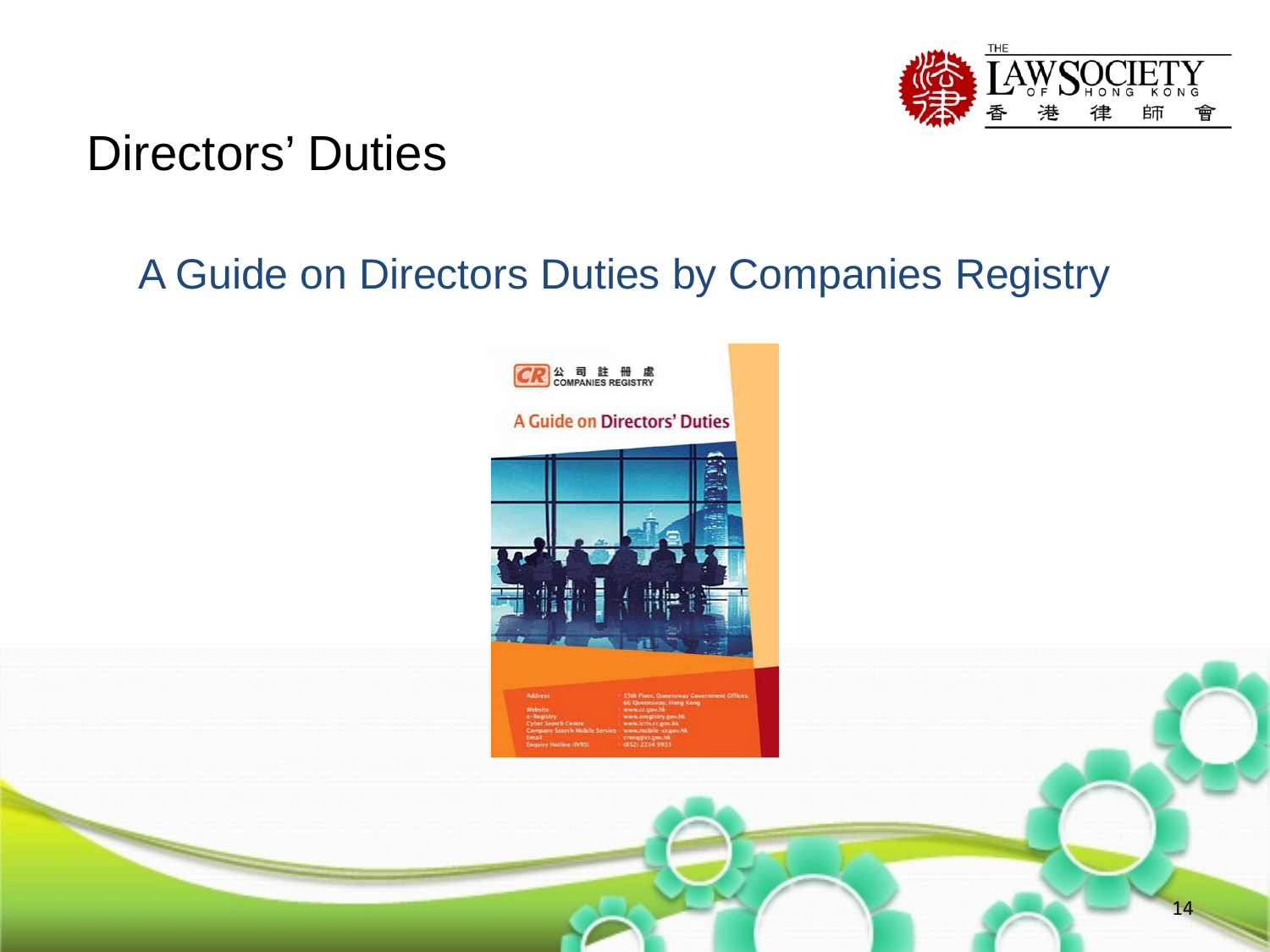

#### Directors' Duties

#### A Guide on Directors Duties by Companies Registry

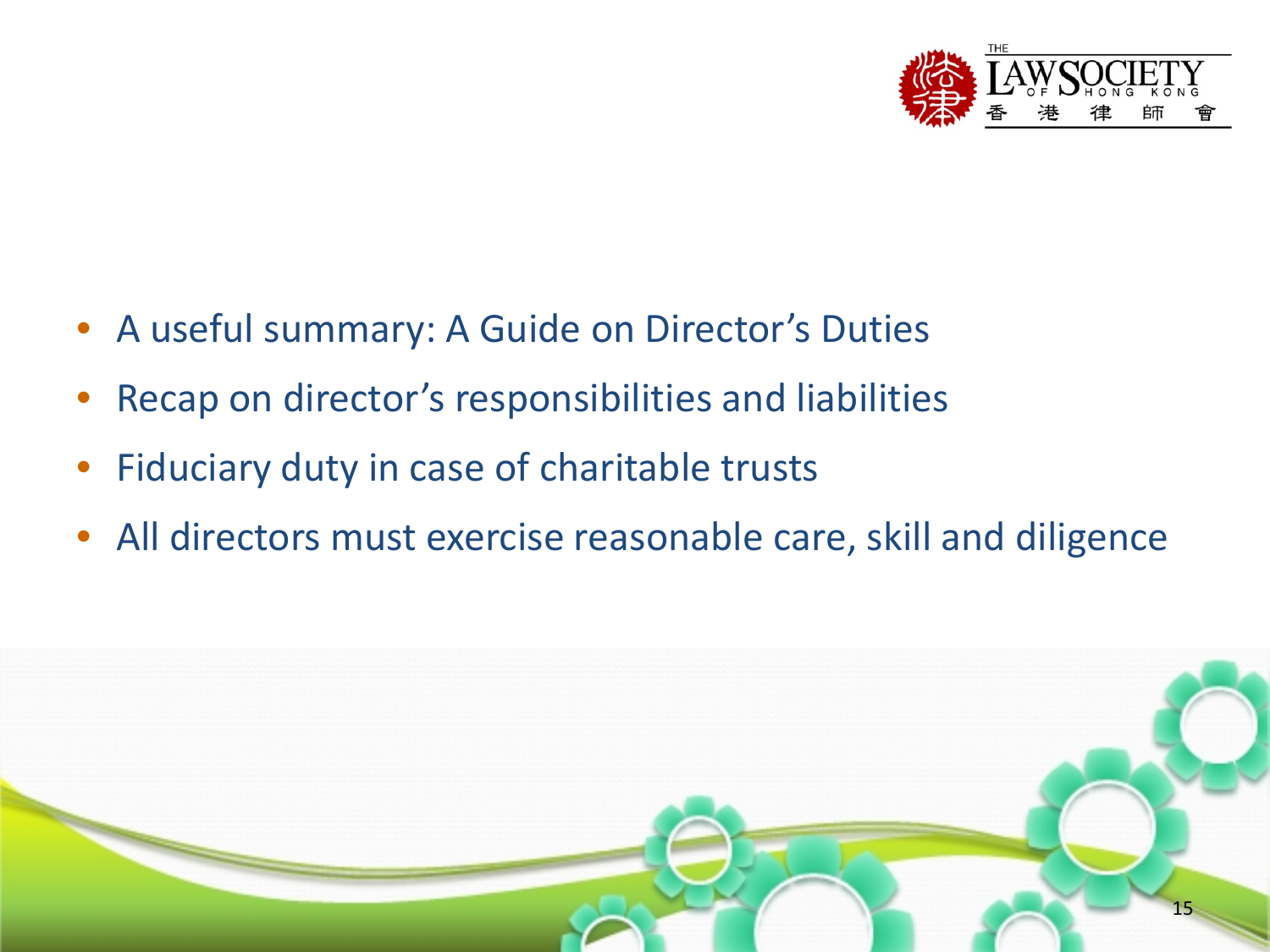

- A useful summary: A Guide on Director's Duties
- Recap on director's responsibilities and liabilities
- Fiduciary duty in case of charitable trusts
- All directors must exercise reasonable care, skill and diligence

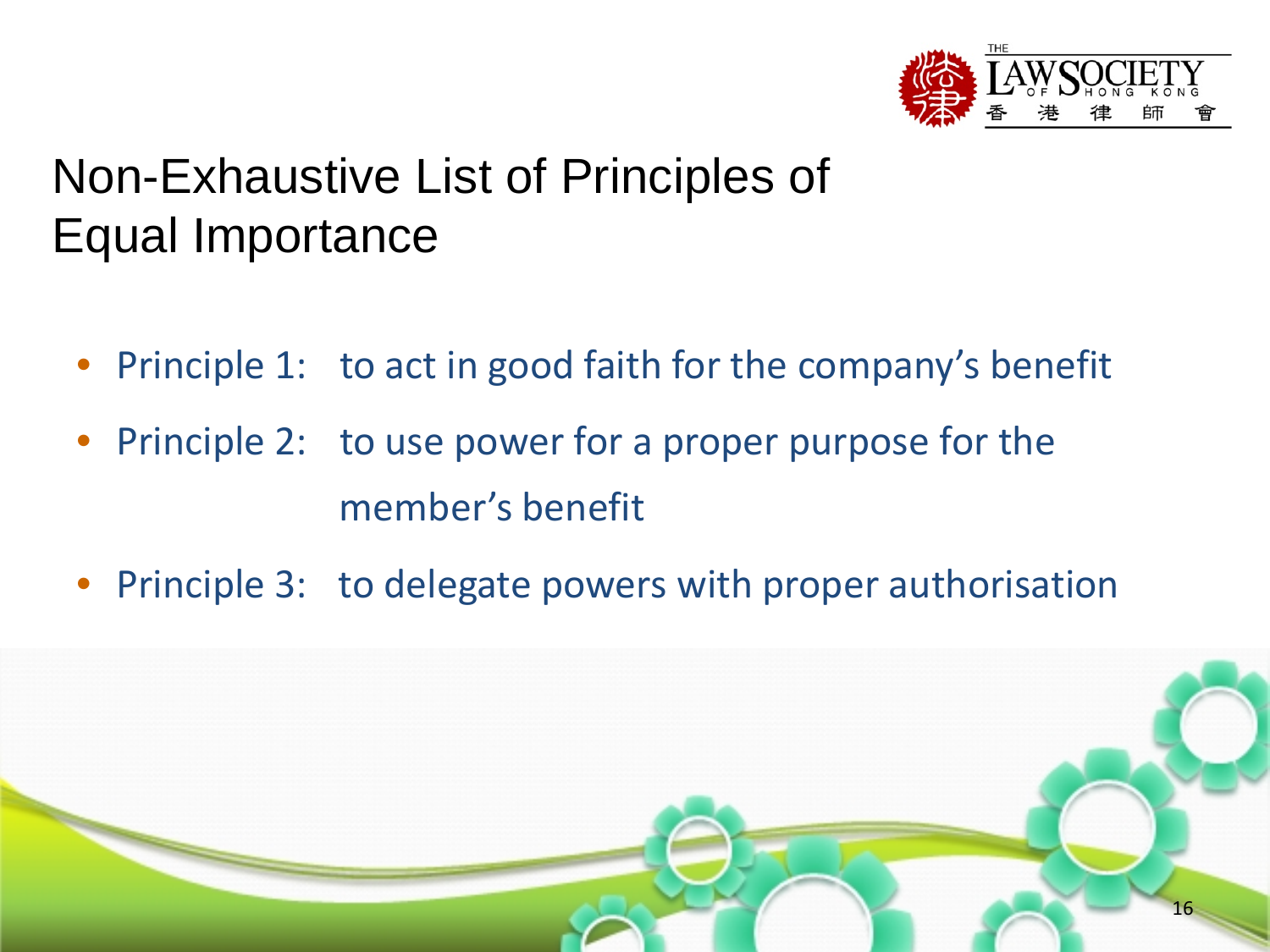

- Principle 1: to act in good faith for the company's benefit
- Principle 2: to use power for a proper purpose for the member's benefit
- Principle 3: to delegate powers with proper authorisation

![](_page_15_Picture_5.jpeg)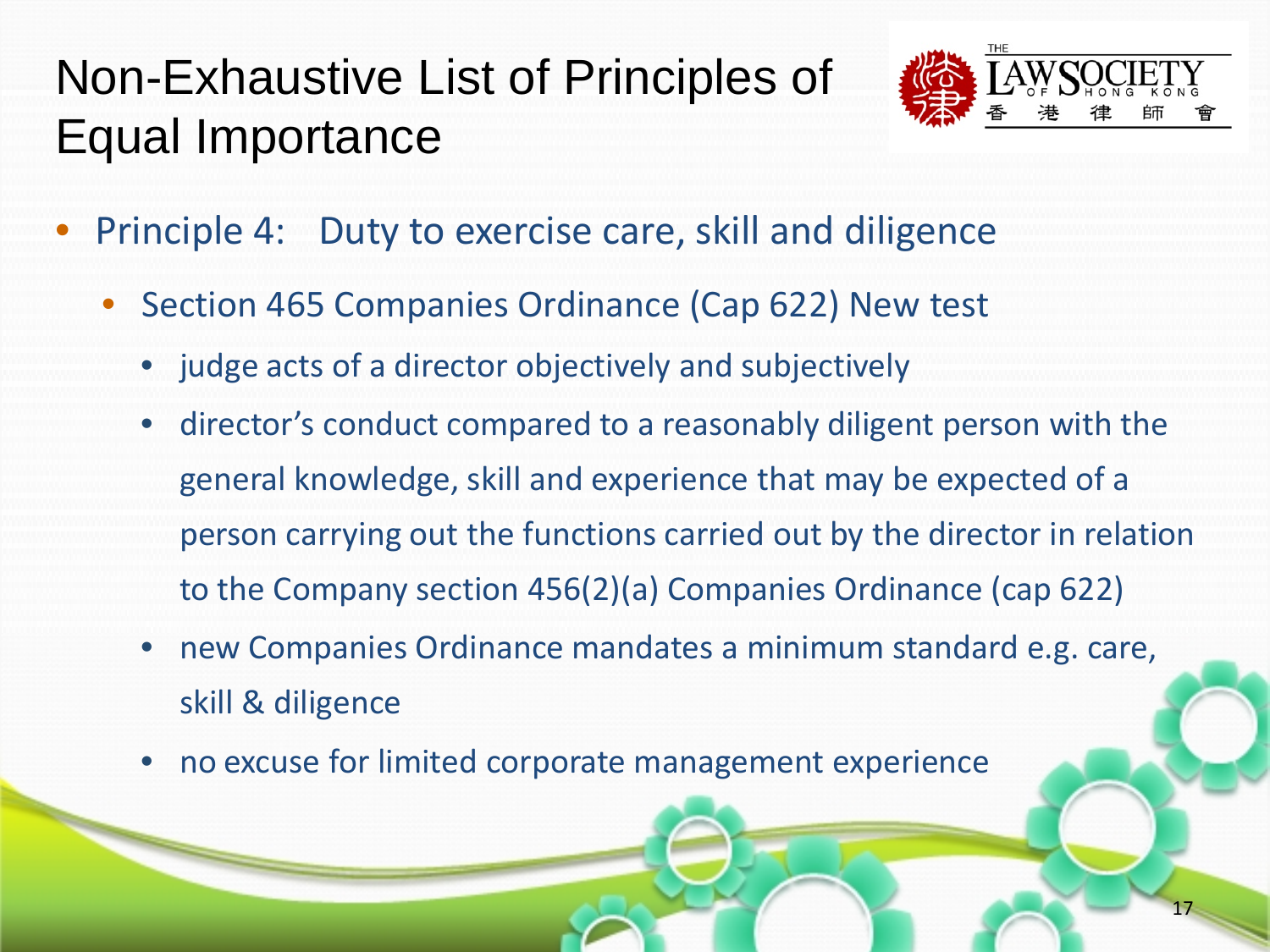![](_page_16_Picture_1.jpeg)

- Principle 4: Duty to exercise care, skill and diligence
	- Section 465 Companies Ordinance (Cap 622) New test
		- judge acts of a director objectively and subjectively
		- director's conduct compared to a reasonably diligent person with the general knowledge, skill and experience that may be expected of a person carrying out the functions carried out by the director in relation to the Company section 456(2)(a) Companies Ordinance (cap 622)
		- new Companies Ordinance mandates a minimum standard e.g. care, skill & diligence
		- no excuse for limited corporate management experience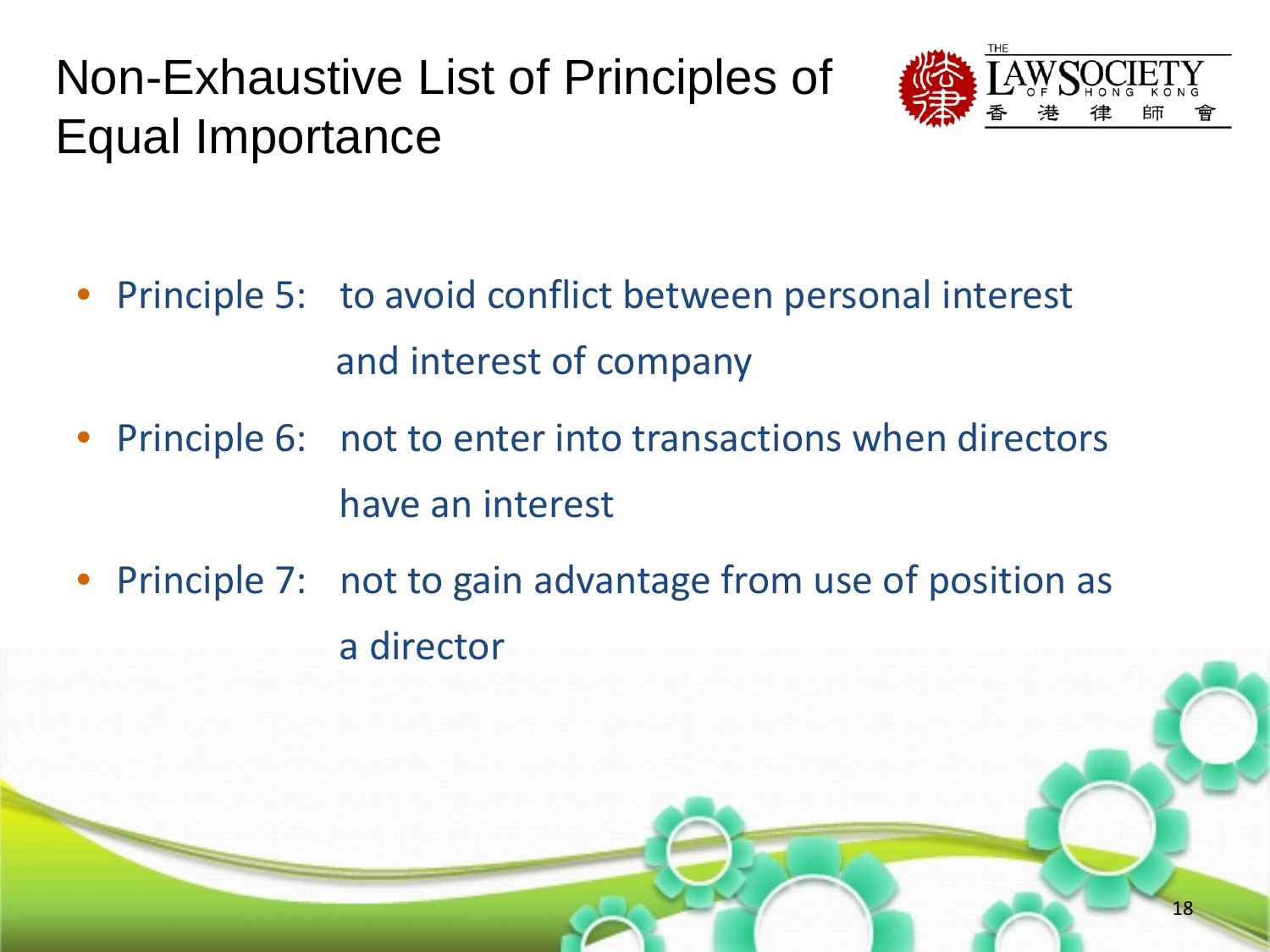![](_page_17_Picture_1.jpeg)

- Principle 5: to avoid conflict between personal interest and interest of company
- Principle 6: not to enter into transactions when directors have an interest
- Principle 7: not to gain advantage from use of position as a director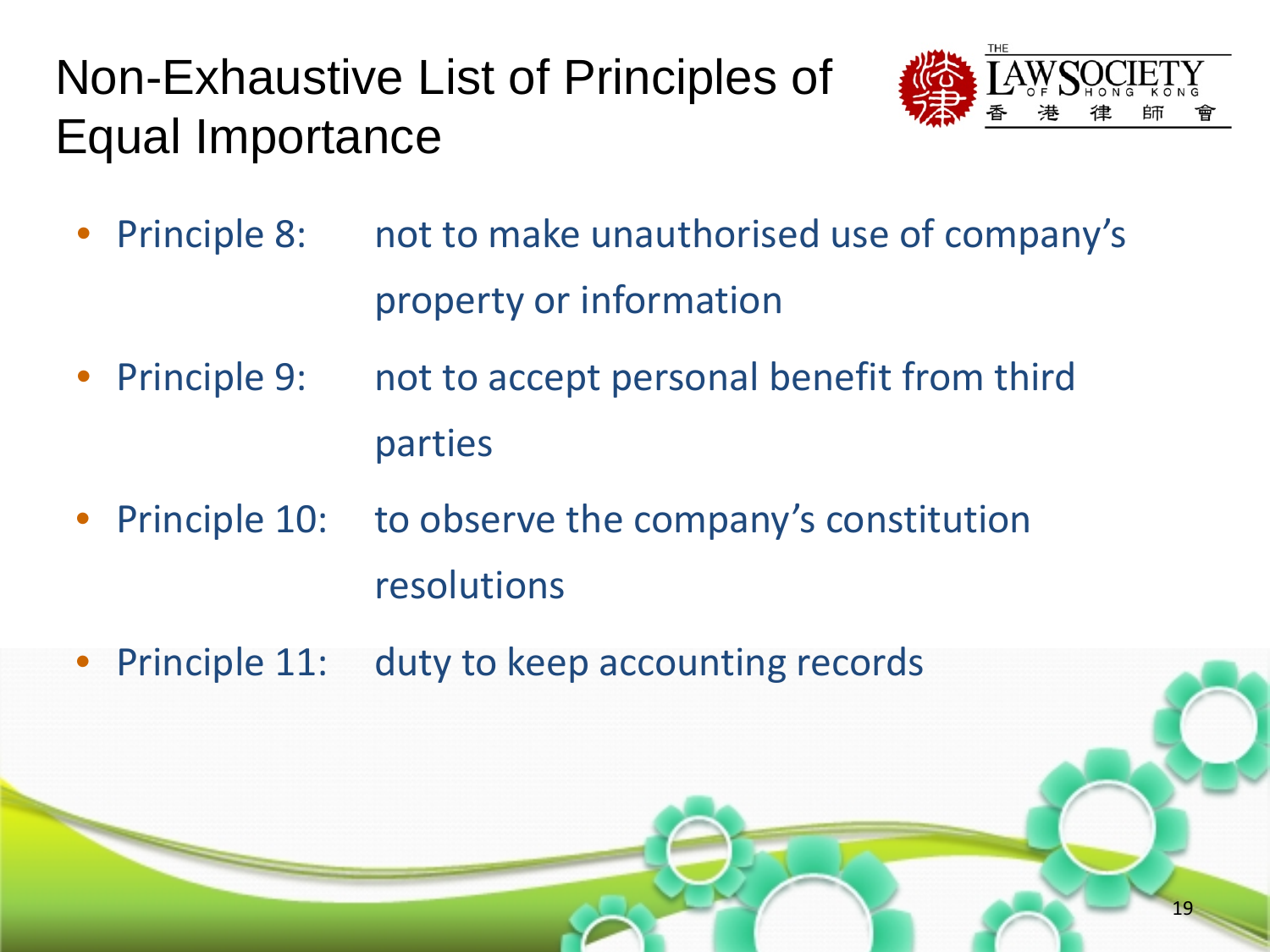![](_page_18_Picture_1.jpeg)

19

- Principle 8: not to make unauthorised use of company's property or information
- Principle 9: not to accept personal benefit from third parties
- Principle 10: to observe the company's constitution resolutions
- Principle 11: duty to keep accounting records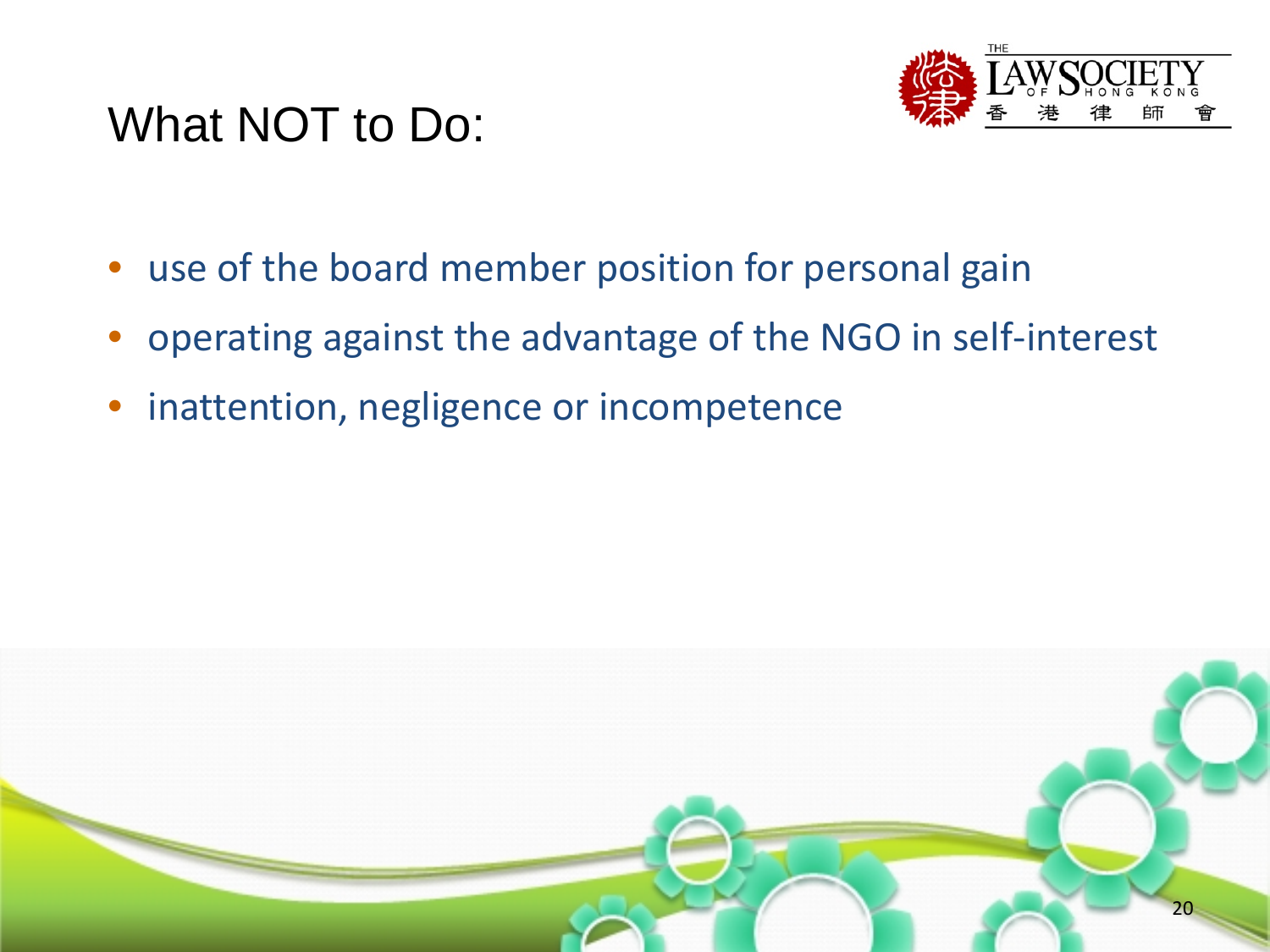## What NOT to Do:

![](_page_19_Picture_1.jpeg)

- use of the board member position for personal gain
- operating against the advantage of the NGO in self-interest
- inattention, negligence or incompetence

![](_page_19_Figure_5.jpeg)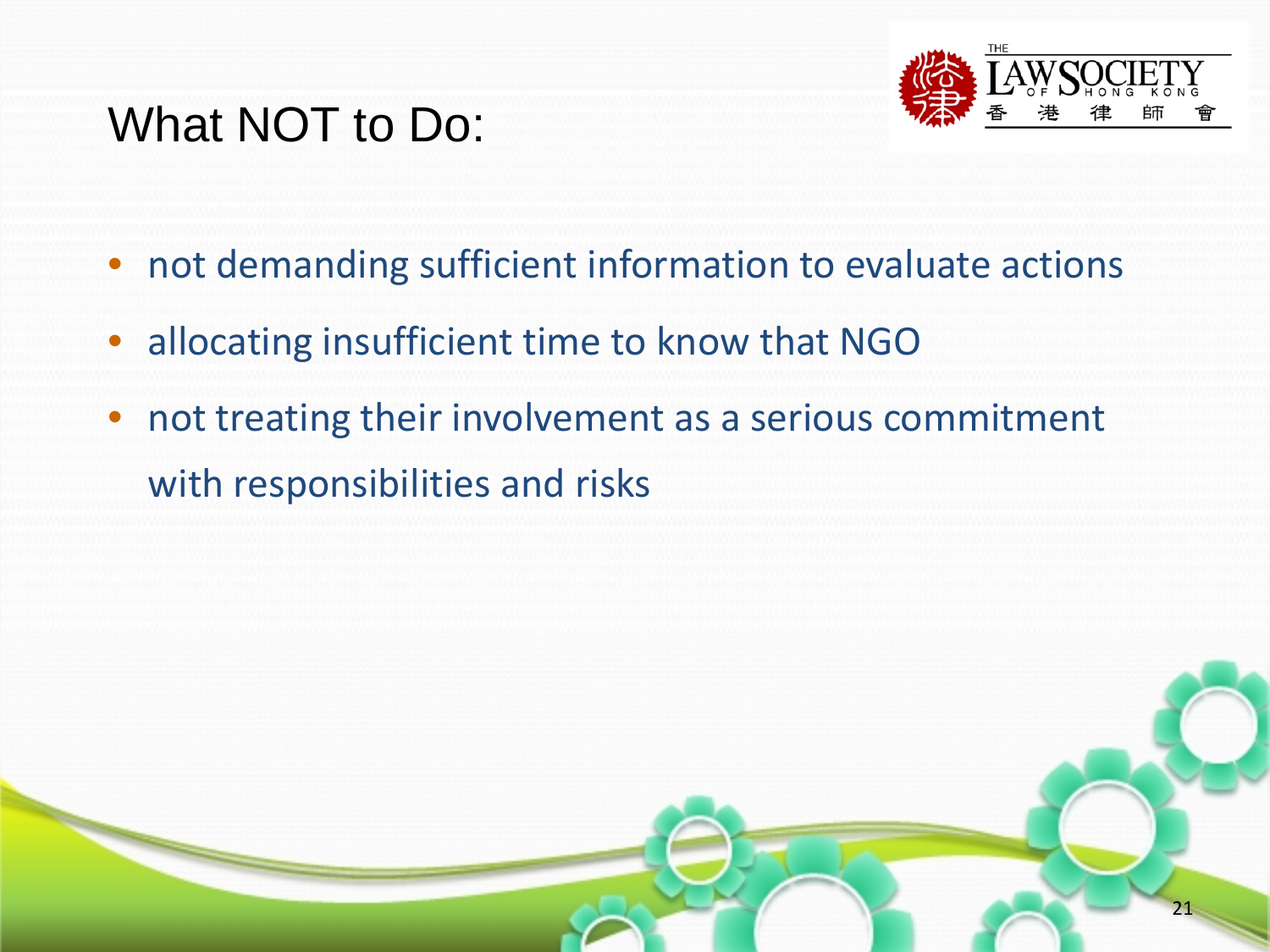# What NOT to Do:

![](_page_20_Picture_1.jpeg)

21

- not demanding sufficient information to evaluate actions
- allocating insufficient time to know that NGO
- not treating their involvement as a serious commitment with responsibilities and risks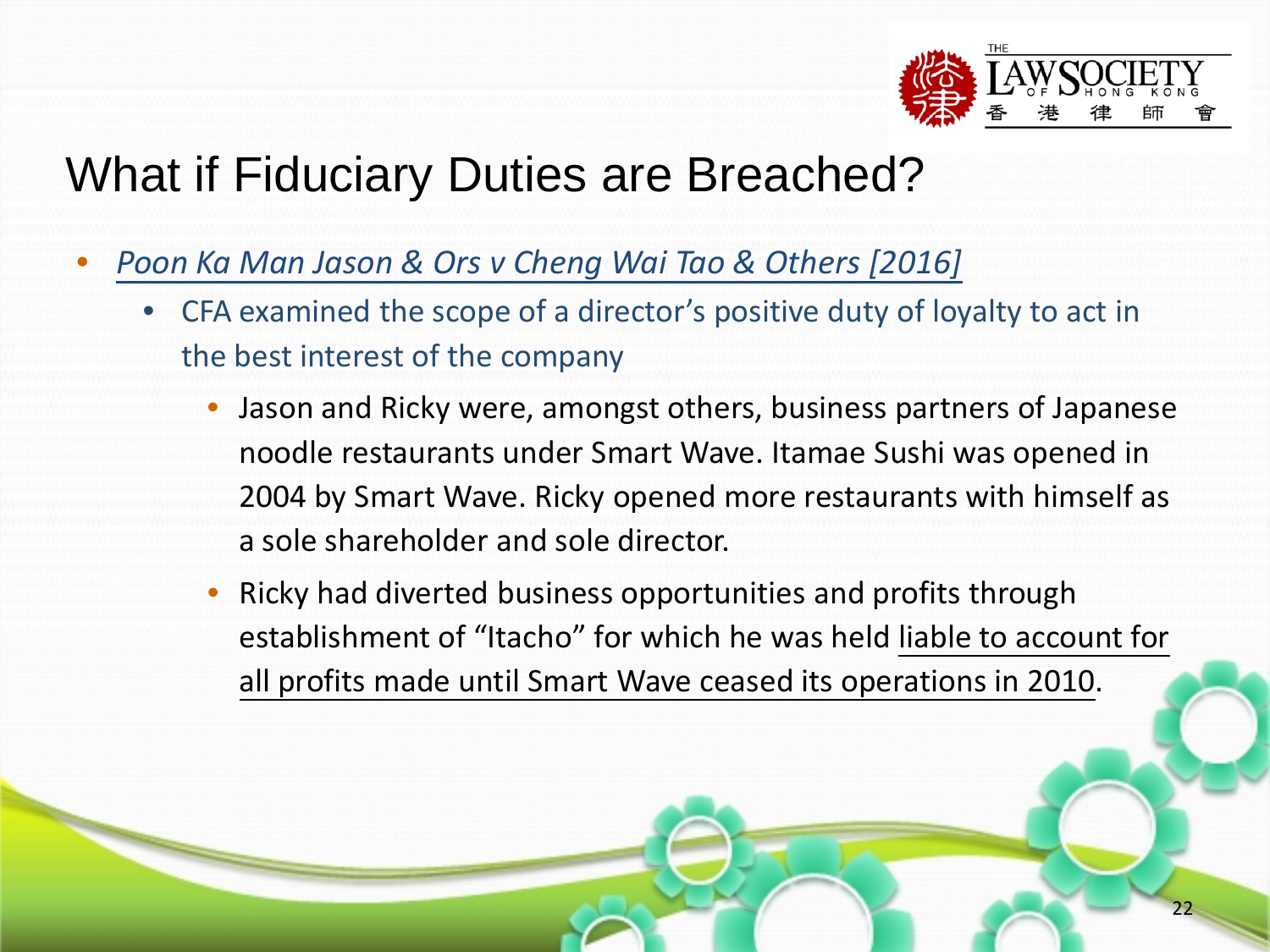![](_page_21_Picture_0.jpeg)

# What if Fiduciary Duties are Breached?

- *Poon Ka Man Jason & Ors v Cheng Wai Tao & Others [2016]*
	- CFA examined the scope of a director's positive duty of loyalty to act in the best interest of the company
		- Jason and Ricky were, amongst others, business partners of Japanese noodle restaurants under Smart Wave. Itamae Sushi was opened in 2004 by Smart Wave. Ricky opened more restaurants with himself as a sole shareholder and sole director.
		- Ricky had diverted business opportunities and profits through establishment of "Itacho" for which he was held liable to account for all profits made until Smart Wave ceased its operations in 2010.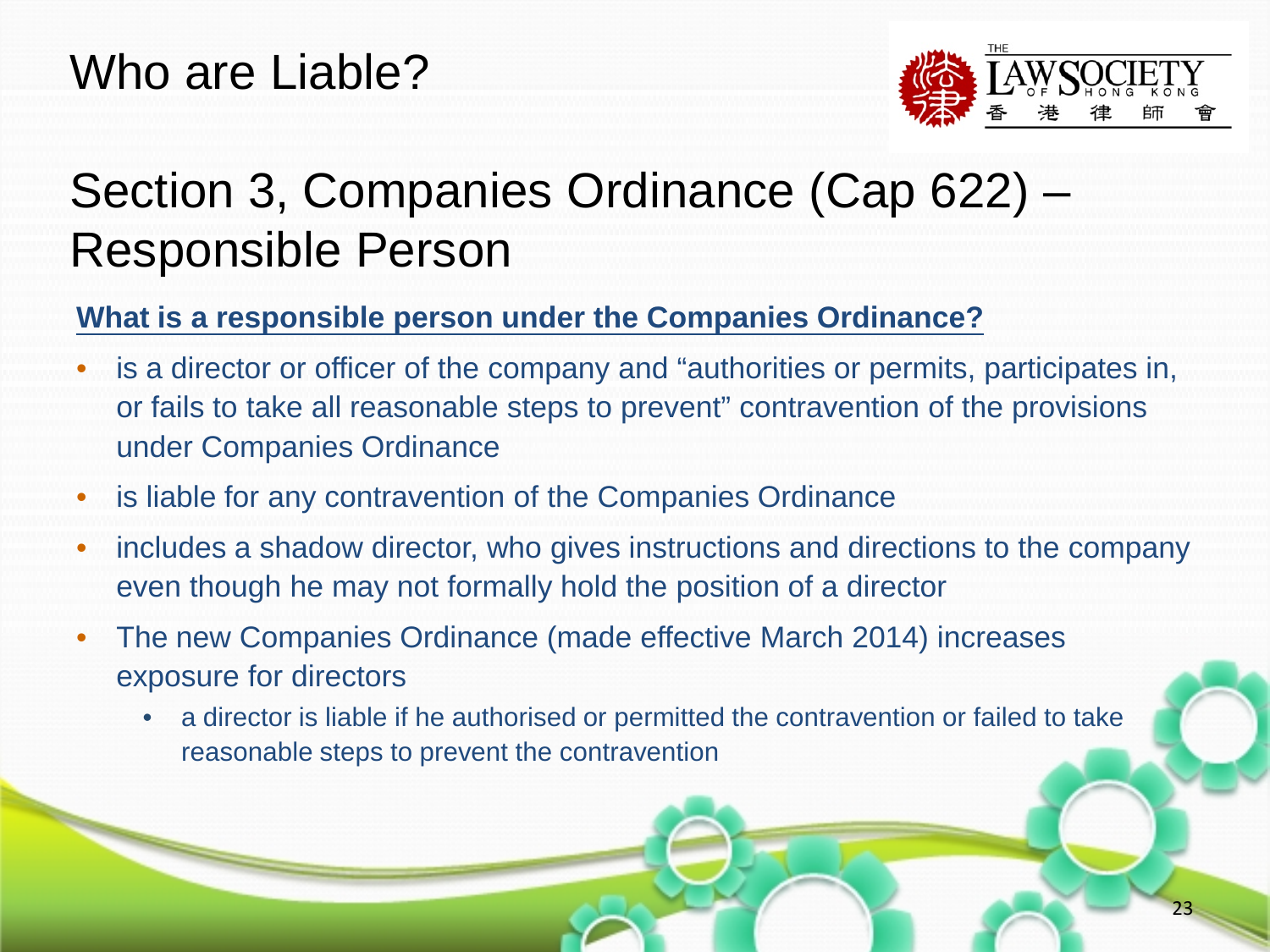#### Who are Liable?

![](_page_22_Picture_1.jpeg)

# Section 3, Companies Ordinance (Cap 622) – Responsible Person

#### **What is a responsible person under the Companies Ordinance?**

- is a director or officer of the company and "authorities or permits, participates in, or fails to take all reasonable steps to prevent" contravention of the provisions under Companies Ordinance
- is liable for any contravention of the Companies Ordinance
- includes a shadow director, who gives instructions and directions to the company even though he may not formally hold the position of a director
- The new Companies Ordinance (made effective March 2014) increases exposure for directors
	- a director is liable if he authorised or permitted the contravention or failed to take reasonable steps to prevent the contravention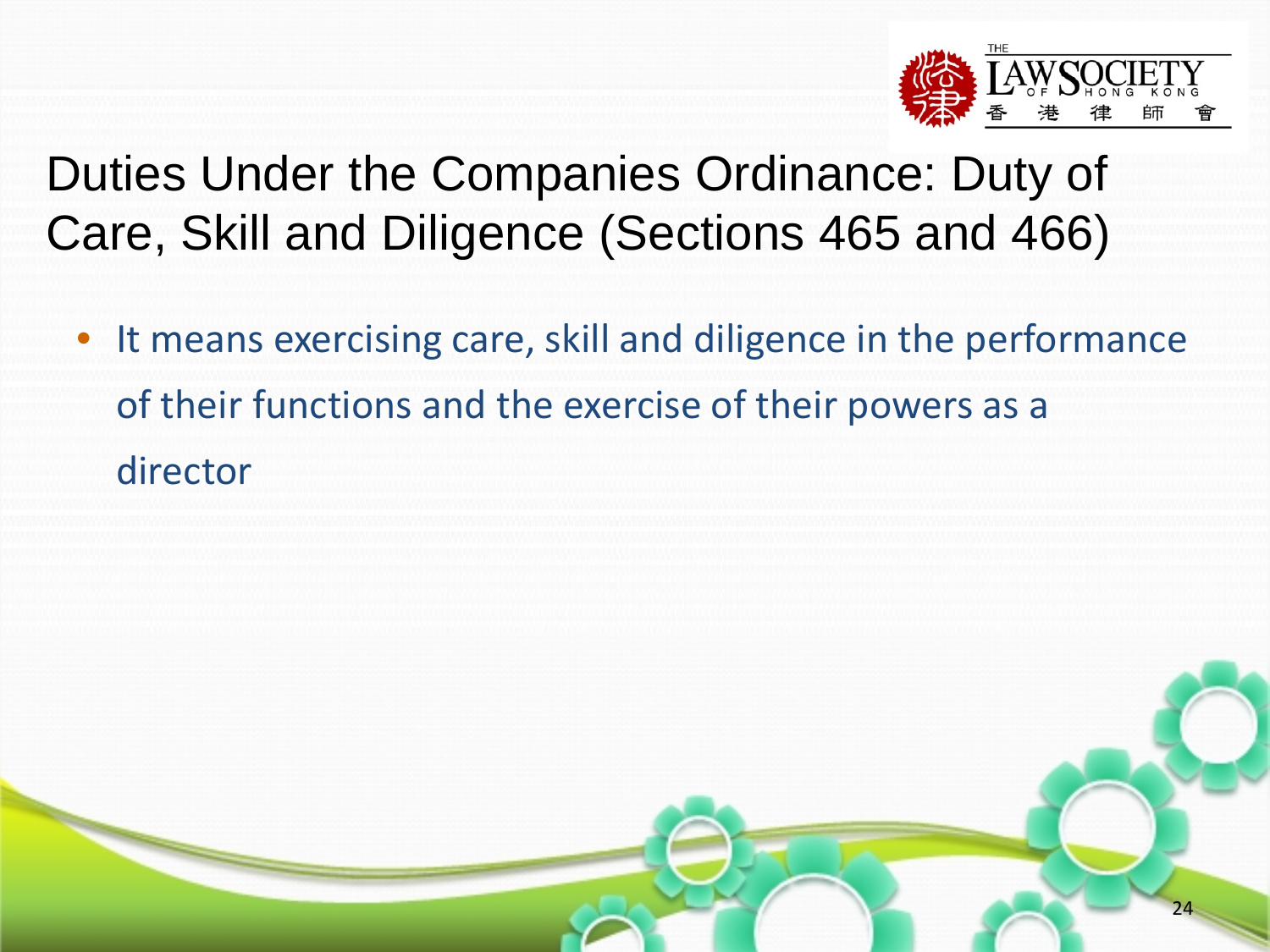![](_page_23_Picture_0.jpeg)

# Duties Under the Companies Ordinance: Duty of Care, Skill and Diligence (Sections 465 and 466)

• It means exercising care, skill and diligence in the performance of their functions and the exercise of their powers as a director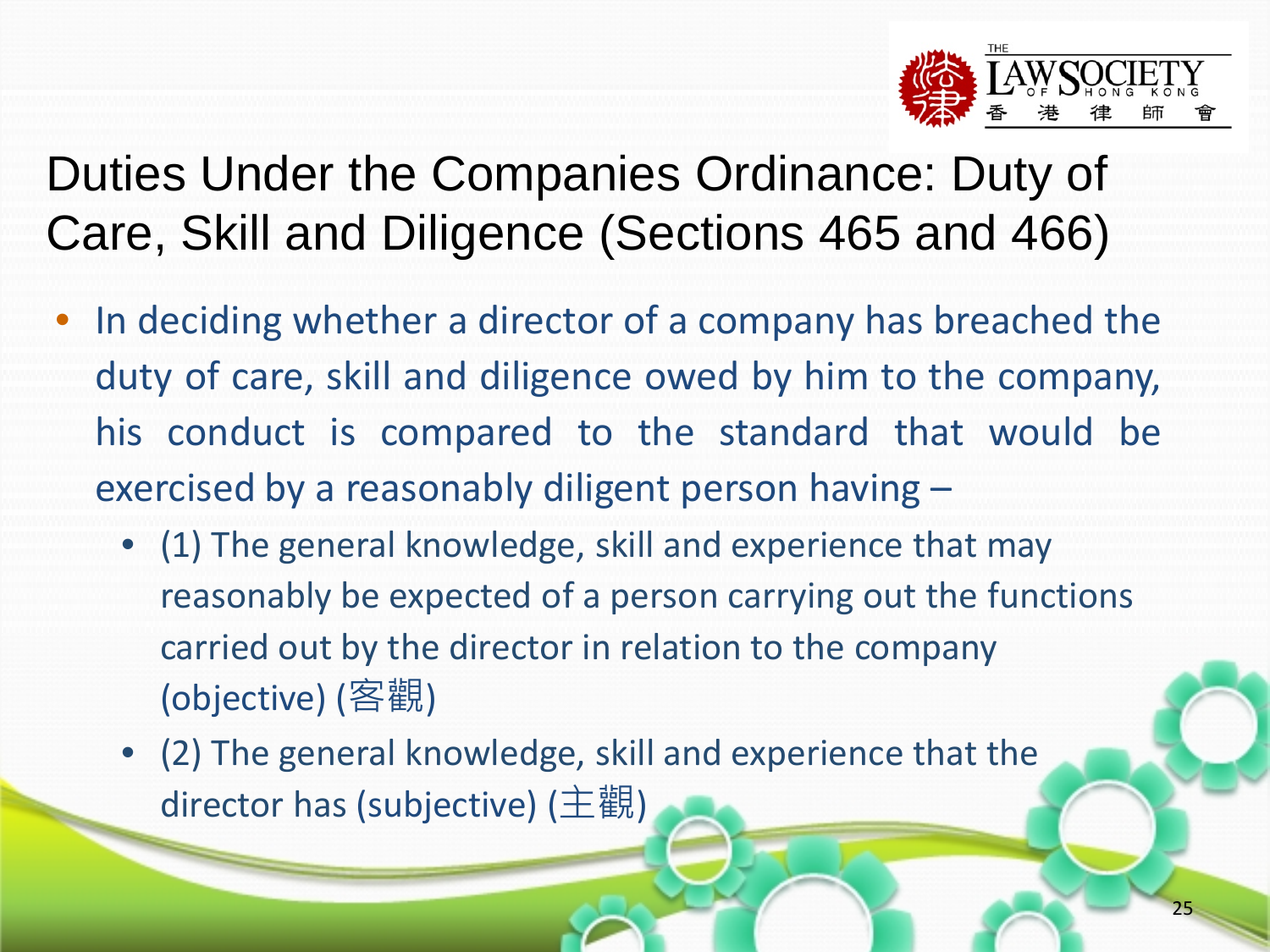![](_page_24_Picture_0.jpeg)

# Duties Under the Companies Ordinance: Duty of Care, Skill and Diligence (Sections 465 and 466)

- In deciding whether a director of a company has breached the duty of care, skill and diligence owed by him to the company, his conduct is compared to the standard that would be exercised by a reasonably diligent person having –
	- (1) The general knowledge, skill and experience that may reasonably be expected of a person carrying out the functions carried out by the director in relation to the company (objective) (客觀)
	- (2) The general knowledge, skill and experience that the director has (subjective) (主觀)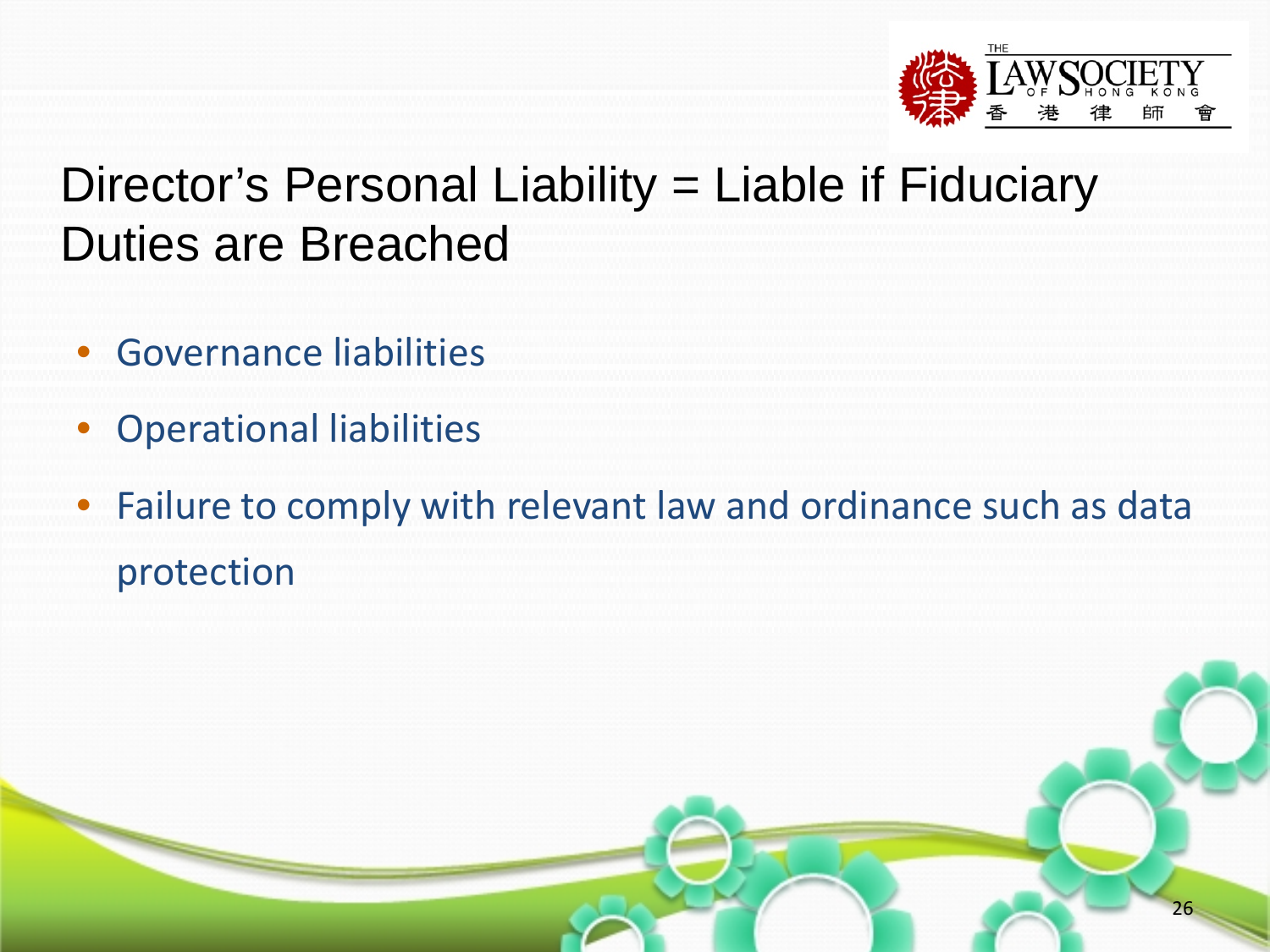![](_page_25_Picture_0.jpeg)

# Director's Personal Liability = Liable if Fiduciary Duties are Breached

- Governance liabilities
- Operational liabilities
- Failure to comply with relevant law and ordinance such as data protection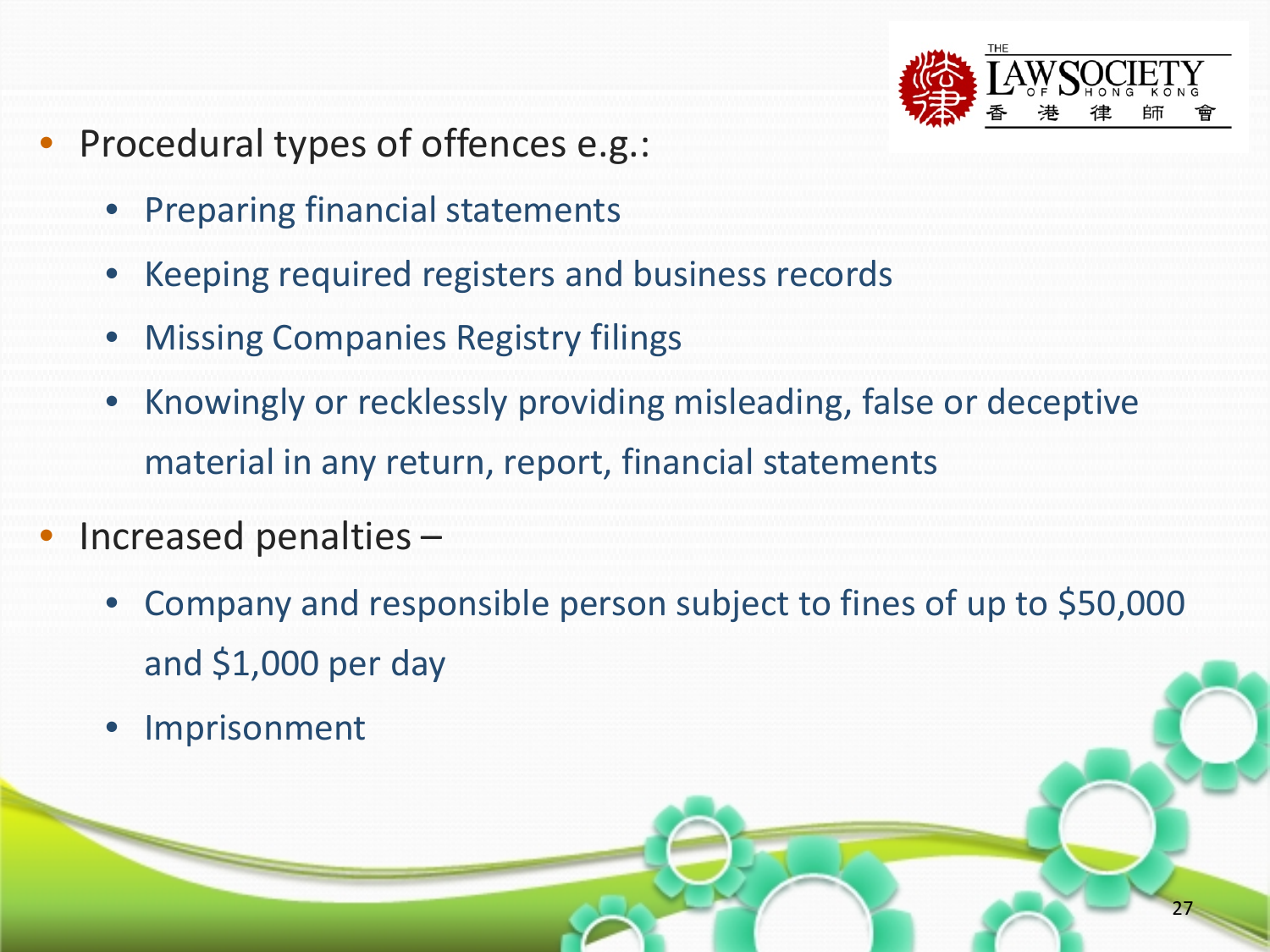![](_page_26_Picture_0.jpeg)

- Procedural types of offences e.g.:
	- Preparing financial statements
	- Keeping required registers and business records
	- Missing Companies Registry filings
	- Knowingly or recklessly providing misleading, false or deceptive material in any return, report, financial statements
- Increased penalties
	- Company and responsible person subject to fines of up to \$50,000 and \$1,000 per day
	- **Imprisonment**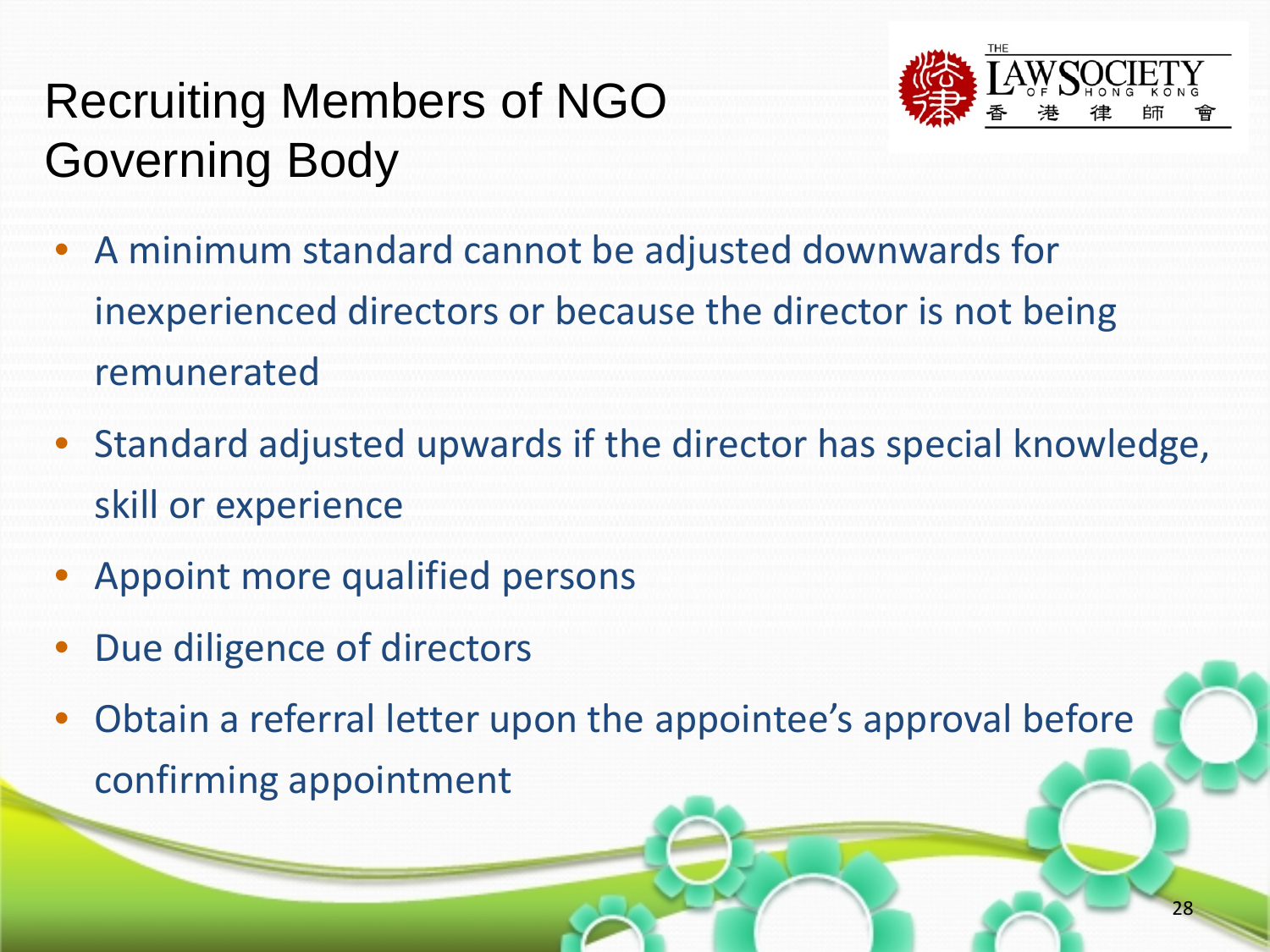# Recruiting Members of NGO Governing Body

![](_page_27_Picture_1.jpeg)

- A minimum standard cannot be adjusted downwards for inexperienced directors or because the director is not being remunerated
- Standard adjusted upwards if the director has special knowledge, skill or experience
- Appoint more qualified persons
- Due diligence of directors
- Obtain a referral letter upon the appointee's approval before confirming appointment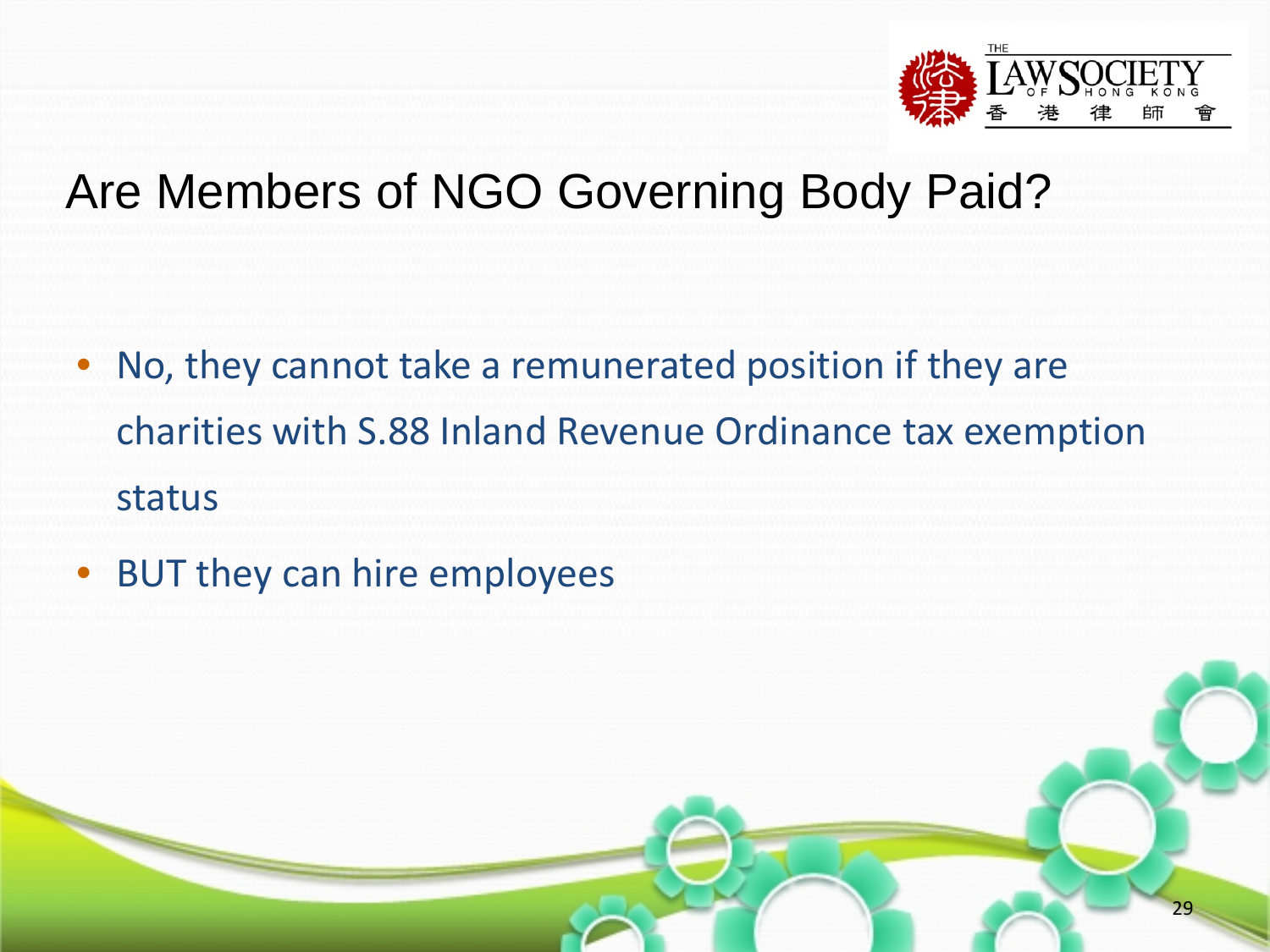![](_page_28_Picture_0.jpeg)

#### Are Members of NGO Governing Body Paid?

- No, they cannot take a remunerated position if they are charities with S.88 Inland Revenue Ordinance tax exemption status
- BUT they can hire employees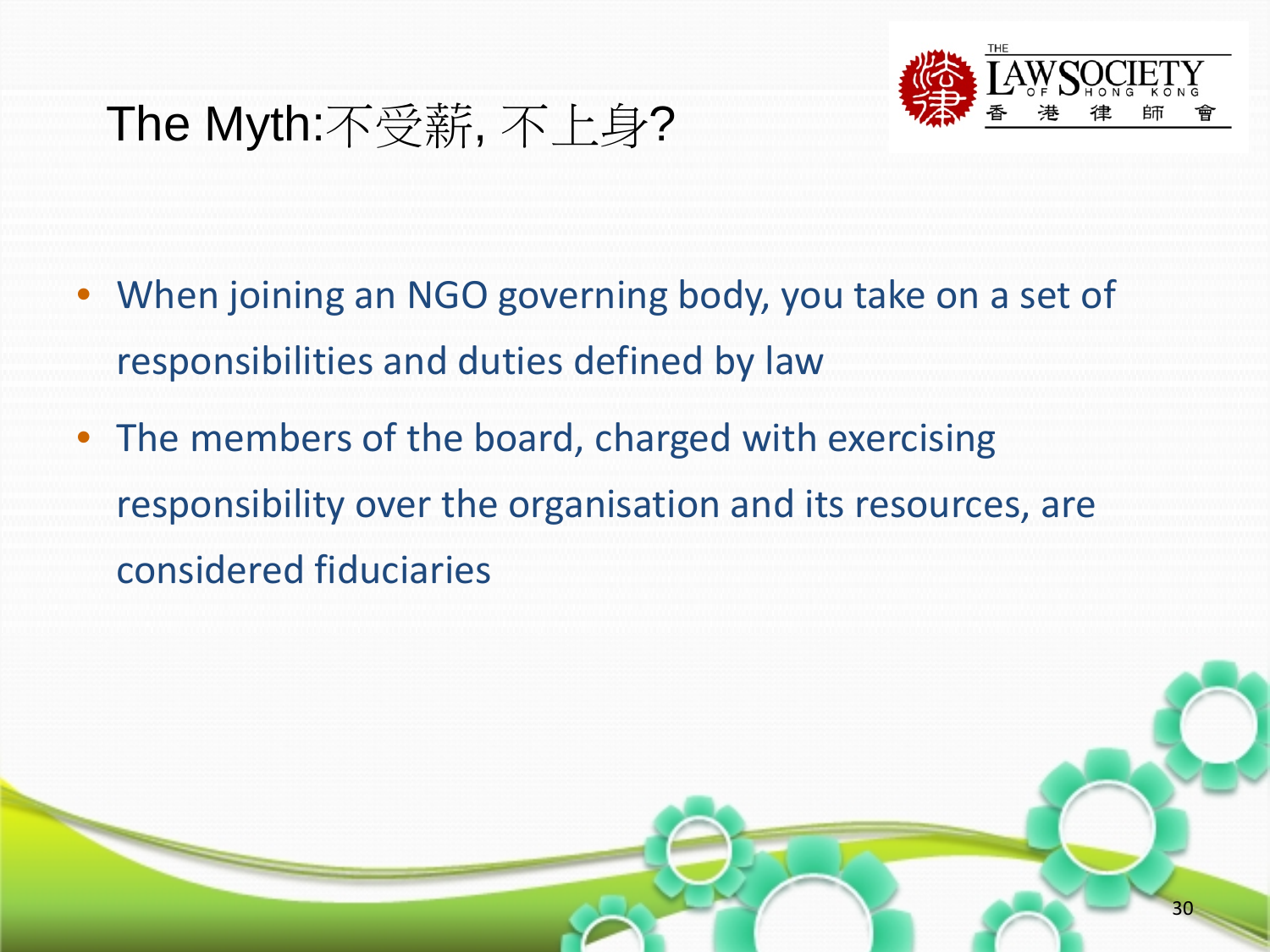![](_page_29_Picture_0.jpeg)

- When joining an NGO governing body, you take on a set of responsibilities and duties defined by law
- The members of the board, charged with exercising responsibility over the organisation and its resources, are considered fiduciaries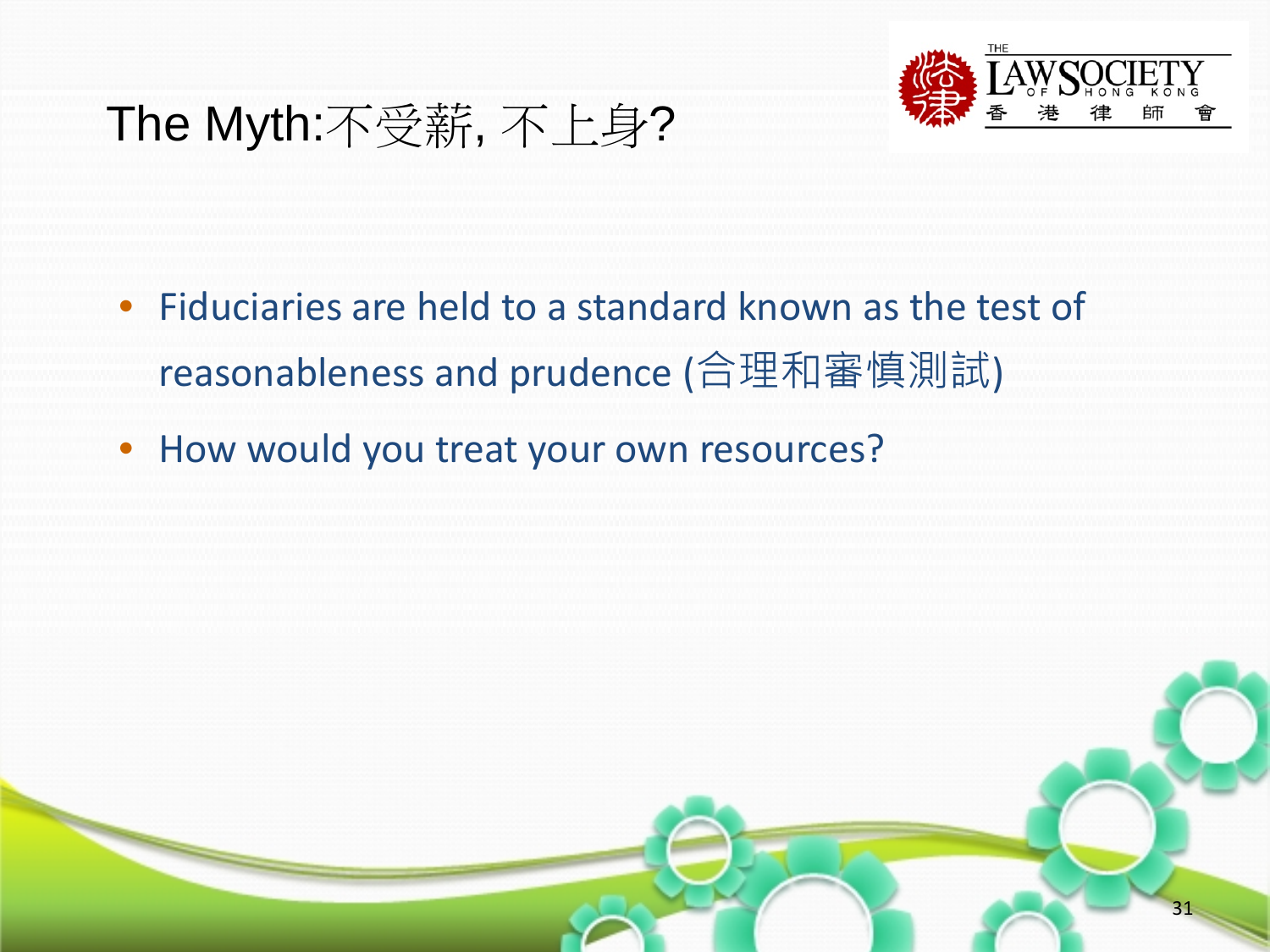![](_page_30_Picture_0.jpeg)

- Fiduciaries are held to a standard known as the test of reasonableness and prudence (合理和審慎測試)
- How would you treat your own resources?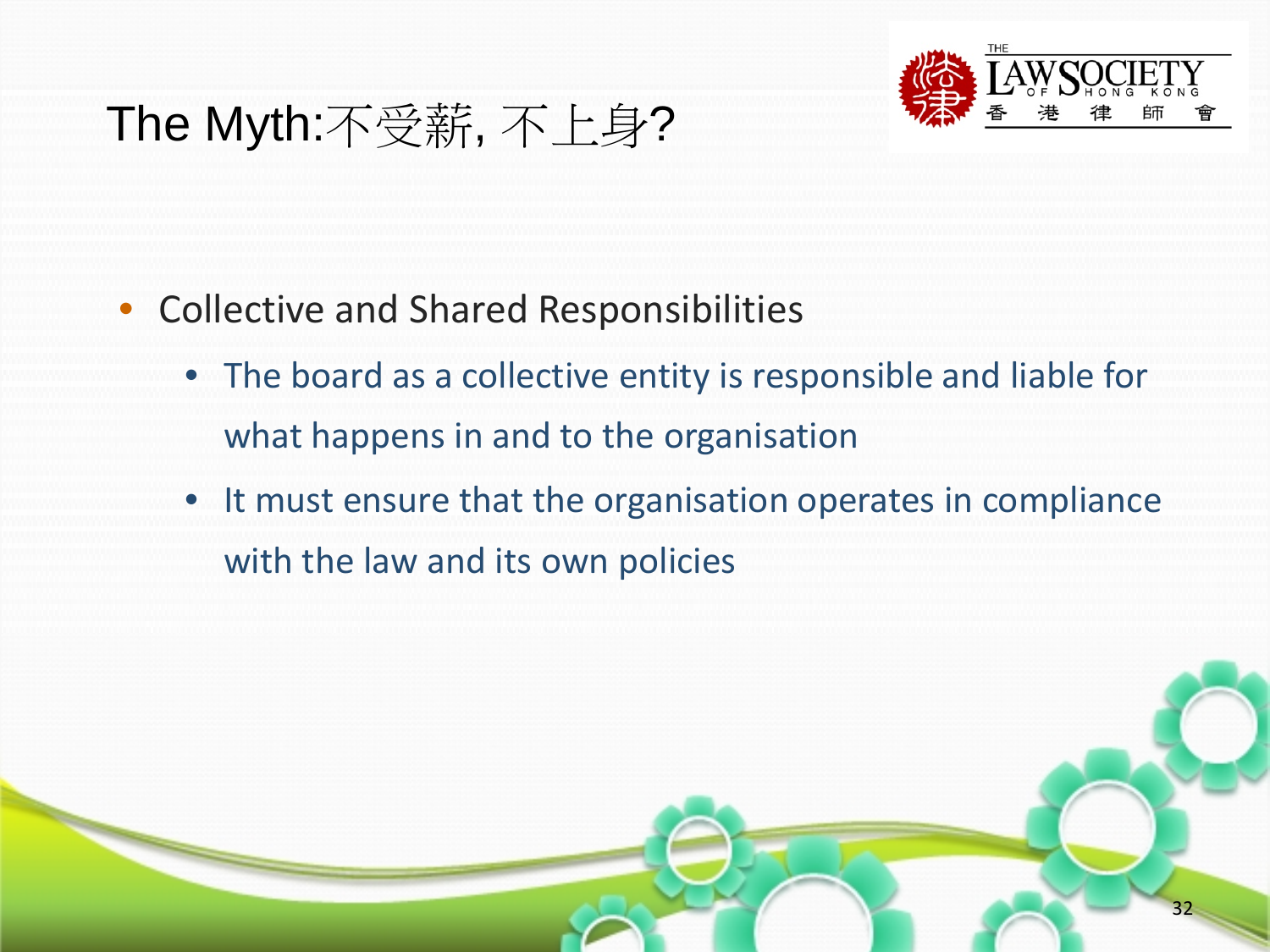![](_page_31_Picture_0.jpeg)

- Collective and Shared Responsibilities
	- The board as a collective entity is responsible and liable for what happens in and to the organisation
	- It must ensure that the organisation operates in compliance with the law and its own policies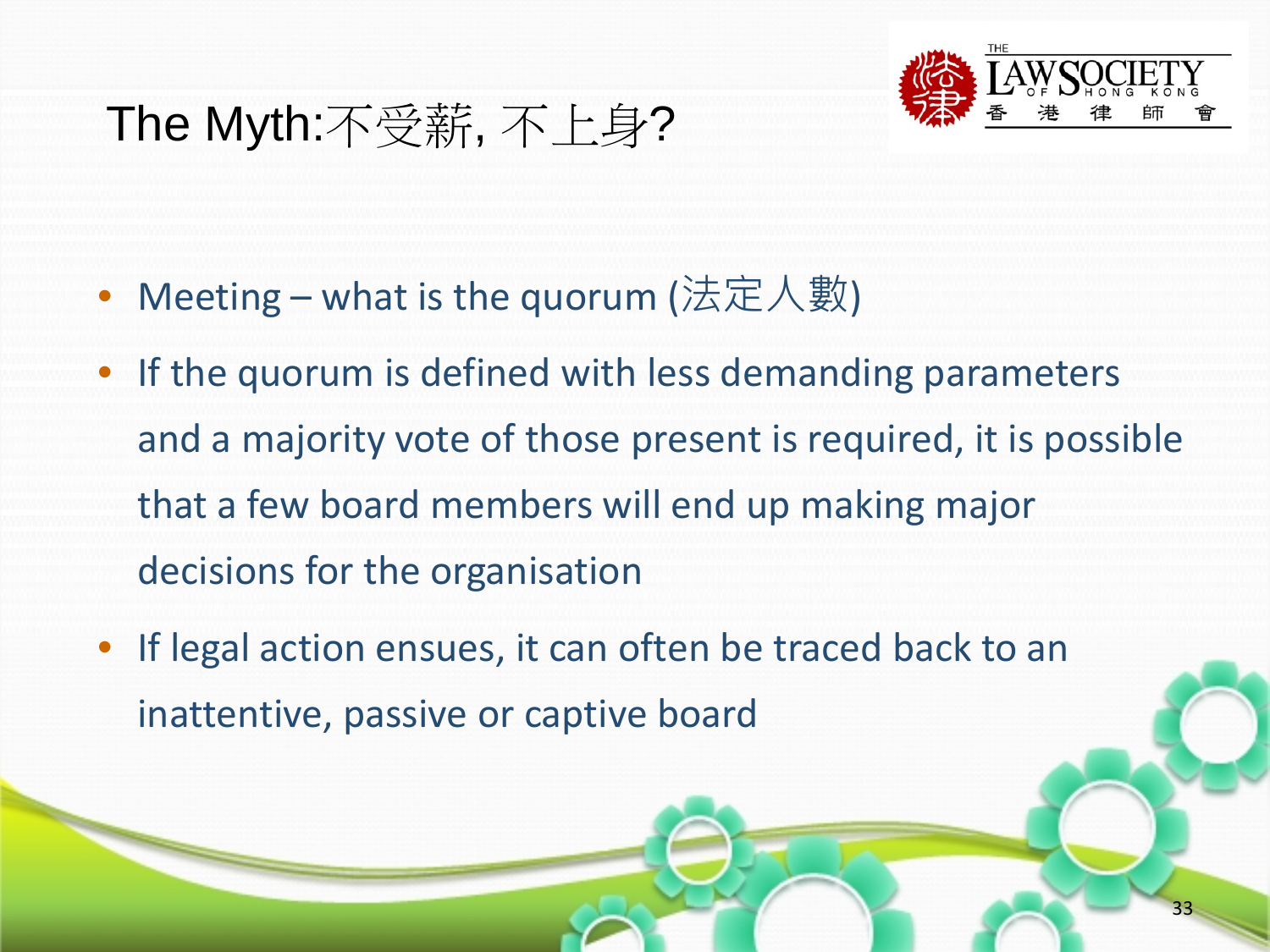![](_page_32_Picture_0.jpeg)

- Meeting what is the quorum (法定人數)
- If the quorum is defined with less demanding parameters and a majority vote of those present is required, it is possible that a few board members will end up making major decisions for the organisation
- If legal action ensues, it can often be traced back to an inattentive, passive or captive board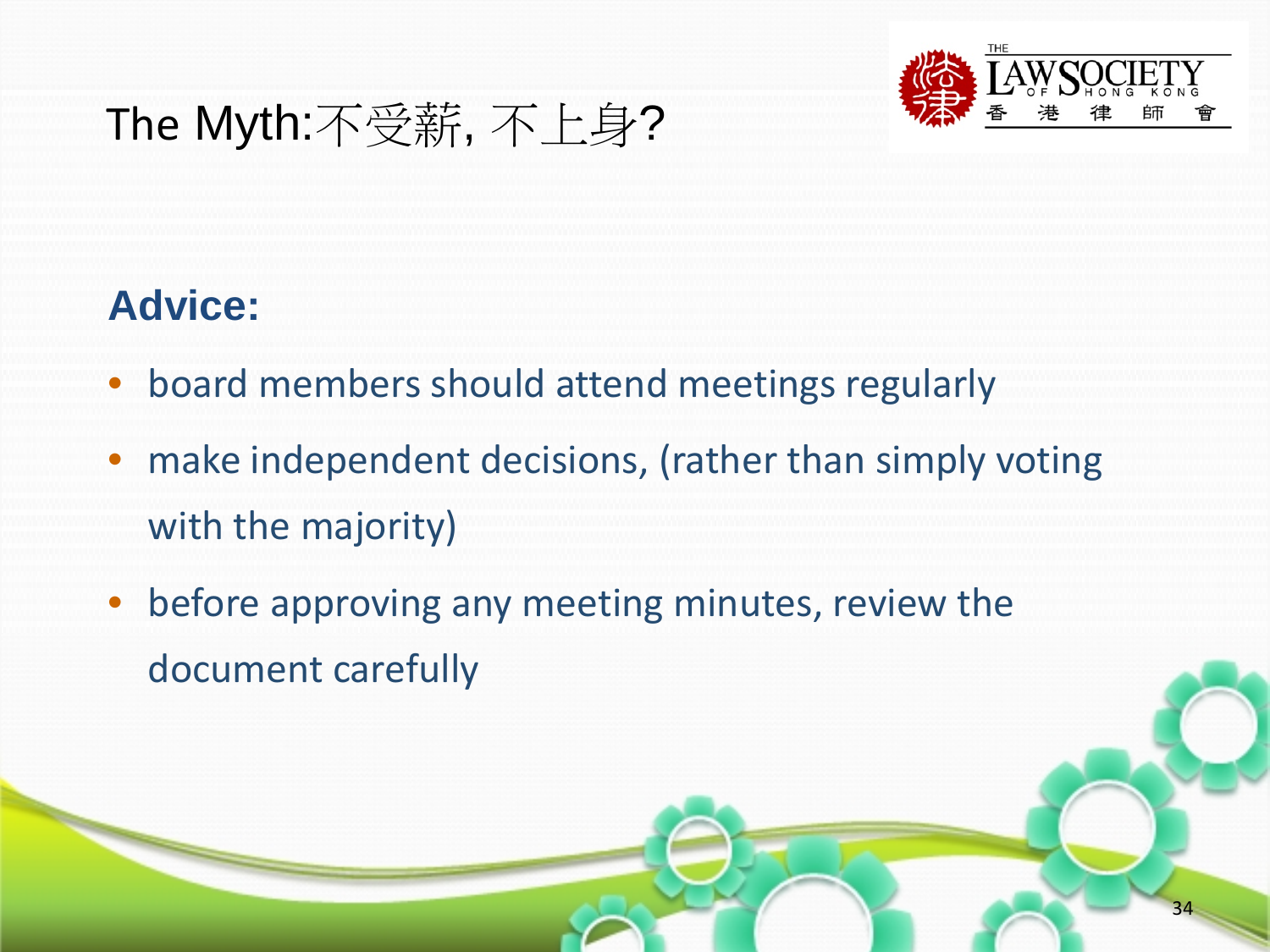![](_page_33_Picture_0.jpeg)

#### **Advice:**

- board members should attend meetings regularly
- make independent decisions, (rather than simply voting with the majority)
- before approving any meeting minutes, review the document carefully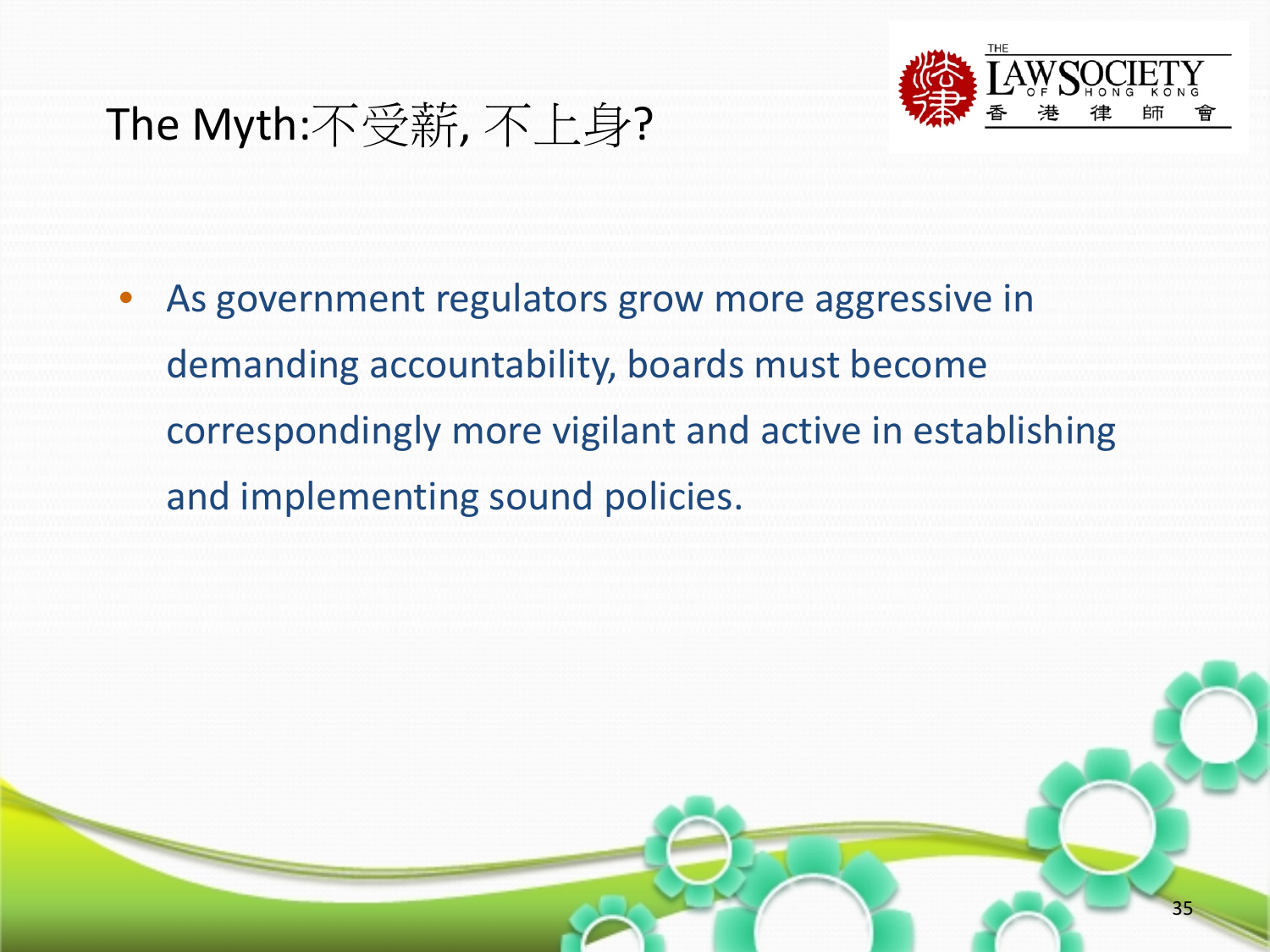![](_page_34_Picture_0.jpeg)

As government regulators grow more aggressive in demanding accountability, boards must become correspondingly more vigilant and active in establishing and implementing sound policies.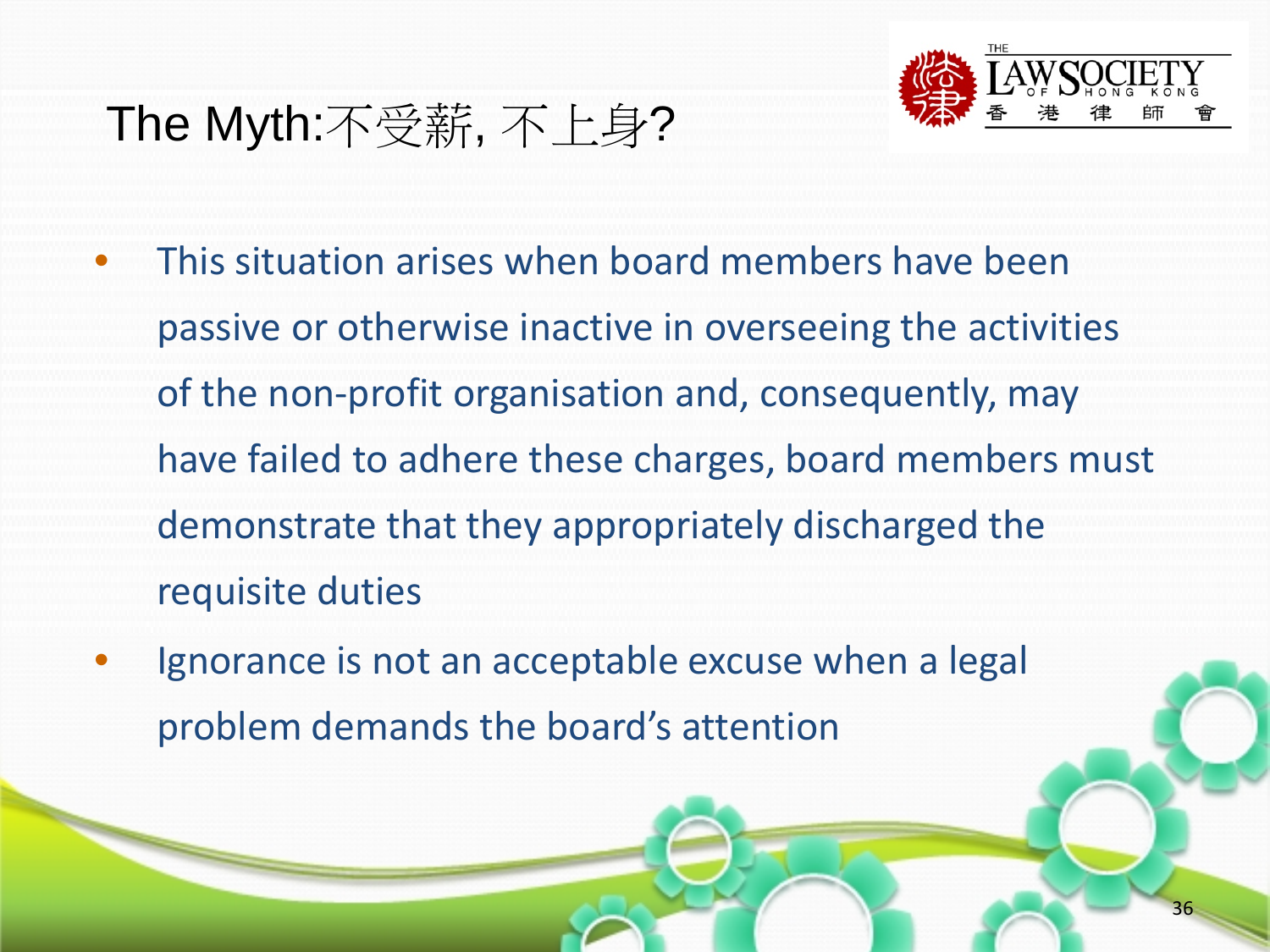![](_page_35_Picture_1.jpeg)

- This situation arises when board members have been passive or otherwise inactive in overseeing the activities of the non-profit organisation and, consequently, may have failed to adhere these charges, board members must demonstrate that they appropriately discharged the requisite duties
- Ignorance is not an acceptable excuse when a legal problem demands the board's attention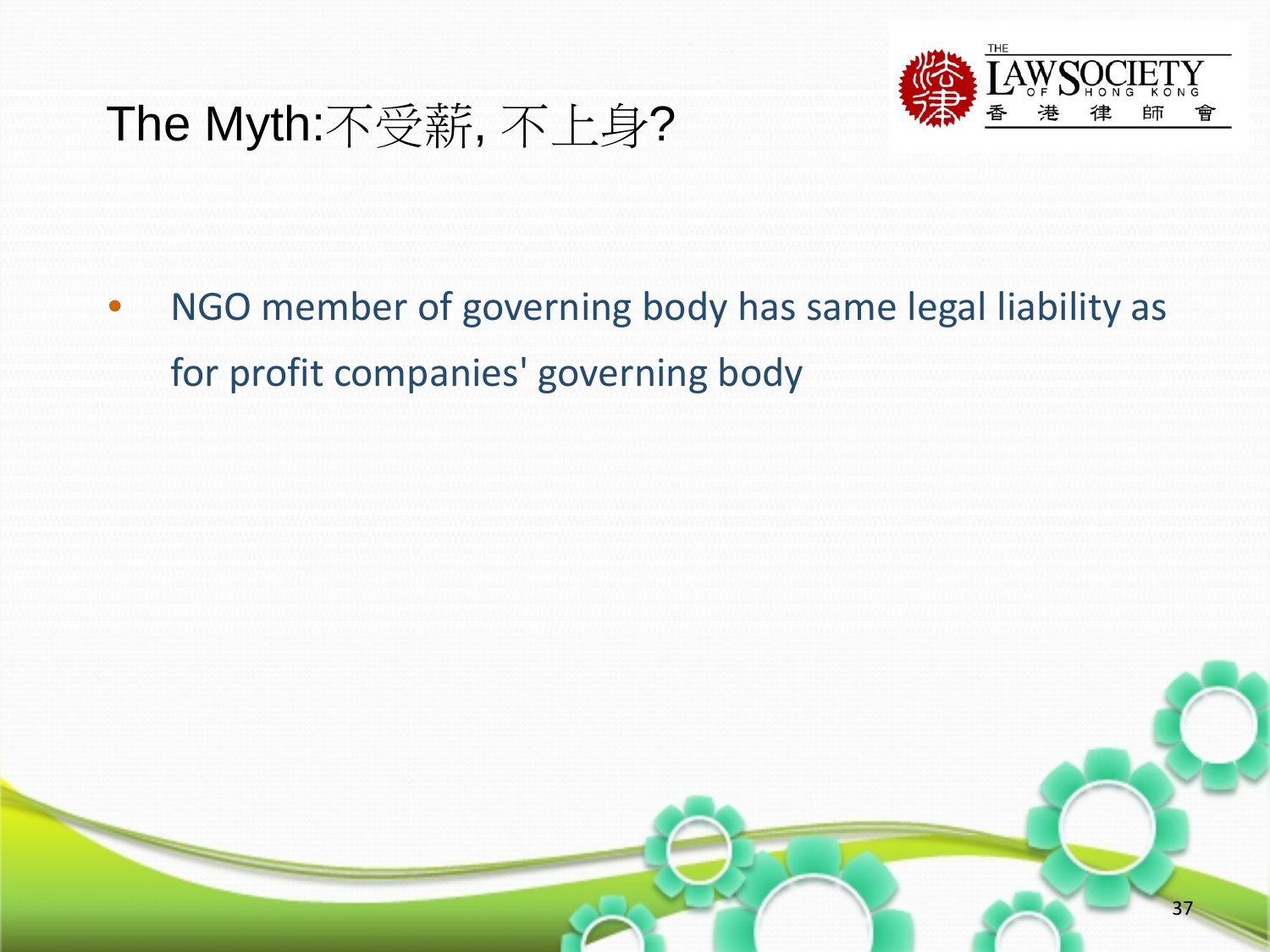![](_page_36_Picture_0.jpeg)

• NGO member of governing body has same legal liability as for profit companies' governing body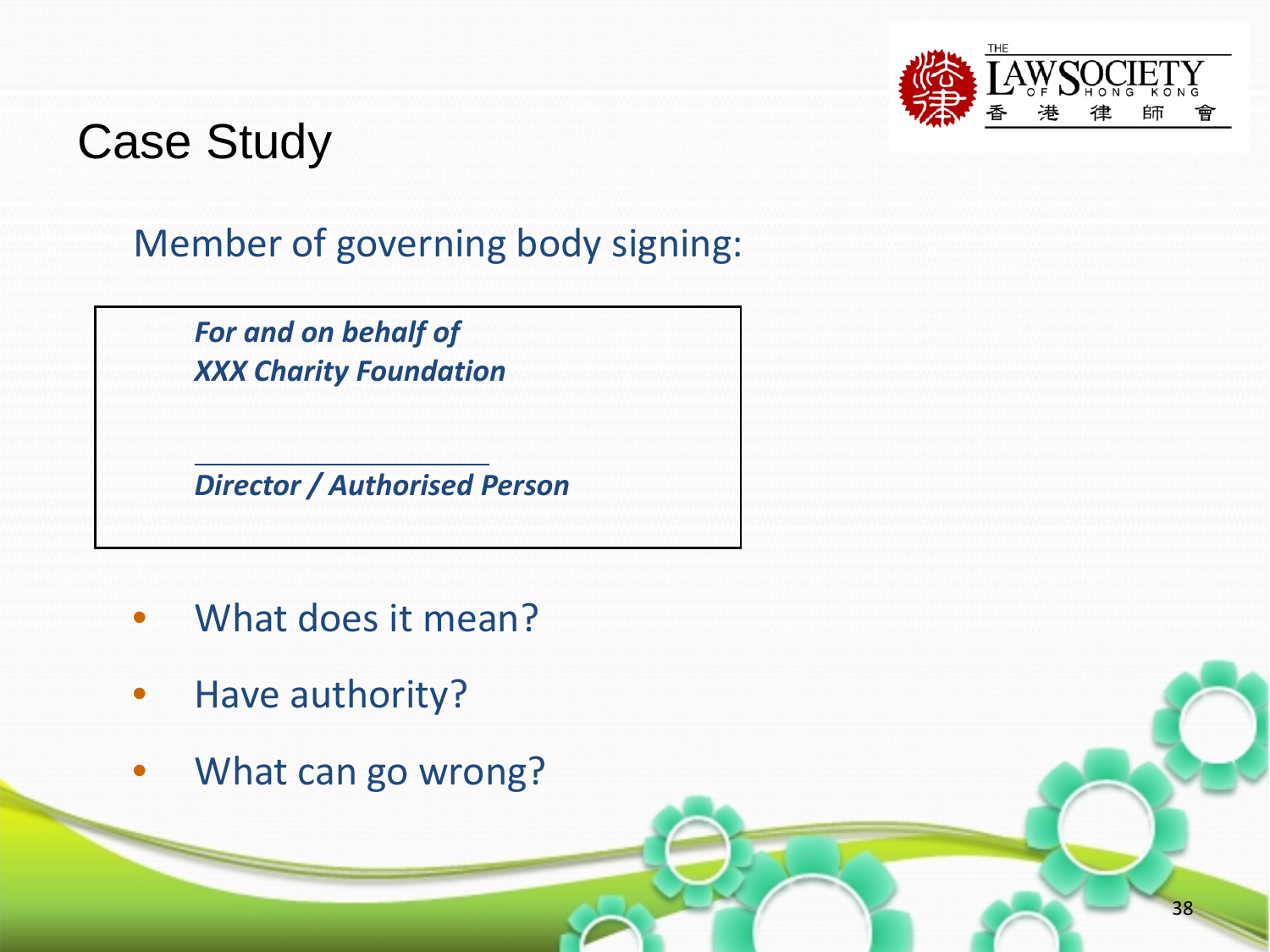![](_page_37_Picture_0.jpeg)

## Case Study

#### Member of governing body signing:

*For and on behalf of XXX Charity Foundation*

*Director / Authorised Person*

- What does it mean?
- Have authority?
- What can go wrong?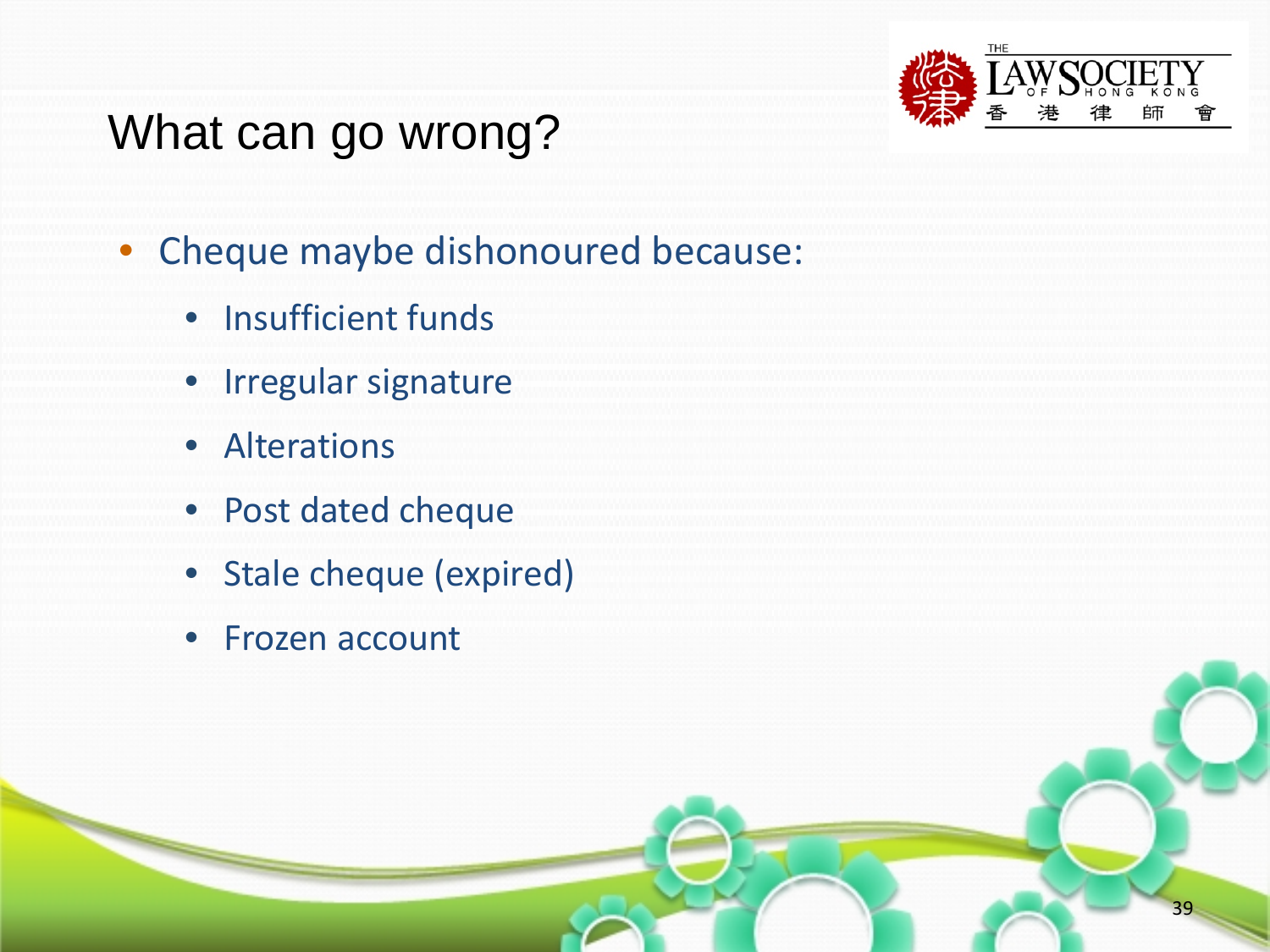![](_page_38_Picture_0.jpeg)

# What can go wrong?

- Cheque maybe dishonoured because:
	- Insufficient funds
	- Irregular signature
	- Alterations
	- Post dated cheque
	- Stale cheque (expired)
	- Frozen account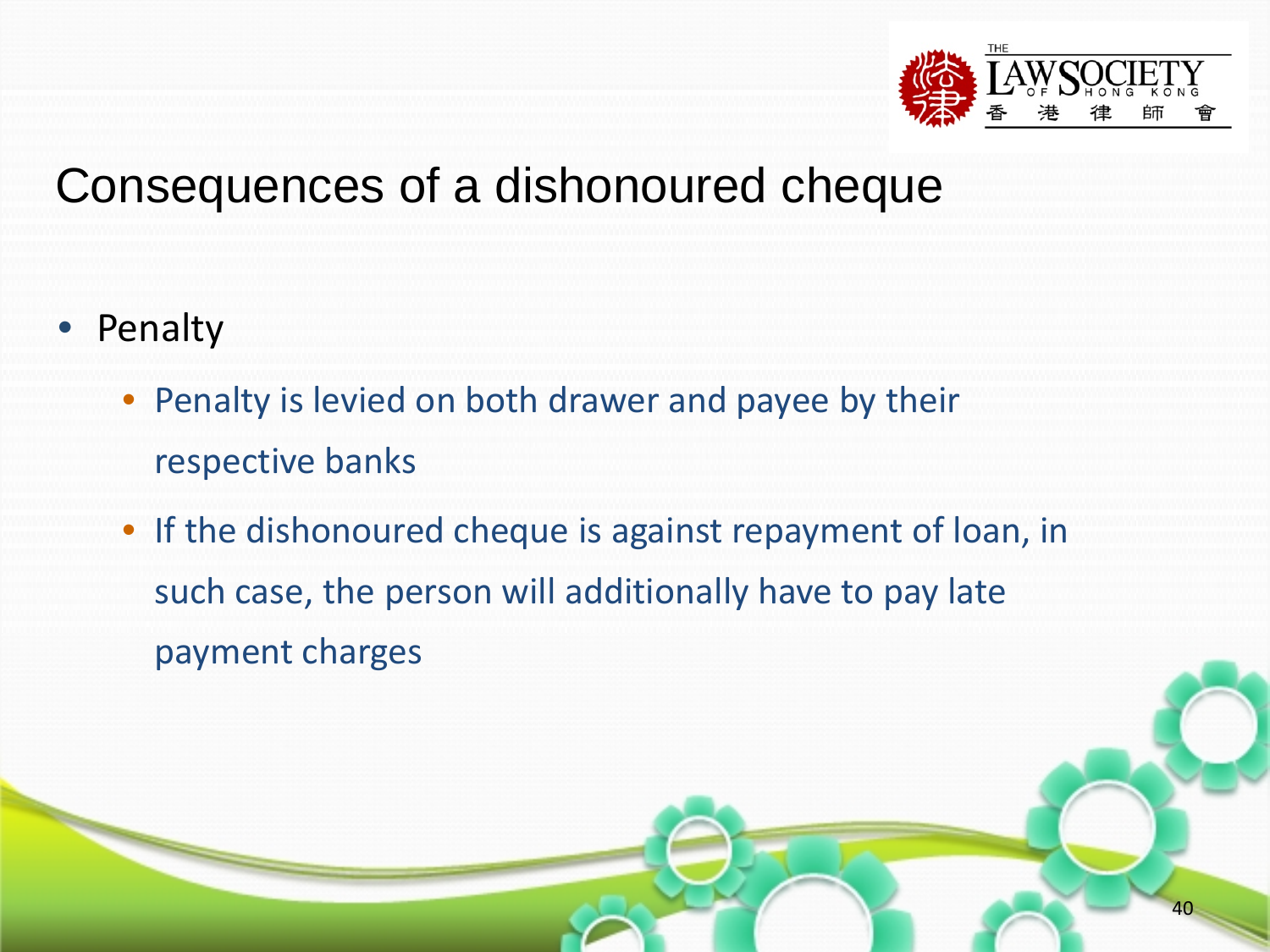![](_page_39_Picture_0.jpeg)

- Penalty
	- Penalty is levied on both drawer and payee by their respective banks
	- If the dishonoured cheque is against repayment of loan, in such case, the person will additionally have to pay late payment charges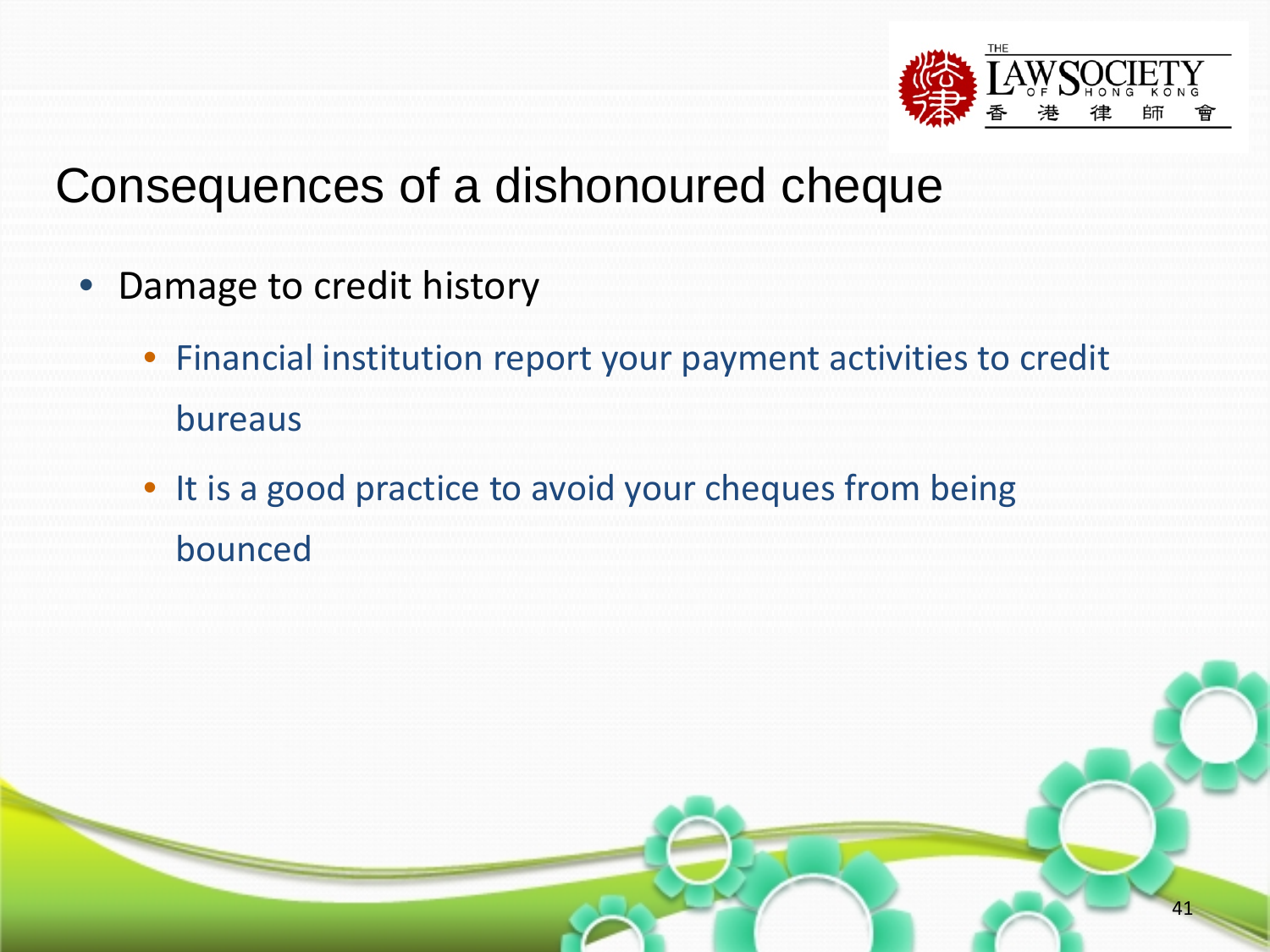![](_page_40_Picture_0.jpeg)

- Damage to credit history
	- Financial institution report your payment activities to credit bureaus
	- It is a good practice to avoid your cheques from being bounced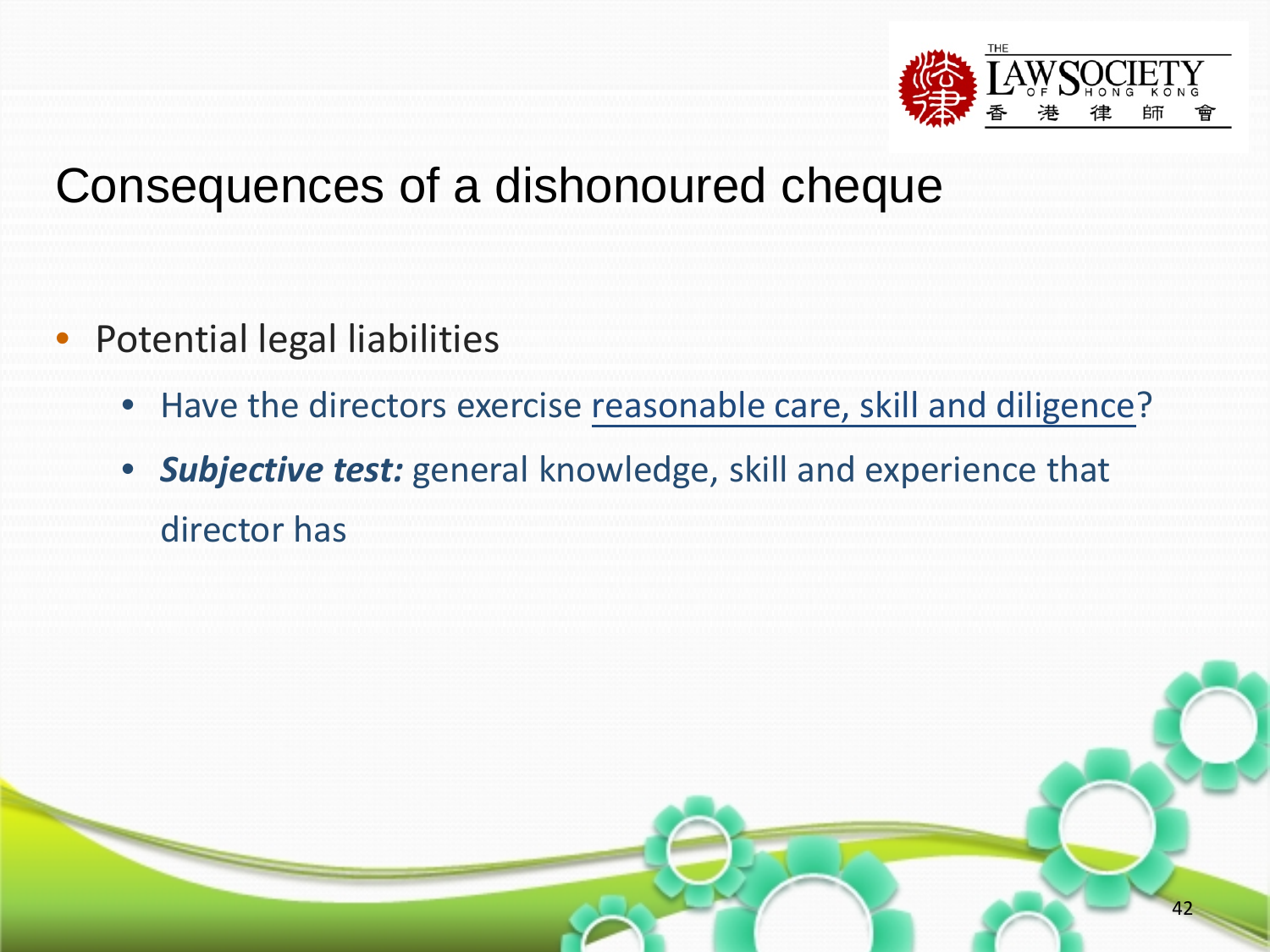![](_page_41_Picture_0.jpeg)

- Potential legal liabilities
	- Have the directors exercise reasonable care, skill and diligence?
	- *Subjective test:* general knowledge, skill and experience that director has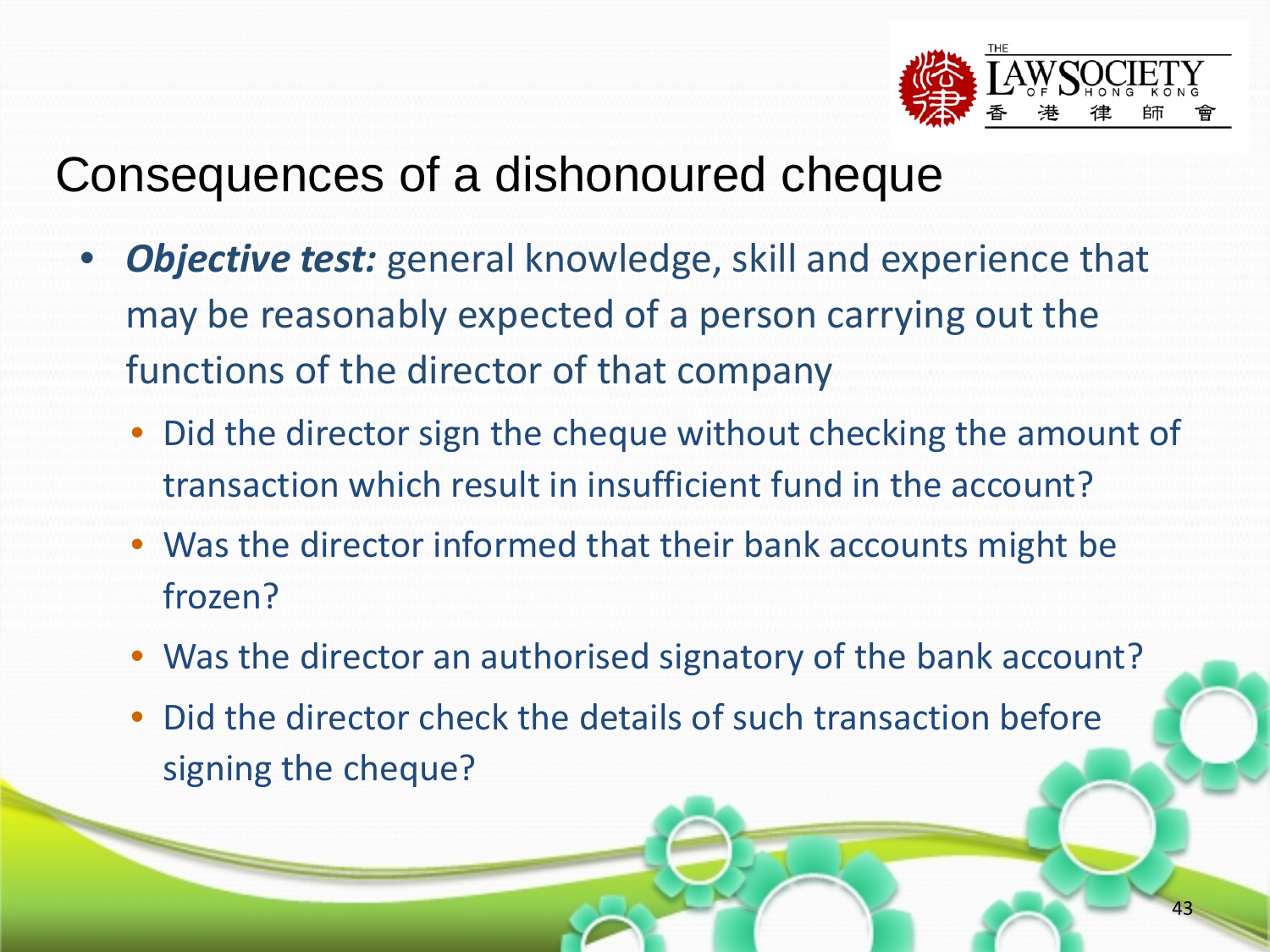![](_page_42_Picture_0.jpeg)

- *Objective test:* general knowledge, skill and experience that may be reasonably expected of a person carrying out the functions of the director of that company
	- Did the director sign the cheque without checking the amount of transaction which result in insufficient fund in the account?
	- Was the director informed that their bank accounts might be frozen?
	- Was the director an authorised signatory of the bank account?
	- Did the director check the details of such transaction before signing the cheque?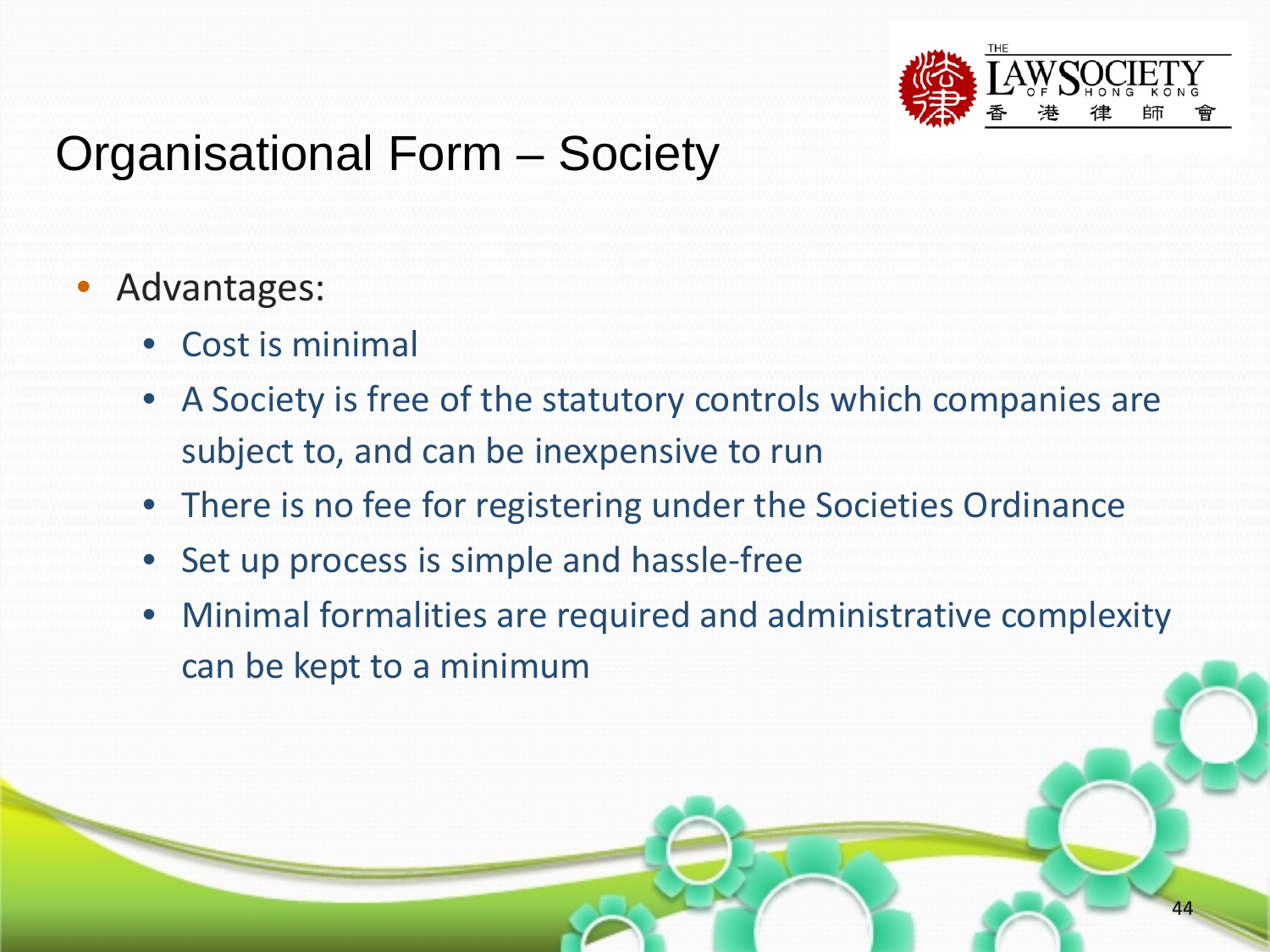![](_page_43_Picture_0.jpeg)

## Organisational Form – Society

#### • Advantages:

- Cost is minimal
- A Society is free of the statutory controls which companies are subject to, and can be inexpensive to run
- There is no fee for registering under the Societies Ordinance
- Set up process is simple and hassle-free
- Minimal formalities are required and administrative complexity can be kept to a minimum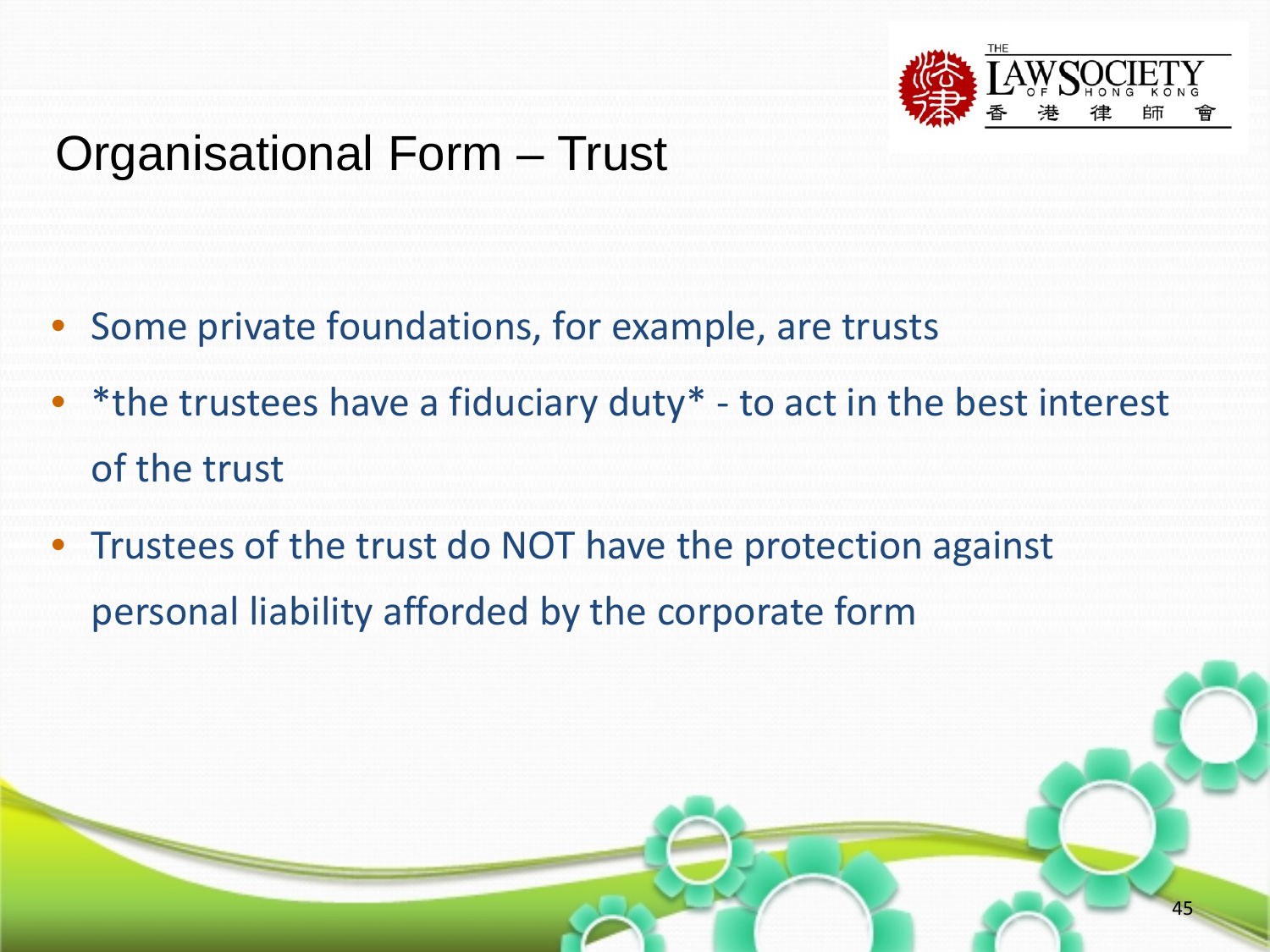![](_page_44_Picture_0.jpeg)

#### Organisational Form – Trust

- Some private foundations, for example, are trusts
- \*the trustees have a fiduciary duty\*  $-$  to act in the best interest of the trust
- Trustees of the trust do NOT have the protection against personal liability afforded by the corporate form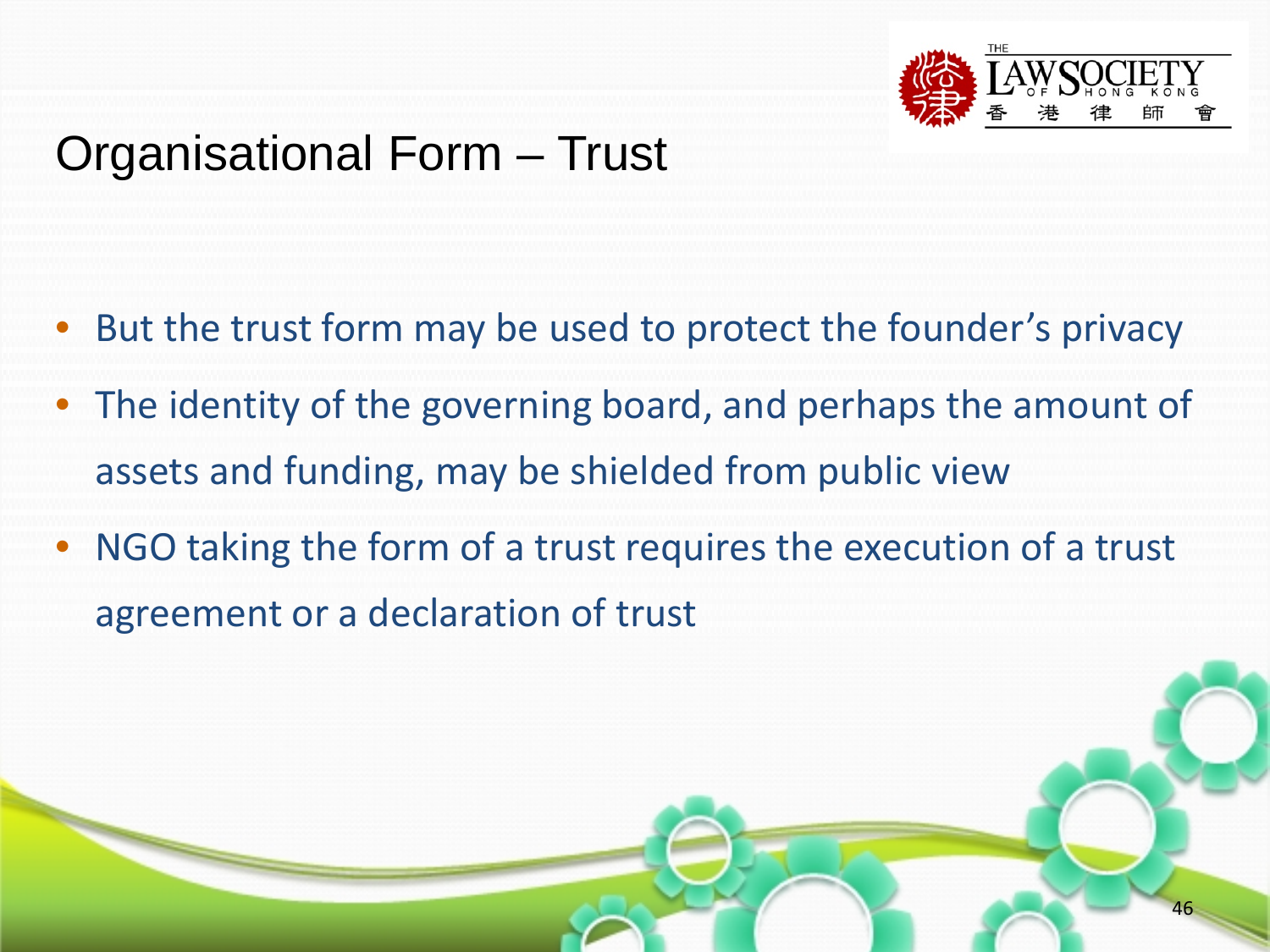![](_page_45_Picture_0.jpeg)

#### Organisational Form – Trust

- But the trust form may be used to protect the founder's privacy
- The identity of the governing board, and perhaps the amount of assets and funding, may be shielded from public view
- NGO taking the form of a trust requires the execution of a trust agreement or a declaration of trust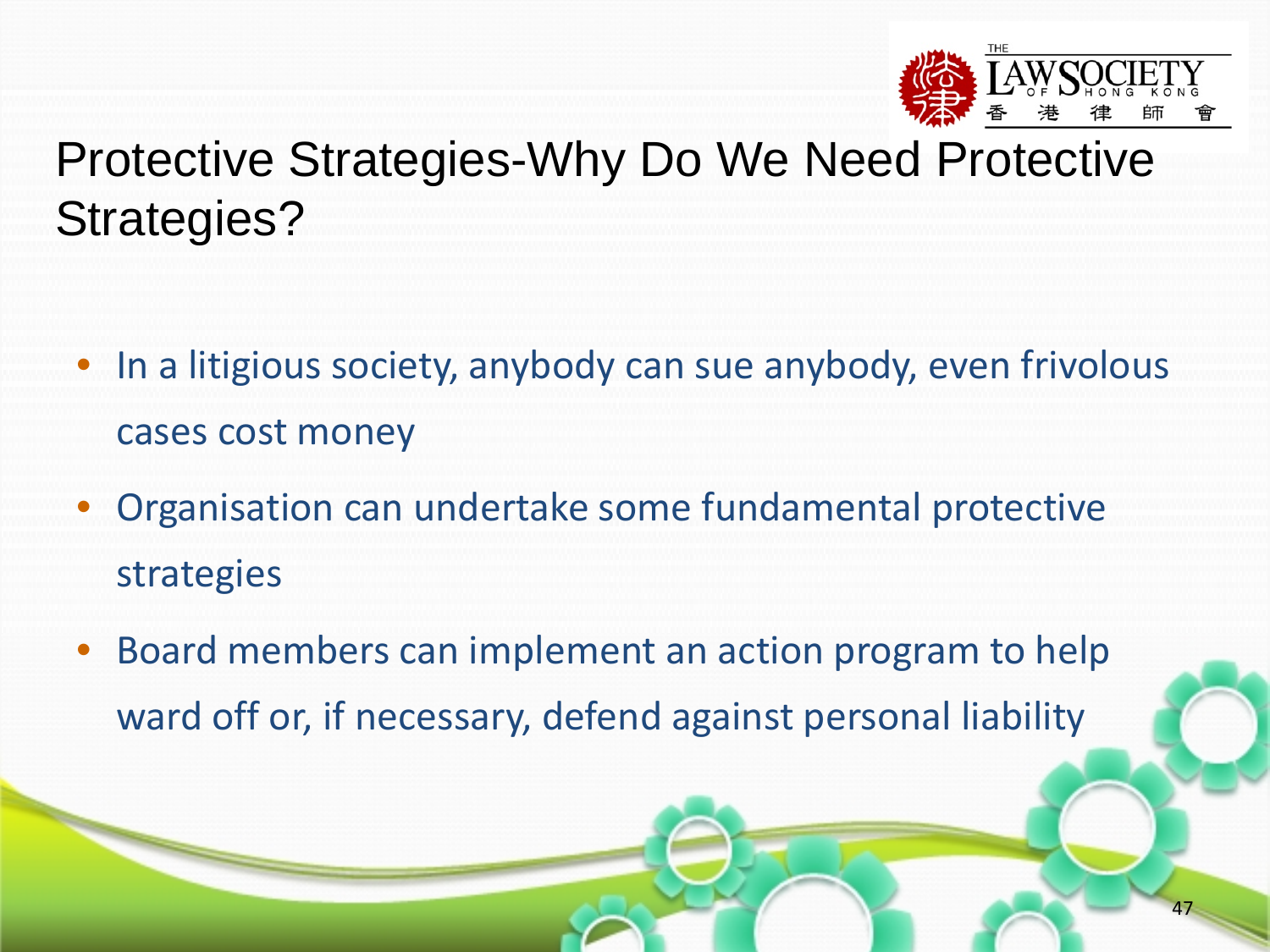![](_page_46_Picture_0.jpeg)

# Protective Strategies-Why Do We Need Protective Strategies?

- In a litigious society, anybody can sue anybody, even frivolous cases cost money
- Organisation can undertake some fundamental protective strategies
- Board members can implement an action program to help ward off or, if necessary, defend against personal liability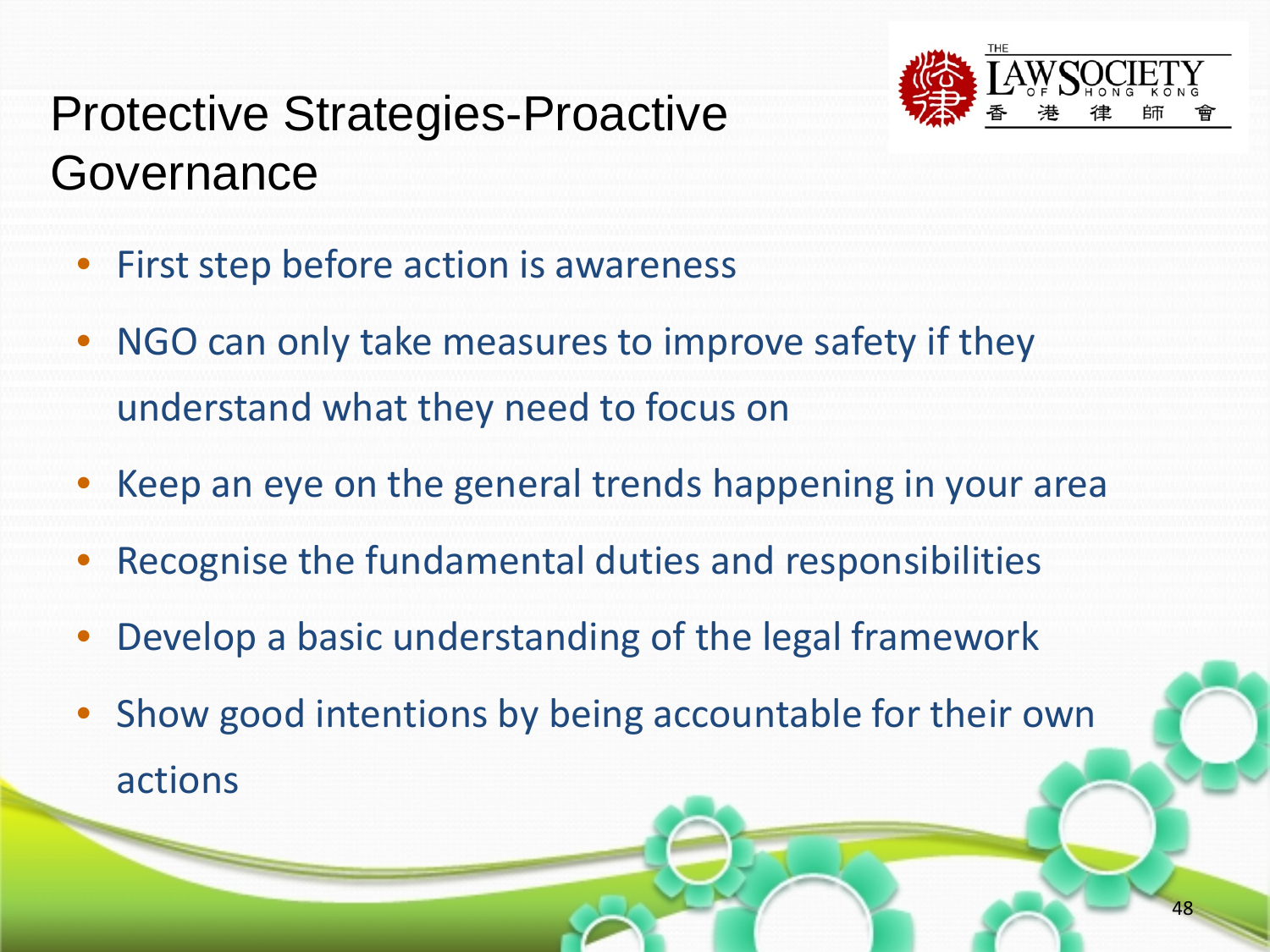![](_page_47_Picture_0.jpeg)

# Protective Strategies-Proactive Governance

- First step before action is awareness
- NGO can only take measures to improve safety if they understand what they need to focus on
- Keep an eye on the general trends happening in your area
- Recognise the fundamental duties and responsibilities
- Develop a basic understanding of the legal framework
- Show good intentions by being accountable for their own actions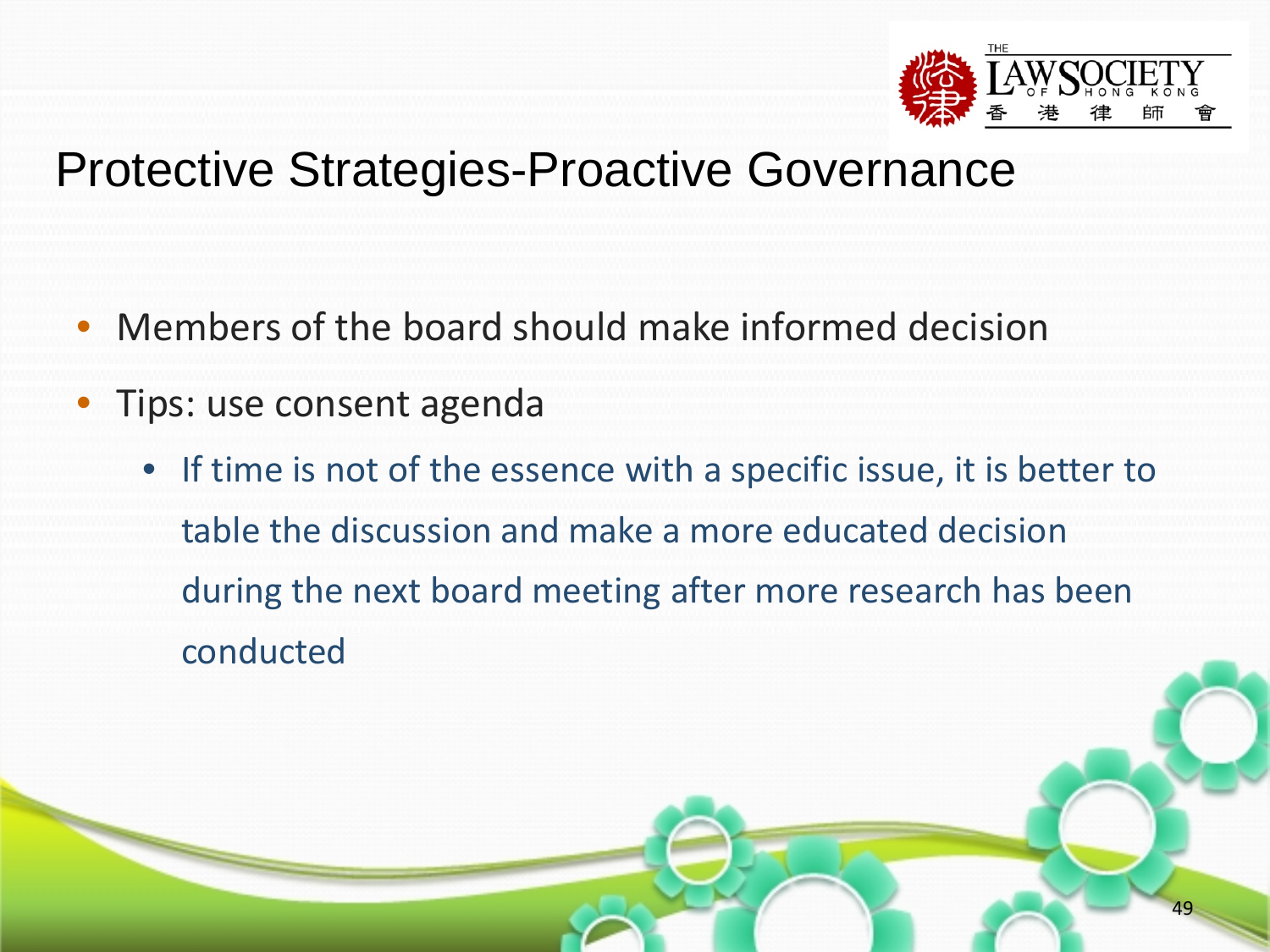![](_page_48_Picture_0.jpeg)

#### Protective Strategies-Proactive Governance

- Members of the board should make informed decision
- Tips: use consent agenda
	- If time is not of the essence with a specific issue, it is better to table the discussion and make a more educated decision during the next board meeting after more research has been conducted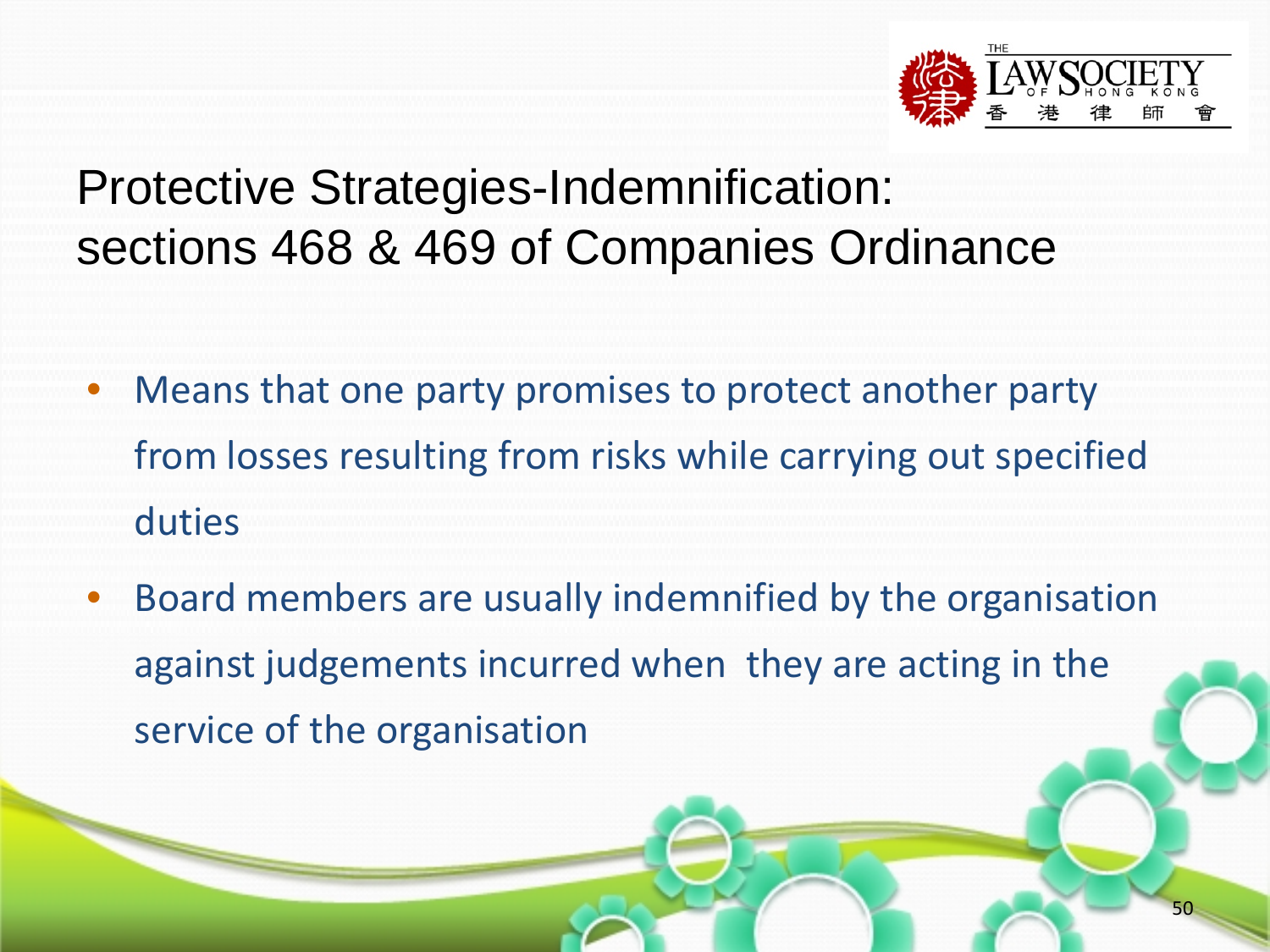![](_page_49_Picture_0.jpeg)

- Means that one party promises to protect another party from losses resulting from risks while carrying out specified duties
- Board members are usually indemnified by the organisation against judgements incurred when they are acting in the service of the organisation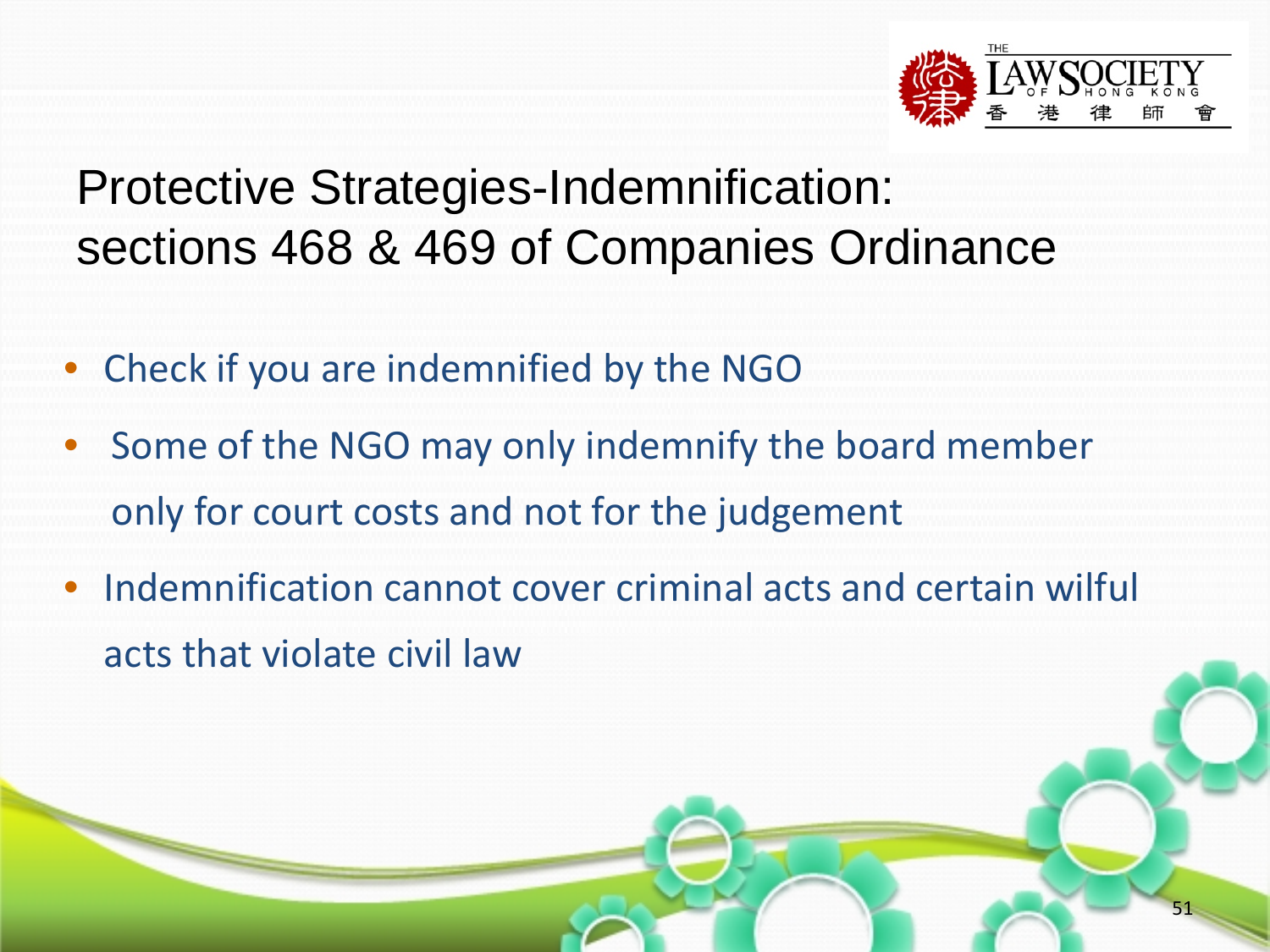![](_page_50_Picture_0.jpeg)

- Check if you are indemnified by the NGO
- Some of the NGO may only indemnify the board member only for court costs and not for the judgement
- Indemnification cannot cover criminal acts and certain wilful acts that violate civil law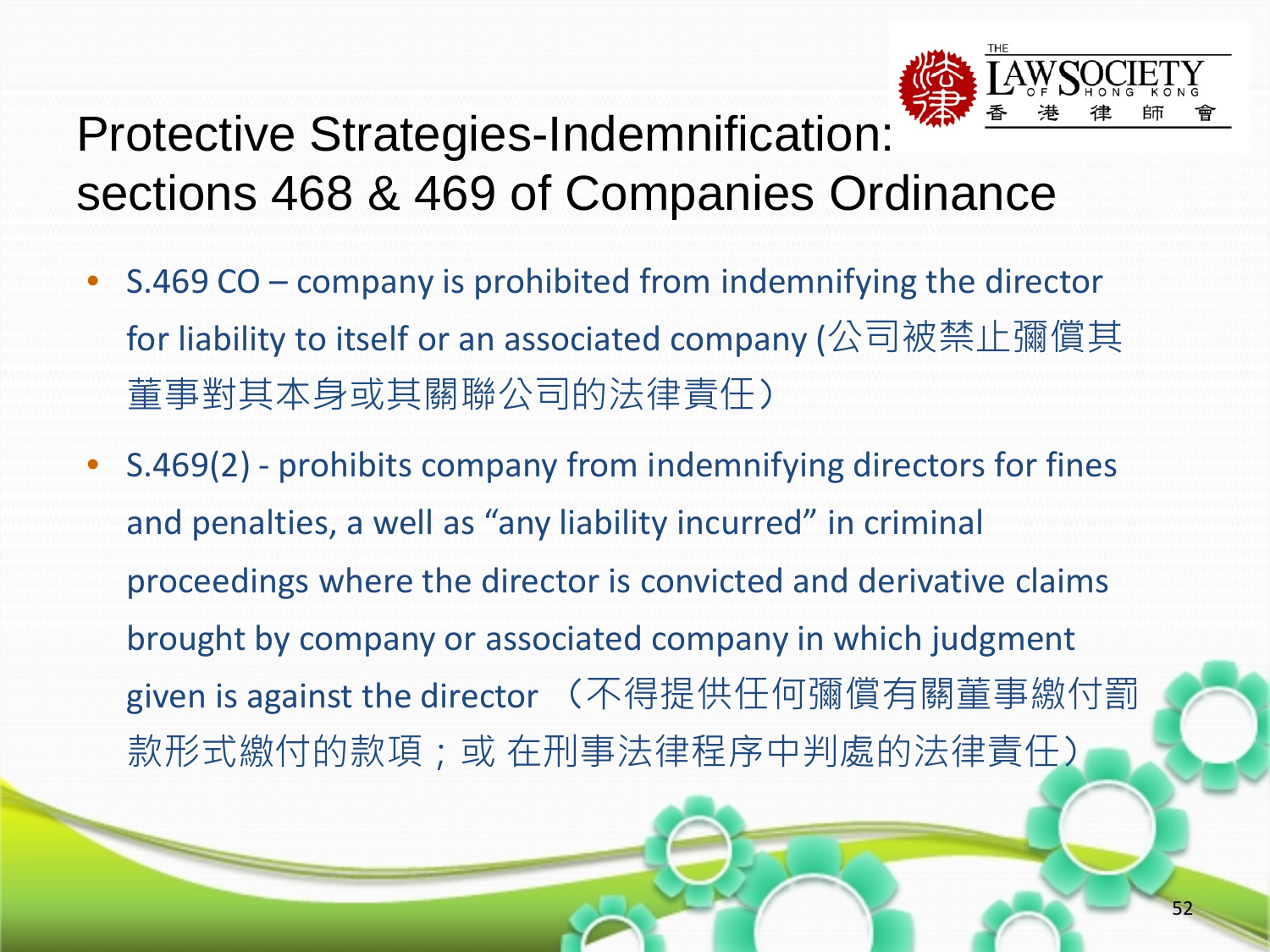![](_page_51_Picture_0.jpeg)

- S.469 CO company is prohibited from indemnifying the director for liability to itself or an associated company (公司被禁止彌償其 董事對其本身或其關聯公司的法律責任)
- S.469(2) prohibits company from indemnifying directors for fines and penalties, a well as "any liability incurred" in criminal proceedings where the director is convicted and derivative claims brought by company or associated company in which judgment given is against the director (不得提供任何彌償有關董事繳付罰 款形式繳付的款項;或 在刑事法律程序中判處的法律責任)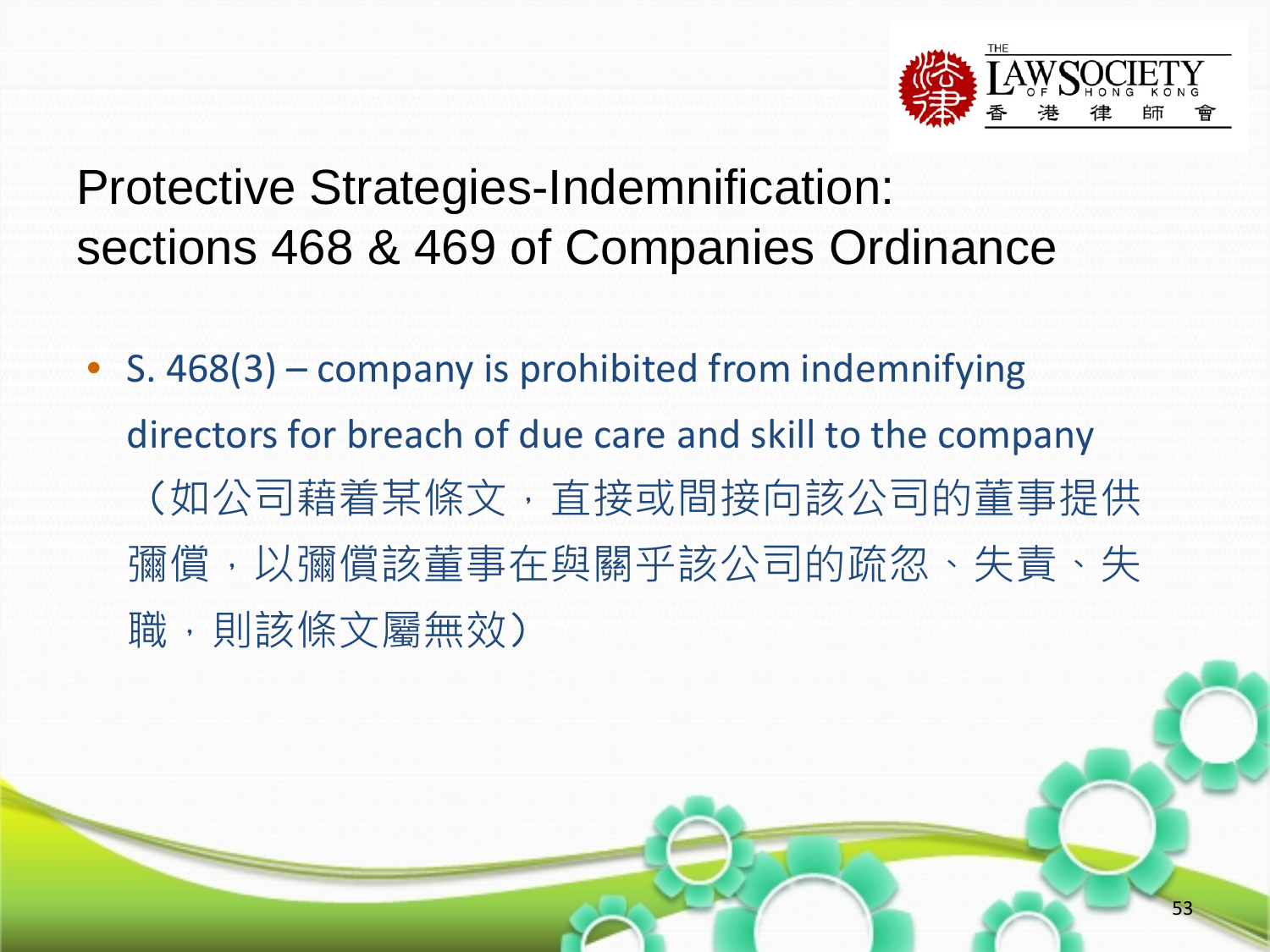![](_page_52_Picture_0.jpeg)

• S. 468(3) – company is prohibited from indemnifying directors for breach of due care and skill to the company (如公司藉着某條文,直接或間接向該公司的董事提供 彌償,以彌償該董事在與關乎該公司的疏忽、失責、失 職,則該條文屬無效)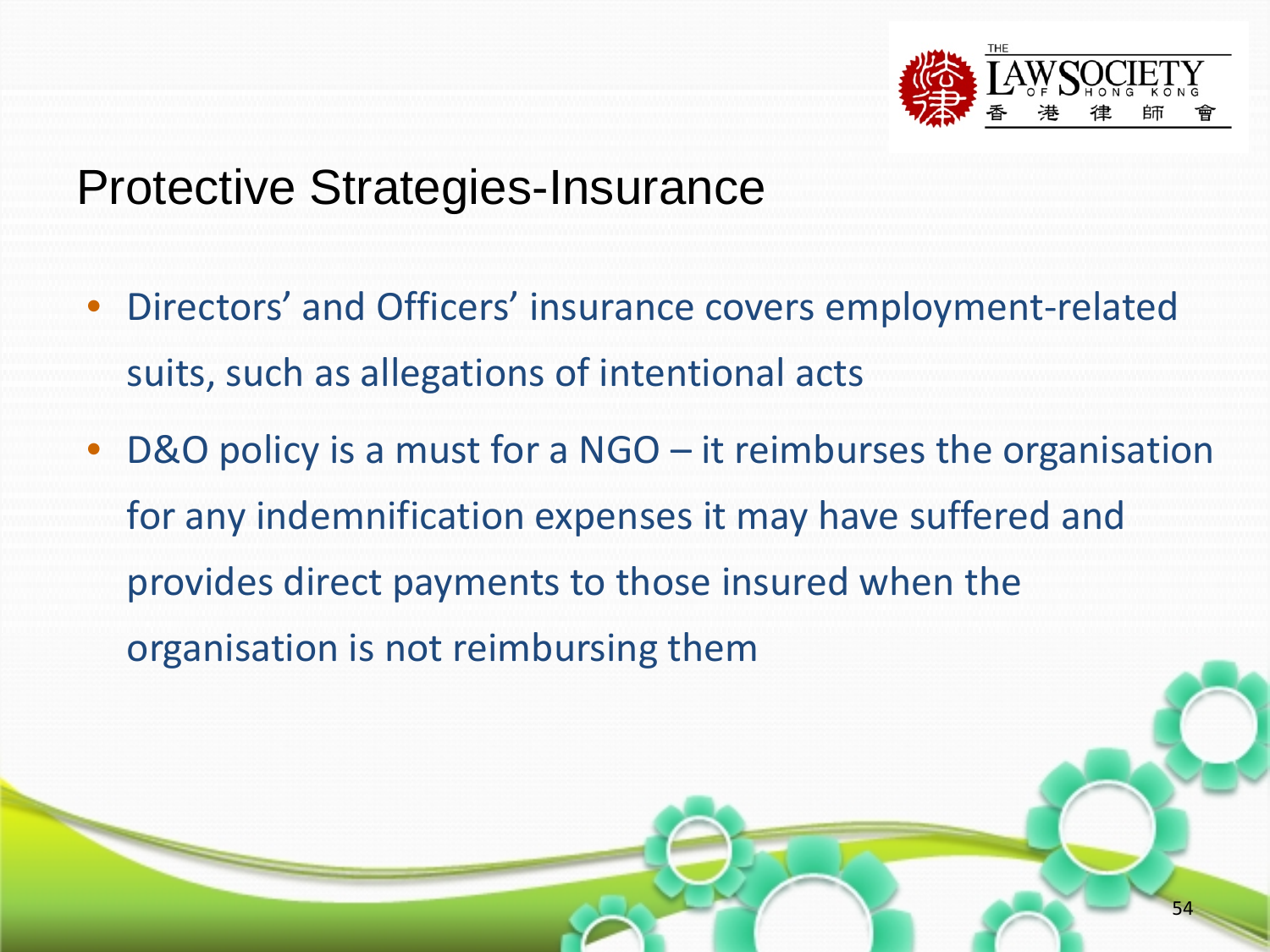![](_page_53_Picture_0.jpeg)

#### Protective Strategies-Insurance

- Directors' and Officers' insurance covers employment-related suits, such as allegations of intentional acts
- D&O policy is a must for a NGO it reimburses the organisation for any indemnification expenses it may have suffered and provides direct payments to those insured when the organisation is not reimbursing them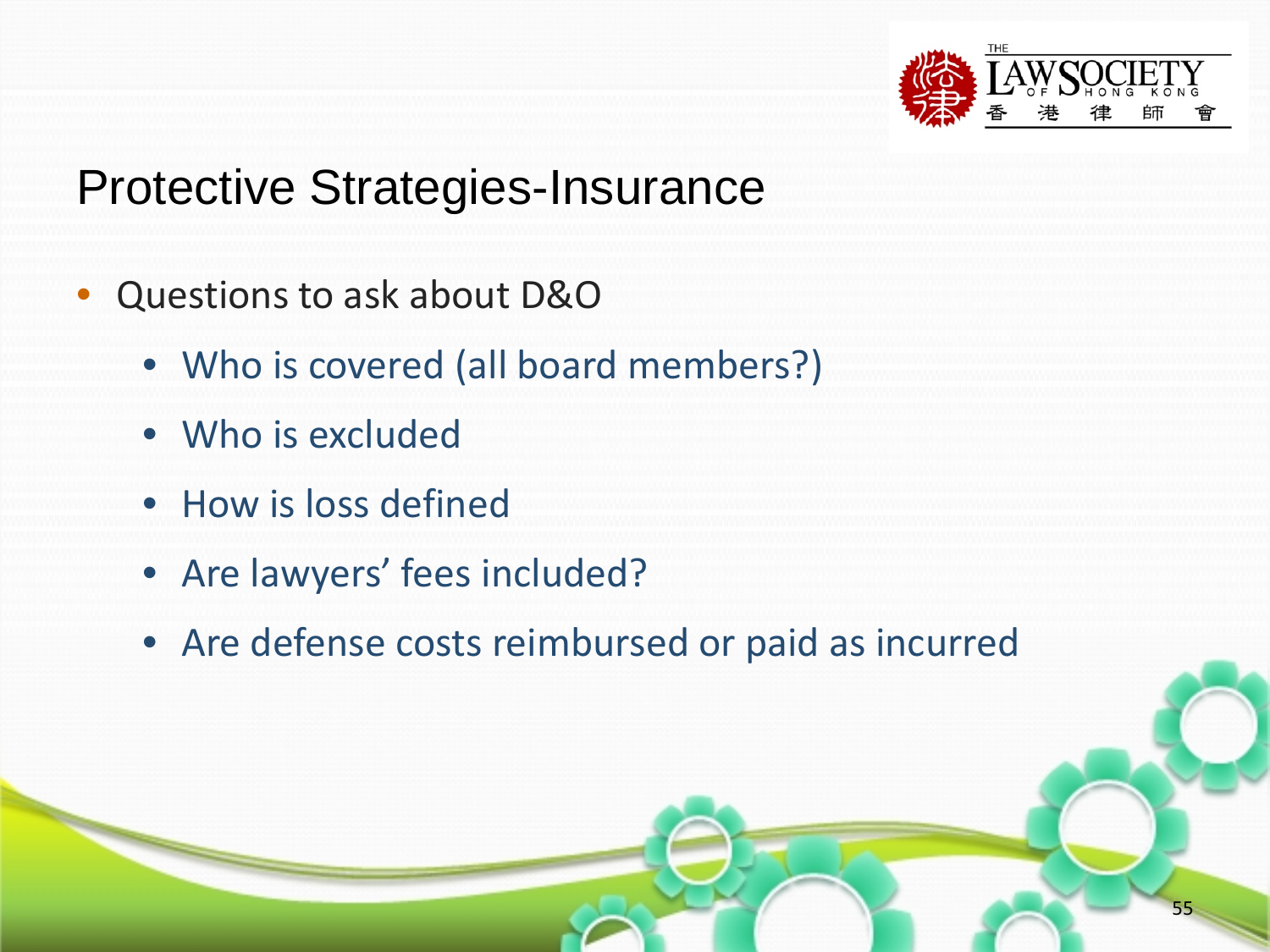![](_page_54_Picture_0.jpeg)

## Protective Strategies-Insurance

- Questions to ask about D&O
	- Who is covered (all board members?)
	- Who is excluded
	- How is loss defined
	- Are lawyers' fees included?
	- Are defense costs reimbursed or paid as incurred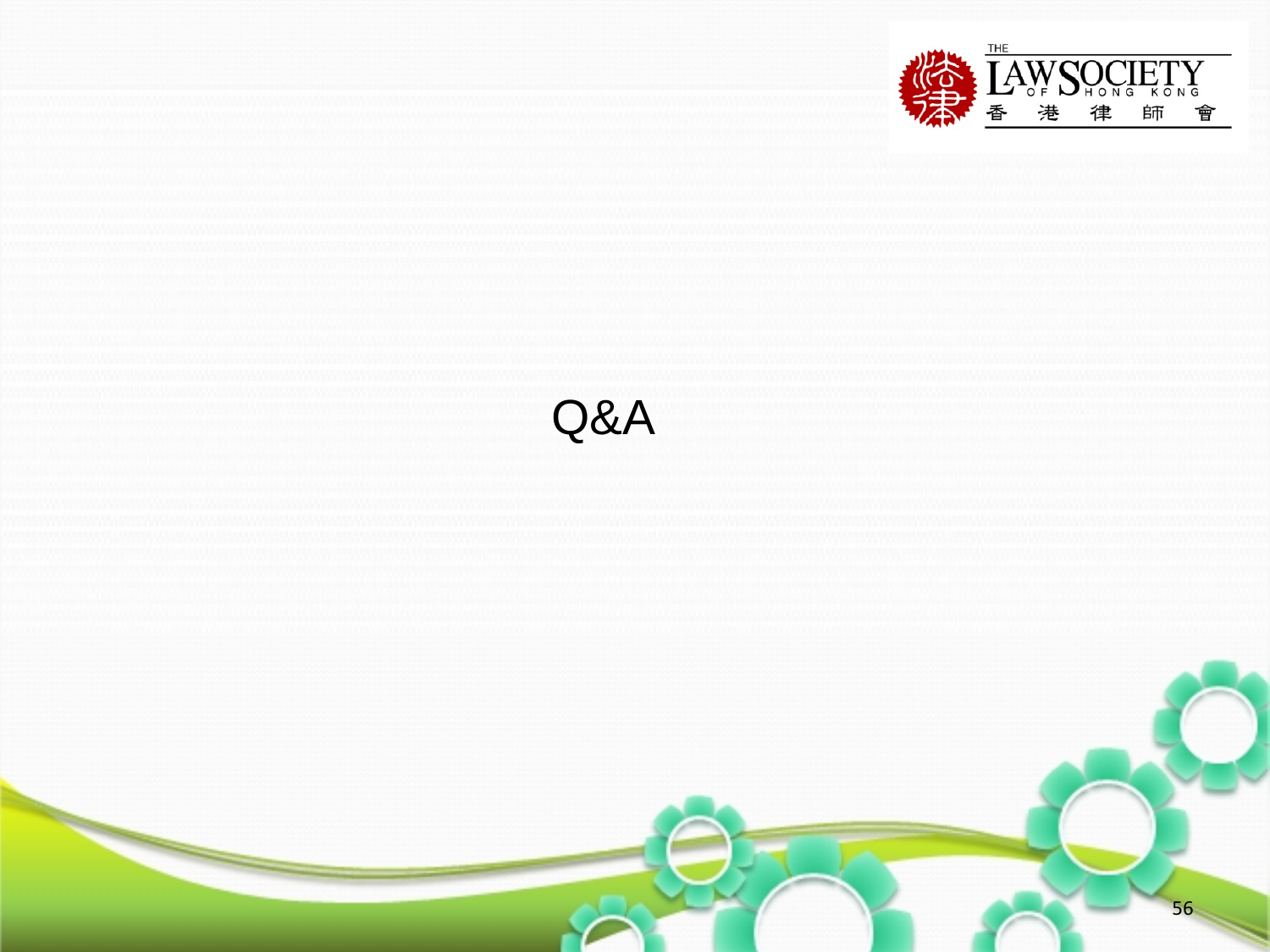![](_page_55_Picture_0.jpeg)

![](_page_55_Figure_1.jpeg)